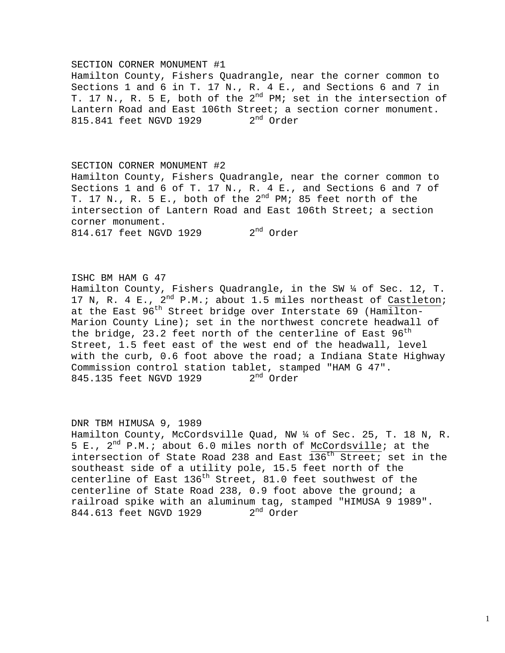#### SECTION CORNER MONUMENT #1

Hamilton County, Fishers Quadrangle, near the corner common to Sections 1 and 6 in T. 17 N., R. 4 E., and Sections 6 and 7 in T. 17 N., R. 5 E, both of the  $2^{nd}$  PM; set in the intersection of Lantern Road and East 106th Street; a section corner monument. 815.841 feet NGVD 1929  $2^{nd}$  Order

#### SECTION CORNER MONUMENT #2

Hamilton County, Fishers Quadrangle, near the corner common to Sections 1 and 6 of T. 17 N., R. 4 E., and Sections 6 and 7 of T. 17 N., R. 5 E., both of the  $2^{nd}$  PM; 85 feet north of the intersection of Lantern Road and East 106th Street; a section corner monument. 814.617 feet NGVD 1929 2<sup>nd</sup> Order

ISHC BM HAM G 47 Hamilton County, Fishers Quadrangle, in the SW ¼ of Sec. 12, T. 17 N, R. 4 E.,  $2^{nd}$  P.M.; about 1.5 miles northeast of Castleton; at the East 96<sup>th</sup> Street bridge over Interstate 69 (Hamilton-Marion County Line); set in the northwest concrete headwall of the bridge, 23.2 feet north of the centerline of East  $96^{\text{th}}$ Street, 1.5 feet east of the west end of the headwall, level with the curb, 0.6 foot above the road; a Indiana State Highway Commission control station tablet, stamped "HAM G 47". 845.135 feet NGVD 1929 2<sup>nd</sup> Order

# DNR TBM HIMUSA 9, 1989 Hamilton County, McCordsville Quad, NW ¼ of Sec. 25, T. 18 N, R. 5 E.,  $2^{nd}$  P.M.; about 6.0 miles north of McCordsville; at the intersection of State Road 238 and East  $136<sup>th</sup>$  Street; set in the southeast side of a utility pole, 15.5 feet north of the centerline of East  $136<sup>th</sup>$  Street, 81.0 feet southwest of the centerline of State Road 238, 0.9 foot above the ground; a railroad spike with an aluminum tag, stamped "HIMUSA 9 1989".<br>844.613 feet NGVD 1929 2<sup>nd</sup> Order 844.613 feet NGVD 1929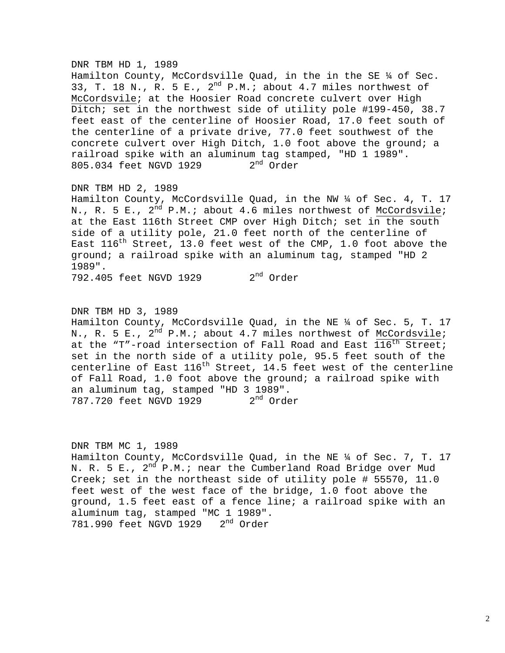### DNR TBM HD 1, 1989

Hamilton County, McCordsville Quad, in the in the SE  $\frac{1}{4}$  of Sec. 33, T. 18 N., R. 5 E.,  $2^{nd}$  P.M.; about 4.7 miles northwest of McCordsvile; at the Hoosier Road concrete culvert over High Ditch; set in the northwest side of utility pole #199-450, 38.7 feet east of the centerline of Hoosier Road, 17.0 feet south of the centerline of a private drive, 77.0 feet southwest of the concrete culvert over High Ditch, 1.0 foot above the ground; a railroad spike with an aluminum tag stamped, "HD 1 1989".<br>805.034 feet NGVD 1929 2<sup>nd</sup> Order 805.034 feet NGVD 1929

# DNR TBM HD 2, 1989

Hamilton County, McCordsville Quad, in the NW ¼ of Sec. 4, T. 17 N., R. 5 E.,  $2^{nd}$  P.M.; about 4.6 miles northwest of McCordsvile; at the East 116th Street CMP over High Ditch; set in the south side of a utility pole, 21.0 feet north of the centerline of East  $116^{th}$  Street, 13.0 feet west of the CMP, 1.0 foot above the ground; a railroad spike with an aluminum tag, stamped "HD 2 1989".

792.405 feet NGVD 1929 2<sup>nd</sup> Order

DNR TBM HD 3, 1989 Hamilton County, McCordsville Quad, in the NE ¼ of Sec. 5, T. 17 N., R. 5 E.,  $2^{nd}$  P.M.; about 4.7 miles northwest of McCordsvile; at the "T"-road intersection of Fall Road and East  $116^{th}$  Street; set in the north side of a utility pole, 95.5 feet south of the centerline of East  $116^{th}$  Street, 14.5 feet west of the centerline of Fall Road, 1.0 foot above the ground; a railroad spike with an aluminum tag, stamped "HD 3 1989".<br>787.720 feet NGVD 1929  $2<sup>nd</sup>$  Order 787.720 feet NGVD 1929

# DNR TBM MC 1, 1989

Hamilton County, McCordsville Quad, in the NE ¼ of Sec. 7, T. 17 N. R. 5 E.,  $2^{nd}$  P.M.; near the Cumberland Road Bridge over Mud Creek; set in the northeast side of utility pole # 55570, 11.0 feet west of the west face of the bridge, 1.0 foot above the ground, 1.5 feet east of a fence line; a railroad spike with an aluminum tag, stamped "MC 1 1989". 781.990 feet NGVD 1929 2<sup>nd</sup> Order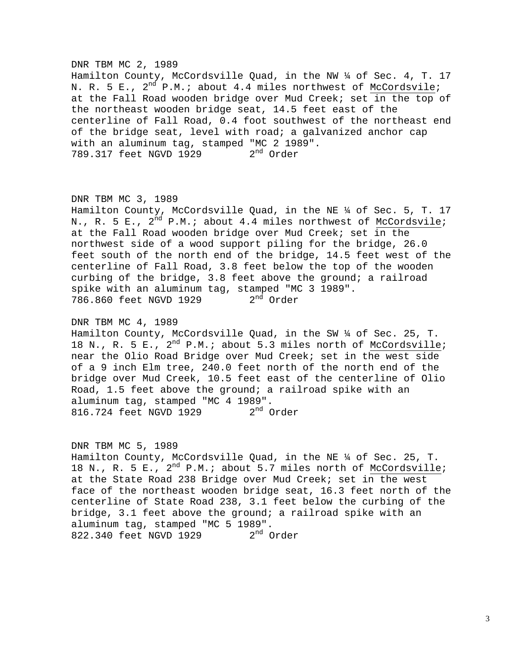#### DNR TBM MC 2, 1989

Hamilton County, McCordsville Quad, in the NW ¼ of Sec. 4, T. 17 N. R. 5 E.,  $2^{nd}$  P.M.; about 4.4 miles northwest of McCordsvile; at the Fall Road wooden bridge over Mud Creek; set in the top of the northeast wooden bridge seat, 14.5 feet east of the centerline of Fall Road, 0.4 foot southwest of the northeast end of the bridge seat, level with road; a galvanized anchor cap with an aluminum tag, stamped "MC 2 1989". 789.317 feet NGVD 1929 2<sup>nd</sup> Order

### DNR TBM MC 3, 1989

Hamilton County, McCordsville Quad, in the NE ¼ of Sec. 5, T. 17 N., R. 5 E.,  $2^{nd}$  P.M.; about 4.4 miles northwest of McCordsvile; at the Fall Road wooden bridge over Mud Creek; set in the northwest side of a wood support piling for the bridge, 26.0 feet south of the north end of the bridge, 14.5 feet west of the centerline of Fall Road, 3.8 feet below the top of the wooden curbing of the bridge, 3.8 feet above the ground; a railroad spike with an aluminum tag, stamped "MC 3 1989".<br>786.860 feet NGVD 1929  $2<sup>nd</sup>$  Order 786.860 feet NGVD 1929

### DNR TBM MC 4, 1989

Hamilton County, McCordsville Quad, in the SW ¼ of Sec. 25, T. 18 N., R. 5 E.,  $2^{nd}$  P.M.; about 5.3 miles north of McCordsville; near the Olio Road Bridge over Mud Creek; set in the west side of a 9 inch Elm tree, 240.0 feet north of the north end of the bridge over Mud Creek, 10.5 feet east of the centerline of Olio Road, 1.5 feet above the ground; a railroad spike with an aluminum tag, stamped "MC 4 1989". 816.724 feet NGVD 1929 2<sup>nd</sup> Order

#### DNR TBM MC 5, 1989

Hamilton County, McCordsville Quad, in the NE ¼ of Sec. 25, T. 18 N., R. 5 E.,  $2^{nd}$  P.M.; about 5.7 miles north of McCordsville; at the State Road 238 Bridge over Mud Creek; set in the west face of the northeast wooden bridge seat, 16.3 feet north of the centerline of State Road 238, 3.1 feet below the curbing of the bridge, 3.1 feet above the ground; a railroad spike with an aluminum tag, stamped "MC 5 1989".<br>822.340 feet NGVD 1929  $2<sup>nd</sup>$  Order 822.340 feet NGVD 1929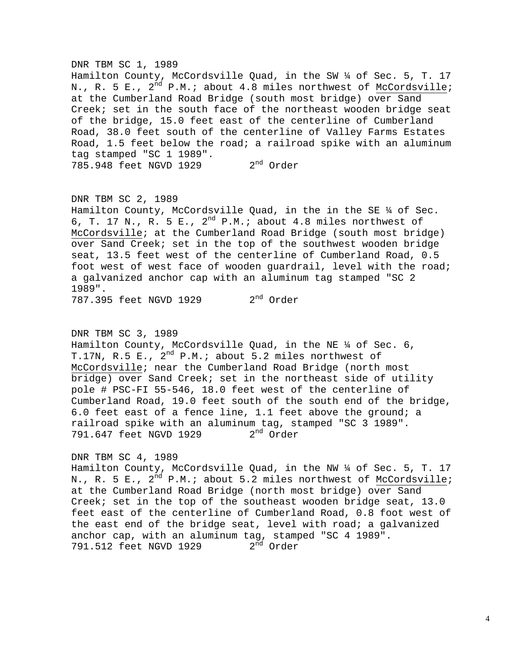#### DNR TBM SC 1, 1989

Hamilton County, McCordsville Quad, in the SW ¼ of Sec. 5, T. 17 N., R. 5 E., 2<sup>nd</sup> P.M.; about 4.8 miles northwest of McCordsville; at the Cumberland Road Bridge (south most bridge) over Sand Creek; set in the south face of the northeast wooden bridge seat of the bridge, 15.0 feet east of the centerline of Cumberland Road, 38.0 feet south of the centerline of Valley Farms Estates Road, 1.5 feet below the road; a railroad spike with an aluminum tag stamped "SC 1 1989". 785.948 feet NGVD 1929 2<sup>nd</sup> Order

### DNR TBM SC 2, 1989

Hamilton County, McCordsville Quad, in the in the SE ¼ of Sec. 6, T. 17 N., R. 5 E.,  $2^{nd}$  P.M.; about 4.8 miles northwest of McCordsville; at the Cumberland Road Bridge (south most bridge) over Sand Creek; set in the top of the southwest wooden bridge seat, 13.5 feet west of the centerline of Cumberland Road, 0.5 foot west of west face of wooden guardrail, level with the road; a galvanized anchor cap with an aluminum tag stamped "SC 2 1989". 787.395 feet NGVD 1929 2<sup>nd</sup> Order

#### DNR TBM SC 3, 1989

Hamilton County, McCordsville Quad, in the NE ¼ of Sec. 6, T.17N, R.5 E.,  $2^{nd}$  P.M.; about 5.2 miles northwest of McCordsville; near the Cumberland Road Bridge (north most bridge) over Sand Creek; set in the northeast side of utility pole # PSC-FI 55-546, 18.0 feet west of the centerline of Cumberland Road, 19.0 feet south of the south end of the bridge, 6.0 feet east of a fence line, 1.1 feet above the ground; a railroad spike with an aluminum tag, stamped "SC 3 1989". 791.647 feet NGVD 1929 2<sup>nd</sup> Order

#### DNR TBM SC 4, 1989

Hamilton County, McCordsville Quad, in the NW ¼ of Sec. 5, T. 17 N., R. 5 E.,  $2^{nd}$  P.M.; about 5.2 miles northwest of McCordsville; at the Cumberland Road Bridge (north most bridge) over Sand Creek; set in the top of the southeast wooden bridge seat, 13.0 feet east of the centerline of Cumberland Road, 0.8 foot west of the east end of the bridge seat, level with road; a galvanized anchor cap, with an aluminum tag, stamped "SC 4 1989". 791.512 feet NGVD 1929 2<sup>nd</sup> Order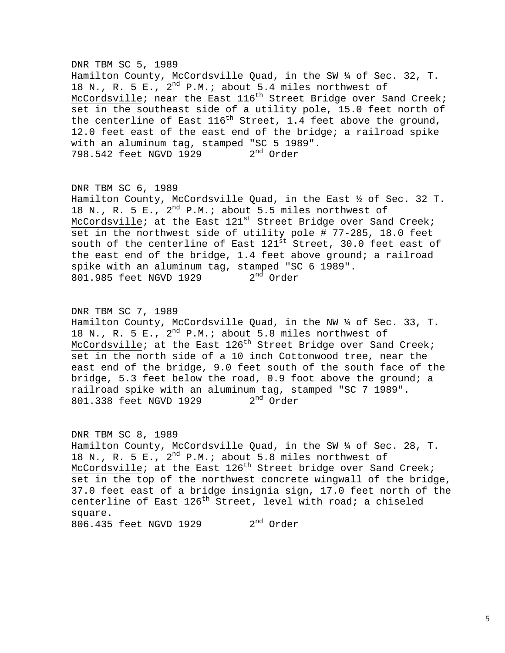# DNR TBM SC 5, 1989 Hamilton County, McCordsville Quad, in the SW ¼ of Sec. 32, T. 18 N., R. 5 E.,  $2^{nd}$  P.M.; about 5.4 miles northwest of McCordsville; near the East  $116^{th}$  Street Bridge over Sand Creek; set in the southeast side of a utility pole, 15.0 feet north of the centerline of East  $116^{th}$  Street, 1.4 feet above the ground, 12.0 feet east of the east end of the bridge; a railroad spike with an aluminum tag, stamped "SC 5 1989". 798.542 feet NGVD 1929 2<sup>nd</sup> Order

DNR TBM SC 6, 1989 Hamilton County, McCordsville Quad, in the East ½ of Sec. 32 T. 18 N., R. 5 E.,  $2^{nd}$  P.M.; about 5.5 miles northwest of McCordsville; at the East  $121^{st}$  Street Bridge over Sand Creek; set in the northwest side of utility pole # 77-285, 18.0 feet south of the centerline of East 121<sup>st</sup> Street, 30.0 feet east of the east end of the bridge, 1.4 feet above ground; a railroad spike with an aluminum tag, stamped "SC 6 1989".<br>801.985 feet NGVD 1929  $2<sup>nd</sup>$  Order 801.985 feet NGVD 1929

DNR TBM SC 7, 1989 Hamilton County, McCordsville Quad, in the NW ¼ of Sec. 33, T. 18 N., R. 5 E.,  $2^{nd}$  P.M.; about 5.8 miles northwest of McCordsville; at the East  $126<sup>th</sup>$  Street Bridge over Sand Creek; set in the north side of a 10 inch Cottonwood tree, near the east end of the bridge, 9.0 feet south of the south face of the bridge, 5.3 feet below the road, 0.9 foot above the ground; a railroad spike with an aluminum tag, stamped "SC 7 1989".<br>801.338 feet NGVD 1929  $2<sup>nd</sup>$  Order 801.338 feet NGVD 1929

DNR TBM SC 8, 1989 Hamilton County, McCordsville Quad, in the SW ¼ of Sec. 28, T. 18 N., R. 5 E.,  $2^{nd}$  P.M.; about 5.8 miles northwest of McCordsville; at the East  $126<sup>th</sup>$  Street bridge over Sand Creek; set in the top of the northwest concrete wingwall of the bridge, 37.0 feet east of a bridge insignia sign, 17.0 feet north of the centerline of East  $126^{th}$  Street, level with road; a chiseled square. 806.435 feet NGVD 1929 2<sup>nd</sup> Order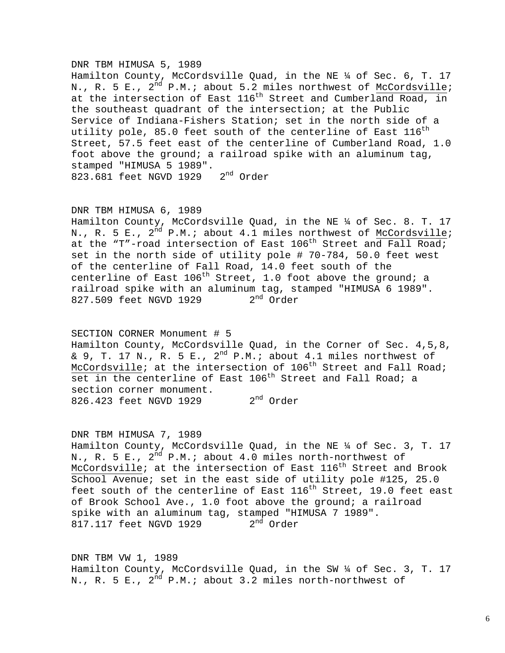### DNR TBM HIMUSA 5, 1989

Hamilton County, McCordsville Quad, in the NE ¼ of Sec. 6, T. 17 N., R. 5 E.,  $2^{nd}$  P.M.; about 5.2 miles northwest of McCordsville; at the intersection of East 116<sup>th</sup> Street and Cumberland Road, in the southeast quadrant of the intersection; at the Public Service of Indiana-Fishers Station; set in the north side of a utility pole, 85.0 feet south of the centerline of East  $116^{\rm th}$ Street, 57.5 feet east of the centerline of Cumberland Road, 1.0 foot above the ground; a railroad spike with an aluminum tag, stamped "HIMUSA 5 1989". 823.681 feet NGVD 1929 2<sup>nd</sup> Order

#### DNR TBM HIMUSA 6, 1989

Hamilton County, McCordsville Quad, in the NE ¼ of Sec. 8. T. 17 N., R. 5 E.,  $2^{nd}$  P.M.; about 4.1 miles northwest of McCordsville; at the "T"-road intersection of East  $106<sup>th</sup>$  Street and Fall Road; set in the north side of utility pole # 70-784, 50.0 feet west of the centerline of Fall Road, 14.0 feet south of the centerline of East  $106^{th}$  Street, 1.0 foot above the ground; a railroad spike with an aluminum tag, stamped "HIMUSA 6 1989".<br>827.509 feet NGVD 1929  $2<sup>nd</sup>$  Order 827.509 feet NGVD 1929

SECTION CORNER Monument # 5 Hamilton County, McCordsville Quad, in the Corner of Sec. 4,5,8, & 9, T. 17 N., R. 5 E., 2<sup>nd</sup> P.M.; about 4.1 miles northwest of McCordsville; at the intersection of  $106<sup>th</sup>$  Street and Fall Road; set in the centerline of East 106<sup>th</sup> Street and Fall Road; a section corner monument. 826.423 feet NGVD 1929 2<sup>nd</sup> Order

#### DNR TBM HIMUSA 7, 1989

Hamilton County, McCordsville Quad, in the NE ¼ of Sec. 3, T. 17 N., R. 5 E.,  $2^{\overline{n}d}$  P.M.; about 4.0 miles north-northwest of McCordsville; at the intersection of East 116<sup>th</sup> Street and Brook School Avenue; set in the east side of utility pole #125, 25.0 feet south of the centerline of East  $116<sup>th</sup>$  Street, 19.0 feet east of Brook School Ave., 1.0 foot above the ground; a railroad spike with an aluminum tag, stamped "HIMUSA 7 1989".<br>817.117 feet NGVD 1929  $2<sup>nd</sup>$  Order 817.117 feet NGVD 1929

DNR TBM VW 1, 1989 Hamilton County, McCordsville Quad, in the SW ¼ of Sec. 3, T. 17 N., R. 5 E.,  $2^{nd}$  P.M.; about 3.2 miles north-northwest of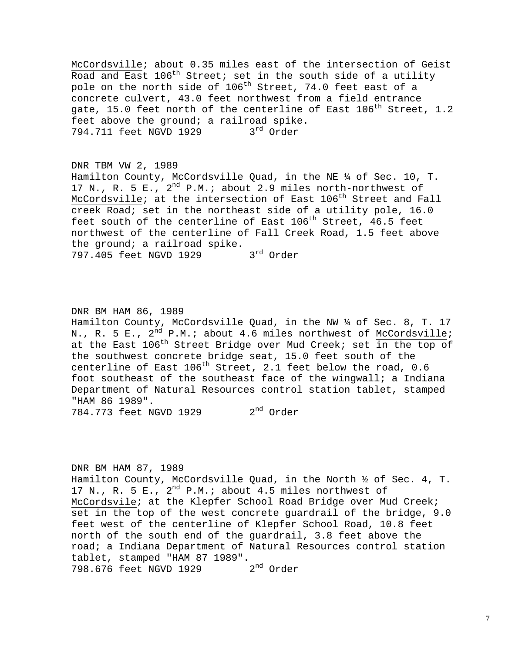McCordsville; about 0.35 miles east of the intersection of Geist Road and East 106<sup>th</sup> Street; set in the south side of a utility pole on the north side of 106<sup>th</sup> Street, 74.0 feet east of a concrete culvert, 43.0 feet northwest from a field entrance gate, 15.0 feet north of the centerline of East  $106<sup>th</sup>$  Street, 1.2 feet above the ground; a railroad spike. 794.711 feet NGVD 1929 3rd Order

### DNR TBM VW 2, 1989

Hamilton County, McCordsville Quad, in the NE ¼ of Sec. 10, T. 17 N., R. 5 E.,  $2^{nd}$  P.M.; about 2.9 miles north-northwest of McCordsville; at the intersection of East 106<sup>th</sup> Street and Fall creek Road; set in the northeast side of a utility pole, 16.0 feet south of the centerline of East  $106^{th}$  Street,  $46.5$  feet northwest of the centerline of Fall Creek Road, 1.5 feet above the ground; a railroad spike.<br>797.405 feet NGVD 1929 3<sup>rd</sup> Order 797.405 feet NGVD 1929

### DNR BM HAM 86, 1989

Hamilton County, McCordsville Quad, in the NW ¼ of Sec. 8, T. 17 N., R. 5 E.,  $2^{nd}$  P.M.; about 4.6 miles northwest of McCordsville; at the East  $106^{th}$  Street Bridge over Mud Creek; set in the top of the southwest concrete bridge seat, 15.0 feet south of the centerline of East  $106^{th}$  Street, 2.1 feet below the road, 0.6 foot southeast of the southeast face of the wingwall; a Indiana Department of Natural Resources control station tablet, stamped "HAM 86 1989".

784.773 feet NGVD 1929 2<sup>nd</sup> Order

#### DNR BM HAM 87, 1989

Hamilton County, McCordsville Quad, in the North ½ of Sec. 4, T. 17 N., R. 5 E.,  $2^{nd}$  P.M.; about 4.5 miles northwest of McCordsvile; at the Klepfer School Road Bridge over Mud Creek; set in the top of the west concrete guardrail of the bridge, 9.0 feet west of the centerline of Klepfer School Road, 10.8 feet north of the south end of the guardrail, 3.8 feet above the road; a Indiana Department of Natural Resources control station tablet, stamped "HAM 87 1989". 798.676 feet NGVD 1929 2<sup>nd</sup> Order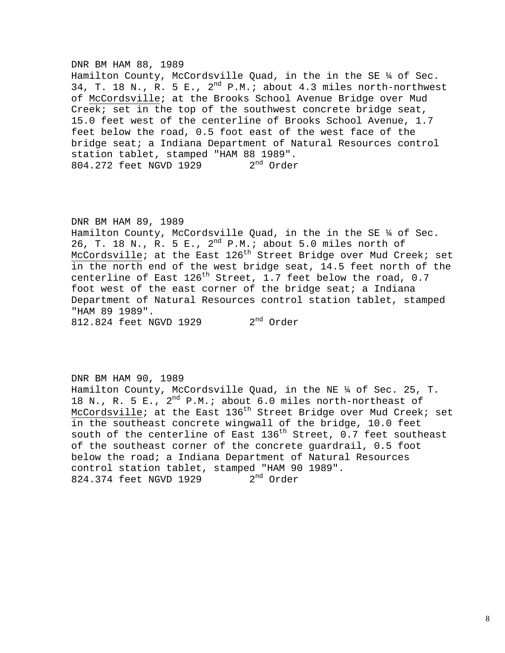#### DNR BM HAM 88, 1989

Hamilton County, McCordsville Quad, in the in the SE  $\frac{1}{4}$  of Sec. 34, T. 18 N., R. 5 E.,  $2^{nd}$  P.M.; about 4.3 miles north-northwest of McCordsville; at the Brooks School Avenue Bridge over Mud Creek; set in the top of the southwest concrete bridge seat, 15.0 feet west of the centerline of Brooks School Avenue, 1.7 feet below the road, 0.5 foot east of the west face of the bridge seat; a Indiana Department of Natural Resources control station tablet, stamped "HAM 88 1989".<br>804.272 feet NGVD 1929 2<sup>nd</sup> Order 804.272 feet NGVD 1929

### DNR BM HAM 89, 1989

Hamilton County, McCordsville Quad, in the in the SE ¼ of Sec. 26, T. 18 N., R. 5 E., 2<sup>nd</sup> P.M.; about 5.0 miles north of McCordsville; at the East  $126<sup>th</sup>$  Street Bridge over Mud Creek; set in the north end of the west bridge seat, 14.5 feet north of the centerline of East  $126^{th}$  Street, 1.7 feet below the road, 0.7 foot west of the east corner of the bridge seat; a Indiana Department of Natural Resources control station tablet, stamped "HAM 89 1989".

812.824 feet NGVD 1929 2<sup>nd</sup> Order

# DNR BM HAM 90, 1989 Hamilton County, McCordsville Quad, in the NE ¼ of Sec. 25, T. 18 N., R. 5 E.,  $2^{nd}$  P.M.; about 6.0 miles north-northeast of McCordsville; at the East  $136<sup>th</sup>$  Street Bridge over Mud Creek; set in the southeast concrete wingwall of the bridge, 10.0 feet south of the centerline of East  $136^{th}$  Street, 0.7 feet southeast of the southeast corner of the concrete guardrail, 0.5 foot below the road; a Indiana Department of Natural Resources control station tablet, stamped "HAM 90 1989".<br>824.374 feet NGVD 1929  $2<sup>nd</sup>$  Order 824.374 feet NGVD 1929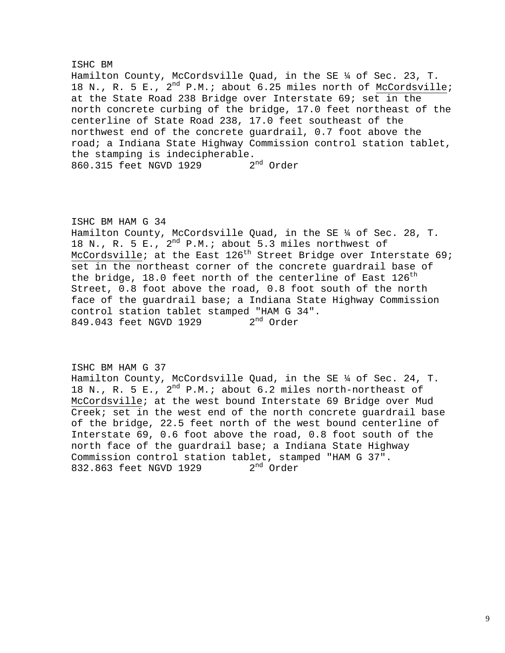# ISHC BM Hamilton County, McCordsville Quad, in the SE ¼ of Sec. 23, T. 18 N., R. 5 E.,  $2^{nd}$  P.M.; about 6.25 miles north of McCordsville; at the State Road 238 Bridge over Interstate 69; set in the north concrete curbing of the bridge, 17.0 feet northeast of the centerline of State Road 238, 17.0 feet southeast of the northwest end of the concrete guardrail, 0.7 foot above the road; a Indiana State Highway Commission control station tablet, the stamping is indecipherable.<br>860.315 feet NGVD 1929 2<sup>nd</sup> Order 860.315 feet NGVD 1929

# ISHC BM HAM G 34 Hamilton County, McCordsville Quad, in the SE ¼ of Sec. 28, T. 18 N., R. 5 E.,  $2^{nd}$  P.M.; about 5.3 miles northwest of McCordsville; at the East  $126<sup>th</sup>$  Street Bridge over Interstate 69; set in the northeast corner of the concrete guardrail base of the bridge, 18.0 feet north of the centerline of East  $126^{\text{th}}$ Street, 0.8 foot above the road, 0.8 foot south of the north face of the guardrail base; a Indiana State Highway Commission control station tablet stamped "HAM G 34".<br>849.043 feet NGVD 1929 2<sup>nd</sup> Order 849.043 feet NGVD 1929

ISHC BM HAM G 37 Hamilton County, McCordsville Quad, in the SE ¼ of Sec. 24, T. 18 N., R. 5 E.,  $2^{nd}$  P.M.; about 6.2 miles north-northeast of McCordsville; at the west bound Interstate 69 Bridge over Mud Creek; set in the west end of the north concrete guardrail base of the bridge, 22.5 feet north of the west bound centerline of Interstate 69, 0.6 foot above the road, 0.8 foot south of the north face of the guardrail base; a Indiana State Highway Commission control station tablet, stamped "HAM G 37".<br>832.863 feet NGVD 1929  $2<sup>nd</sup>$  Order 832.863 feet NGVD 1929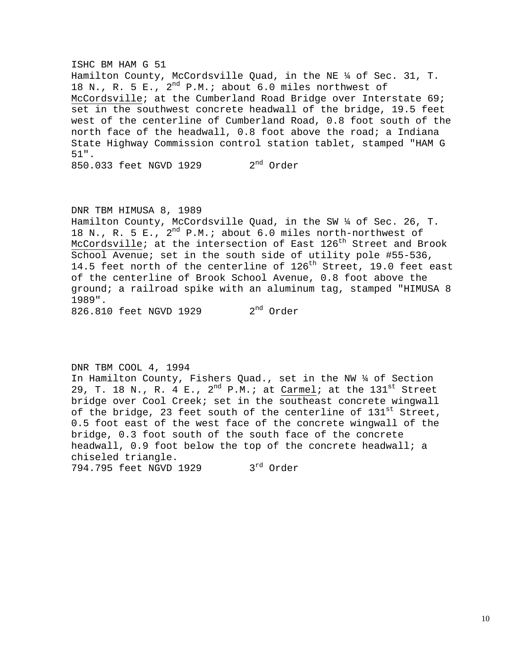ISHC BM HAM G 51 Hamilton County, McCordsville Quad, in the NE ¼ of Sec. 31, T. 18 N., R. 5 E.,  $2^{nd}$  P.M.; about 6.0 miles northwest of McCordsville; at the Cumberland Road Bridge over Interstate 69; set in the southwest concrete headwall of the bridge, 19.5 feet west of the centerline of Cumberland Road, 0.8 foot south of the north face of the headwall, 0.8 foot above the road; a Indiana State Highway Commission control station tablet, stamped "HAM G 51".  $850.033$  feet NGVD 1929  $2<sup>nd</sup>$  Order

#### DNR TBM HIMUSA 8, 1989

Hamilton County, McCordsville Quad, in the SW ¼ of Sec. 26, T. 18 N., R. 5 E.,  $2^{nd}$  P.M.; about 6.0 miles north-northwest of McCordsville; at the intersection of East  $126<sup>th</sup>$  Street and Brook School Avenue; set in the south side of utility pole #55-536, 14.5 feet north of the centerline of 126<sup>th</sup> Street, 19.0 feet east of the centerline of Brook School Avenue, 0.8 foot above the ground; a railroad spike with an aluminum tag, stamped "HIMUSA 8 1989".

826.810 feet NGVD 1929 2<sup>nd</sup> Order

### DNR TBM COOL 4, 1994

In Hamilton County, Fishers Quad., set in the NW ¼ of Section 29, T. 18 N., R. 4 E.,  $2^{nd}$  P.M.; at  $Carmel$ ; at the  $131^{st}$  Street bridge over Cool Creek; set in the southeast concrete wingwall of the bridge, 23 feet south of the centerline of 131<sup>st</sup> Street, 0.5 foot east of the west face of the concrete wingwall of the bridge, 0.3 foot south of the south face of the concrete headwall, 0.9 foot below the top of the concrete headwall; a chiseled triangle.

794.795 feet NGVD 1929 3rd Order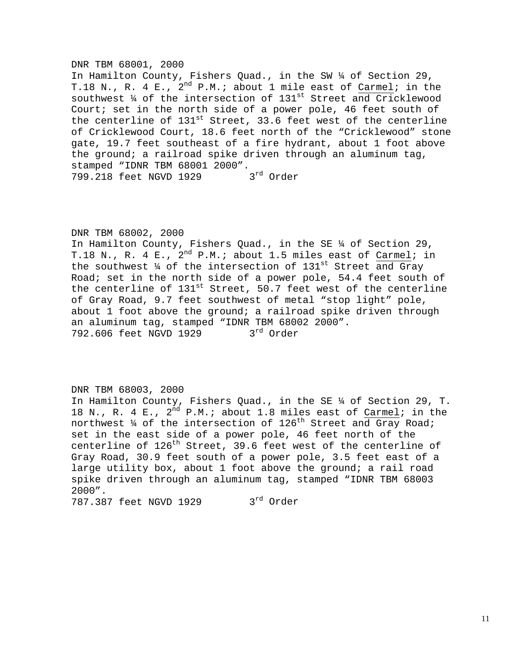### DNR TBM 68001, 2000

In Hamilton County, Fishers Quad., in the SW ¼ of Section 29, T.18 N., R. 4 E.,  $2^{nd}$  P.M.; about 1 mile east of Carmel; in the southwest 4 of the intersection of 131st Street and Cricklewood Court; set in the north side of a power pole, 46 feet south of the centerline of  $131^{st}$  Street, 33.6 feet west of the centerline of Cricklewood Court, 18.6 feet north of the "Cricklewood" stone gate, 19.7 feet southeast of a fire hydrant, about 1 foot above the ground; a railroad spike driven through an aluminum tag, stamped "IDNR TBM 68001 2000". 3rd Order 799.218 feet NGVD 1929

### DNR TBM 68002, 2000

In Hamilton County, Fishers Quad., in the SE ¼ of Section 29, T.18 N., R. 4 E.,  $2^{nd}$  P.M.; about 1.5 miles east of Carmel; in the southwest  $\frac{1}{4}$  of the intersection of  $131^{st}$  Street and Gray Road; set in the north side of a power pole, 54.4 feet south of the centerline of  $131^{st}$  Street, 50.7 feet west of the centerline of Gray Road, 9.7 feet southwest of metal "stop light" pole, about 1 foot above the ground; a railroad spike driven through an aluminum tag, stamped "IDNR TBM  $68002$  2000".<br>792.606 feet NGVD 1929  $3<sup>rd</sup>$  Order 792.606 feet NGVD 1929

### DNR TBM 68003, 2000

In Hamilton County, Fishers Quad., in the SE ¼ of Section 29, T. 18 N., R. 4 E.,  $2^{nd}$  P.M.; about 1.8 miles east of Carmel; in the northwest  $\frac{1}{4}$  of the intersection of 126<sup>th</sup> Street and Gray Road; set in the east side of a power pole, 46 feet north of the centerline of 126<sup>th</sup> Street, 39.6 feet west of the centerline of Gray Road, 30.9 feet south of a power pole, 3.5 feet east of a large utility box, about 1 foot above the ground; a rail road spike driven through an aluminum tag, stamped "IDNR TBM 68003 2000". 787.387 feet NGVD 1929 3rd Order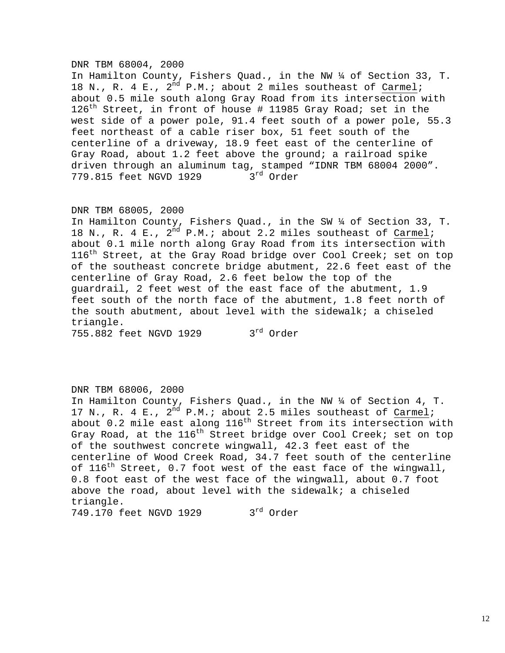#### DNR TBM 68004, 2000

In Hamilton County, Fishers Quad., in the NW ¼ of Section 33, T. 18 N., R. 4 E.,  $2^{nd}$  P.M.; about 2 miles southeast of Carmel; about 0.5 mile south along Gray Road from its intersection with 126<sup>th</sup> Street, in front of house # 11985 Gray Road; set in the west side of a power pole, 91.4 feet south of a power pole, 55.3 feet northeast of a cable riser box, 51 feet south of the centerline of a driveway, 18.9 feet east of the centerline of Gray Road, about 1.2 feet above the ground; a railroad spike driven through an aluminum tag, stamped "IDNR TBM 68004 2000".<br>779.815 feet NGVD 1929 3 $^{\text{rd}}$  Order 779.815 feet NGVD 1929

#### DNR TBM 68005, 2000

In Hamilton County, Fishers Quad., in the SW ¼ of Section 33, T. 18 N., R. 4 E.,  $2^{nd}$  P.M.; about 2.2 miles southeast of Carmel; about 0.1 mile north along Gray Road from its intersection with  $116<sup>th</sup>$  Street, at the Gray Road bridge over Cool Creek; set on top of the southeast concrete bridge abutment, 22.6 feet east of the centerline of Gray Road, 2.6 feet below the top of the guardrail, 2 feet west of the east face of the abutment, 1.9 feet south of the north face of the abutment, 1.8 feet north of the south abutment, about level with the sidewalk; a chiseled triangle.

755.882 feet NGVD 1929 3<sup>rd</sup> Order

### DNR TBM 68006, 2000

In Hamilton County, Fishers Quad., in the NW ¼ of Section 4, T. 17 N., R. 4 E.,  $2^{nd}$  P.M.; about 2.5 miles southeast of Carmel; about 0.2 mile east along 116<sup>th</sup> Street from its intersection with Gray Road, at the  $116^{th}$  Street bridge over Cool Creek; set on top of the southwest concrete wingwall, 42.3 feet east of the centerline of Wood Creek Road, 34.7 feet south of the centerline of  $116^{th}$  Street, 0.7 foot west of the east face of the wingwall, 0.8 foot east of the west face of the wingwall, about 0.7 foot above the road, about level with the sidewalk; a chiseled triangle. 749.170 feet NGVD 1929 3rd Order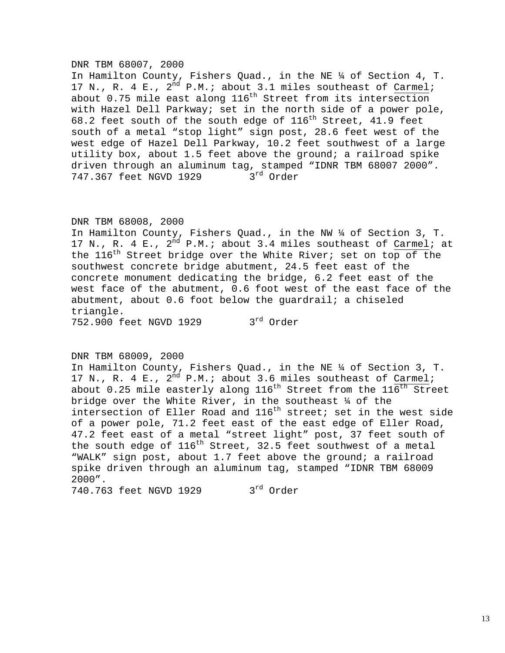#### DNR TBM 68007, 2000

In Hamilton County, Fishers Quad., in the NE ¼ of Section 4, T. 17 N., R. 4 E.,  $2^{nd}$  P.M.; about 3.1 miles southeast of Carmel; about  $0.75$  mile east along  $116<sup>th</sup>$  Street from its intersection with Hazel Dell Parkway; set in the north side of a power pole, 68.2 feet south of the south edge of  $116^{th}$  Street, 41.9 feet south of a metal "stop light" sign post, 28.6 feet west of the west edge of Hazel Dell Parkway, 10.2 feet southwest of a large utility box, about 1.5 feet above the ground; a railroad spike driven through an aluminum tag, stamped "IDNR TBM 68007 2000".<br>747.367 feet NGVD 1929 3 $^{\text{rd}}$  Order 747.367 feet NGVD 1929

### DNR TBM 68008, 2000

In Hamilton County, Fishers Quad., in the NW ¼ of Section 3, T. 17 N., R. 4 E.,  $2^{nd}$  P.M.; about 3.4 miles southeast of Carmel; at the 116<sup>th</sup> Street bridge over the White River; set on top of the southwest concrete bridge abutment, 24.5 feet east of the concrete monument dedicating the bridge, 6.2 feet east of the west face of the abutment, 0.6 foot west of the east face of the abutment, about 0.6 foot below the guardrail; a chiseled triangle.

752.900 feet NGVD 1929 3rd Order

### DNR TBM 68009, 2000

In Hamilton County, Fishers Quad., in the NE ¼ of Section 3, T. 17 N., R. 4 E.,  $2^{nd}$  P.M.; about 3.6 miles southeast of Carmel; about 0.25 mile easterly along 116<sup>th</sup> Street from the 116<sup>th</sup> Street bridge over the White River, in the southeast ¼ of the intersection of Eller Road and  $116^{th}$  street; set in the west side of a power pole, 71.2 feet east of the east edge of Eller Road, 47.2 feet east of a metal "street light" post, 37 feet south of the south edge of  $116^{th}$  Street, 32.5 feet southwest of a metal "WALK" sign post, about 1.7 feet above the ground; a railroad spike driven through an aluminum tag, stamped "IDNR TBM 68009 2000".

740.763 feet NGVD 1929 3rd Order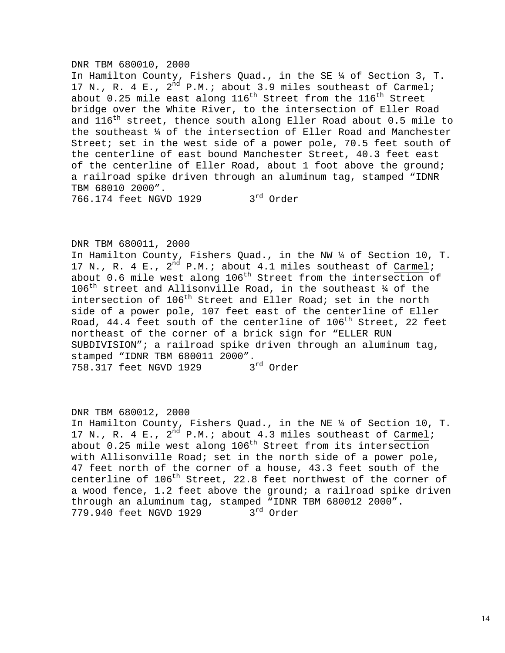#### DNR TBM 680010, 2000

In Hamilton County, Fishers Quad., in the SE ¼ of Section 3, T. 17 N., R. 4 E.,  $2^{nd}$  P.M.; about 3.9 miles southeast of Carmel; about 0.25 mile east along  $116^{th}$  Street from the  $116^{th}$  Street bridge over the White River, to the intersection of Eller Road and 116<sup>th</sup> street, thence south along Eller Road about 0.5 mile to the southeast ¼ of the intersection of Eller Road and Manchester Street; set in the west side of a power pole, 70.5 feet south of the centerline of east bound Manchester Street, 40.3 feet east of the centerline of Eller Road, about 1 foot above the ground; a railroad spike driven through an aluminum tag, stamped "IDNR TBM 68010 2000".

766.174 feet NGVD 1929 3rd Order

### DNR TBM 680011, 2000

In Hamilton County, Fishers Quad., in the NW ¼ of Section 10, T. 17 N., R. 4 E.,  $2^{nd}$  P.M.; about 4.1 miles southeast of Carmel; about 0.6 mile west along  $106<sup>th</sup>$  Street from the intersection of  $106^{\text{th}}$  street and Allisonville Road, in the southeast  $\frac{1}{4}$  of the intersection of 106<sup>th</sup> Street and Eller Road; set in the north side of a power pole, 107 feet east of the centerline of Eller Road, 44.4 feet south of the centerline of  $106<sup>th</sup>$  Street, 22 feet northeast of the corner of a brick sign for "ELLER RUN SUBDIVISION"; a railroad spike driven through an aluminum tag, stamped "IDNR TBM 680011 2000". 758.317 feet NGVD 1929 3rd Order

## DNR TBM 680012, 2000

In Hamilton County, Fishers Quad., in the NE ¼ of Section 10, T. 17 N., R. 4 E.,  $2^{nd}$  P.M.; about 4.3 miles southeast of Carmel; about  $0.25$  mile west along 106<sup>th</sup> Street from its intersection with Allisonville Road; set in the north side of a power pole, 47 feet north of the corner of a house, 43.3 feet south of the centerline of 106<sup>th</sup> Street, 22.8 feet northwest of the corner of a wood fence, 1.2 feet above the ground; a railroad spike driven through an aluminum tag, stamped "IDNR TBM 680012 2000".<br>779.940 feet NGVD 1929  $3<sup>rd</sup>$  Order 779.940 feet NGVD 1929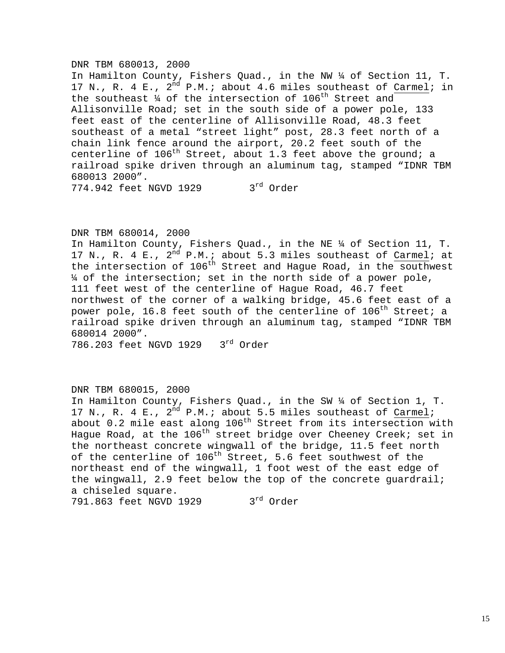### DNR TBM 680013, 2000

In Hamilton County, Fishers Quad., in the NW ¼ of Section 11, T. 17 N., R. 4 E.,  $2^{nd}$  P.M.; about 4.6 miles southeast of Carmel; in the southeast  $\frac{1}{4}$  of the intersection of 106<sup>th</sup> Street and Allisonville Road; set in the south side of a power pole, 133 feet east of the centerline of Allisonville Road, 48.3 feet southeast of a metal "street light" post, 28.3 feet north of a chain link fence around the airport, 20.2 feet south of the centerline of  $106<sup>th</sup>$  Street, about 1.3 feet above the ground; a railroad spike driven through an aluminum tag, stamped "IDNR TBM 680013 2000". 774.942 feet NGVD 1929 3rd Order

### DNR TBM 680014, 2000

In Hamilton County, Fishers Quad., in the NE ¼ of Section 11, T. 17 N., R. 4 E., 2<sup>nd</sup> P.M.; about 5.3 miles southeast of Carmel; at the intersection of 106<sup>th</sup> Street and Hague Road, in the southwest ¼ of the intersection; set in the north side of a power pole, 111 feet west of the centerline of Hague Road, 46.7 feet northwest of the corner of a walking bridge, 45.6 feet east of a power pole, 16.8 feet south of the centerline of 106<sup>th</sup> Street; a railroad spike driven through an aluminum tag, stamped "IDNR TBM 680014 2000".

786.203 feet NGVD 1929 3rd Order

# DNR TBM 680015, 2000

In Hamilton County, Fishers Quad., in the SW ¼ of Section 1, T. 17 N., R. 4 E.,  $2^{nd}$  P.M.; about 5.5 miles southeast of Carmel; about 0.2 mile east along 106<sup>th</sup> Street from its intersection with Hague Road, at the  $106^{th}$  street bridge over Cheeney Creek; set in the northeast concrete wingwall of the bridge, 11.5 feet north of the centerline of 106<sup>th</sup> Street, 5.6 feet southwest of the northeast end of the wingwall, 1 foot west of the east edge of the wingwall, 2.9 feet below the top of the concrete guardrail; a chiseled square. 791.863 feet NGVD 1929 3rd Order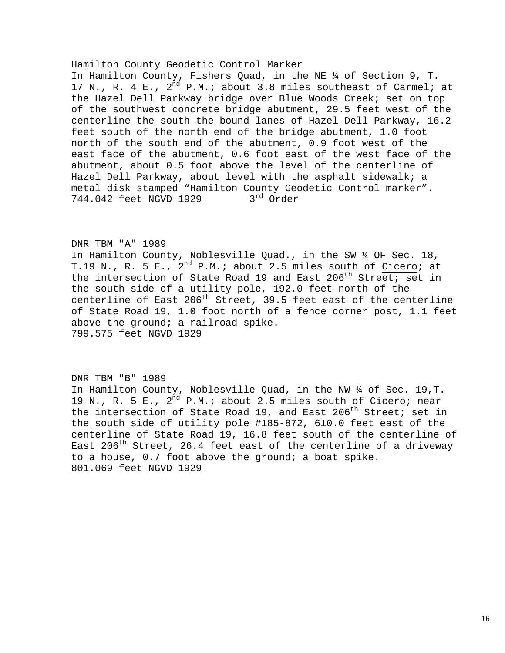#### Hamilton County Geodetic Control Marker

In Hamilton County, Fishers Quad, in the NE ¼ of Section 9, T. 17 N., R. 4 E.,  $2^{nd}$  P.M.; about 3.8 miles southeast of Carmel; at the Hazel Dell Parkway bridge over Blue Woods Creek; set on top of the southwest concrete bridge abutment, 29.5 feet west of the centerline the south the bound lanes of Hazel Dell Parkway, 16.2 feet south of the north end of the bridge abutment, 1.0 foot north of the south end of the abutment, 0.9 foot west of the east face of the abutment, 0.6 foot east of the west face of the abutment, about 0.5 foot above the level of the centerline of Hazel Dell Parkway, about level with the asphalt sidewalk; a metal disk stamped "Hamilton County Geodetic Control marker". 744.042 feet NGVD 1929 3rd Order

### DNR TBM "A" 1989

In Hamilton County, Noblesville Quad., in the SW ¼ OF Sec. 18, T.19 N., R. 5 E.,  $2^{nd}$  P.M.; about 2.5 miles south of Cicero; at the intersection of State Road 19 and East 206<sup>th</sup> Street; set in the south side of a utility pole, 192.0 feet north of the centerline of East  $206<sup>th</sup>$  Street, 39.5 feet east of the centerline of State Road 19, 1.0 foot north of a fence corner post, 1.1 feet above the ground; a railroad spike. 799.575 feet NGVD 1929

#### DNR TBM "B" 1989

In Hamilton County, Noblesville Quad, in the NW ¼ of Sec. 19,T. 19 N., R. 5 E.,  $2^{nd}$  P.M.; about 2.5 miles south of Cicero; near the intersection of State Road 19, and East  $206<sup>th</sup>$  Street; set in the south side of utility pole #185-872, 610.0 feet east of the centerline of State Road 19, 16.8 feet south of the centerline of East  $206<sup>th</sup>$  Street, 26.4 feet east of the centerline of a driveway to a house,  $0.7$  foot above the ground; a boat spike. 801.069 feet NGVD 1929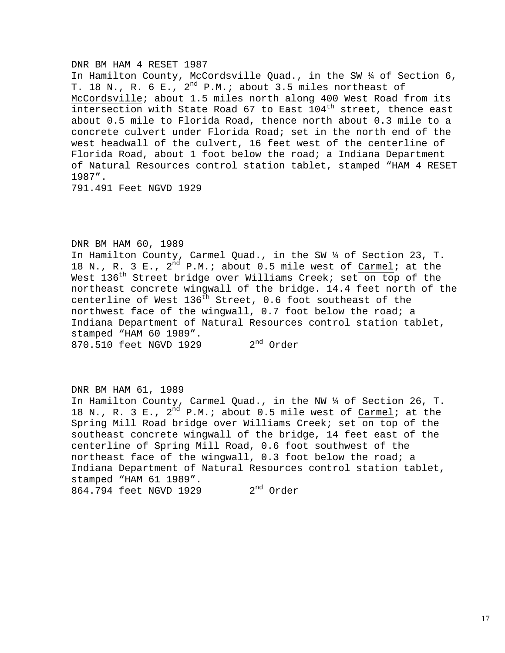#### DNR BM HAM 4 RESET 1987

In Hamilton County, McCordsville Quad., in the SW ¼ of Section 6, T. 18 N., R. 6 E.,  $2^{nd}$  P.M.; about 3.5 miles northeast of McCordsville; about 1.5 miles north along 400 West Road from its intersection with State Road 67 to East  $104<sup>th</sup>$  street, thence east about 0.5 mile to Florida Road, thence north about 0.3 mile to a concrete culvert under Florida Road; set in the north end of the west headwall of the culvert, 16 feet west of the centerline of Florida Road, about 1 foot below the road; a Indiana Department of Natural Resources control station tablet, stamped "HAM 4 RESET 1987".

791.491 Feet NGVD 1929

### DNR BM HAM 60, 1989

In Hamilton County, Carmel Quad., in the SW ¼ of Section 23, T. 18 N., R. 3 E.,  $2^{\overline{nd}}$  P.M.; about 0.5 mile west of Carmel; at the West 136<sup>th</sup> Street bridge over Williams Creek; set on top of the northeast concrete wingwall of the bridge. 14.4 feet north of the centerline of West  $136<sup>th</sup>$  Street, 0.6 foot southeast of the northwest face of the wingwall, 0.7 foot below the road; a Indiana Department of Natural Resources control station tablet, stamped "HAM 60 1989". 870.510 feet NGVD 1929 2<sup>nd</sup> Order

### DNR BM HAM 61, 1989

In Hamilton County, Carmel Quad., in the NW ¼ of Section 26, T. 18 N., R. 3 E.,  $2^{nd}$  P.M.; about 0.5 mile west of Carmel; at the Spring Mill Road bridge over Williams Creek; set on top of the southeast concrete wingwall of the bridge, 14 feet east of the centerline of Spring Mill Road, 0.6 foot southwest of the northeast face of the wingwall, 0.3 foot below the road; a Indiana Department of Natural Resources control station tablet, stamped "HAM 61 1989". 864.794 feet NGVD 1929 2<sup>nd</sup> Order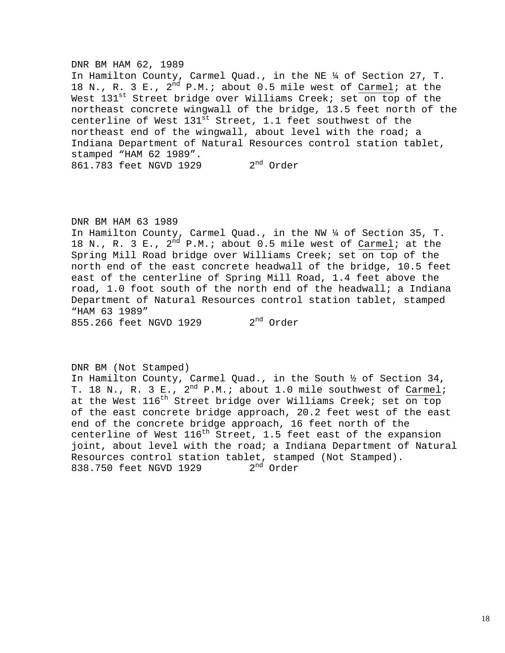#### DNR BM HAM 62, 1989

In Hamilton County, Carmel Quad., in the NE ¼ of Section 27, T. 18 N., R. 3 E.,  $2^{nd}$  P.M.; about 0.5 mile west of Carmel; at the West 131<sup>st</sup> Street bridge over Williams Creek; set on top of the northeast concrete wingwall of the bridge, 13.5 feet north of the centerline of West  $131^{st}$  Street, 1.1 feet southwest of the northeast end of the wingwall, about level with the road; a Indiana Department of Natural Resources control station tablet, stamped "HAM 62 1989". 861.783 feet NGVD 1929 2<sup>nd</sup> Order

#### DNR BM HAM 63 1989

In Hamilton County, Carmel Quad., in the NW ¼ of Section 35, T. 18 N., R. 3 E.,  $2^{nd}$  P.M.; about 0.5 mile west of Carmel; at the Spring Mill Road bridge over Williams Creek; set on top of the north end of the east concrete headwall of the bridge, 10.5 feet east of the centerline of Spring Mill Road, 1.4 feet above the road, 1.0 foot south of the north end of the headwall; a Indiana Department of Natural Resources control station tablet, stamped "HAM 63 1989"

855.266 feet NGVD 1929 2<sup>nd</sup> Order

### DNR BM (Not Stamped)

In Hamilton County, Carmel Quad., in the South ½ of Section 34, T. 18 N., R. 3 E., 2<sup>nd</sup> P.M.; about 1.0 mile southwest of Carmel; at the West  $116^{th}$  Street bridge over Williams Creek; set on top of the east concrete bridge approach, 20.2 feet west of the east end of the concrete bridge approach, 16 feet north of the centerline of West  $116<sup>th</sup>$  Street, 1.5 feet east of the expansion joint, about level with the road; a Indiana Department of Natural Resources control station tablet, stamped (Not Stamped).<br>838.750 feet NGVD 1929  $2<sup>nd</sup>$  Order 838.750 feet NGVD 1929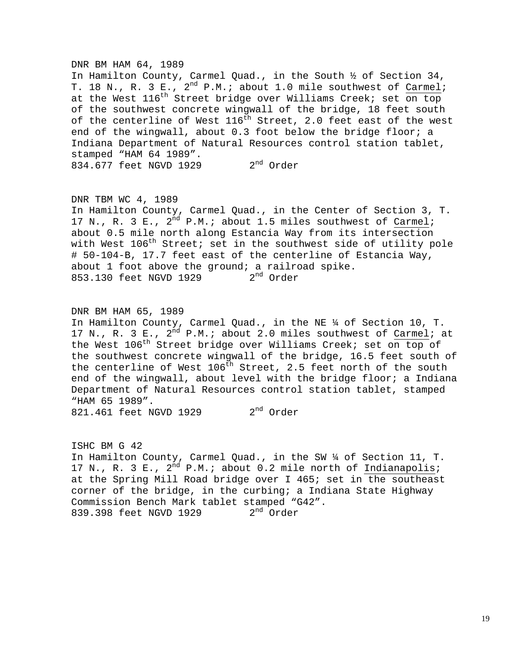#### DNR BM HAM 64, 1989

In Hamilton County, Carmel Quad., in the South ½ of Section 34, T. 18 N., R. 3 E.,  $2^{nd}$  P.M.; about 1.0 mile southwest of Carmel; at the West  $116^{th}$  Street bridge over Williams Creek; set on top of the southwest concrete wingwall of the bridge, 18 feet south of the centerline of West  $116^{th}$  Street, 2.0 feet east of the west end of the wingwall, about 0.3 foot below the bridge floor; a Indiana Department of Natural Resources control station tablet, stamped "HAM 64 1989". 834.677 feet NGVD 1929 2<sup>nd</sup> Order

### DNR TBM WC 4, 1989

In Hamilton County, Carmel Quad., in the Center of Section 3, T. 17 N., R. 3 E.,  $2^{nd}$  P.M.; about 1.5 miles southwest of Carmel; about 0.5 mile north along Estancia Way from its intersection with West  $106^{th}$  Street; set in the southwest side of utility pole # 50-104-B, 17.7 feet east of the centerline of Estancia Way, about 1 foot above the ground; a railroad spike. 853.130 feet NGVD 1929 2<sup>nd</sup> Order

DNR BM HAM 65, 1989 In Hamilton County, Carmel Quad., in the NE ¼ of Section 10, T. 17 N., R. 3 E.,  $2^{nd}$  P.M.; about 2.0 miles southwest of Carmel; at the West 106<sup>th</sup> Street bridge over Williams Creek; set on top of the southwest concrete wingwall of the bridge, 16.5 feet south of the centerline of West  $106<sup>th</sup>$  Street, 2.5 feet north of the south end of the wingwall, about level with the bridge floor; a Indiana Department of Natural Resources control station tablet, stamped "HAM 65 1989".

821.461 feet NGVD 1929 2<sup>nd</sup> Order

ISHC BM G 42 In Hamilton County, Carmel Quad., in the SW ¼ of Section 11, T. 17 N., R. 3 E.,  $2^{nd}$  P.M.; about 0.2 mile north of Indianapolis; at the Spring Mill Road bridge over I 465; set in the southeast corner of the bridge, in the curbing; a Indiana State Highway Commission Bench Mark tablet stamped "G42".<br>839.398 feet NGVD 1929  $2<sup>nd</sup>$  Order 839.398 feet NGVD 1929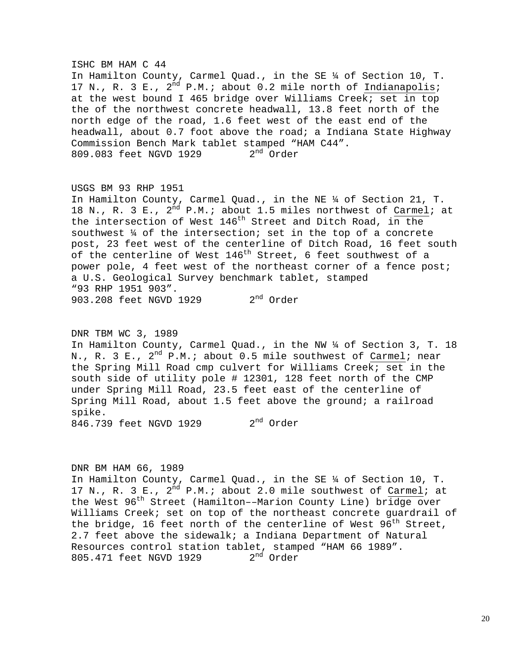# ISHC BM HAM C 44 In Hamilton County, Carmel Quad., in the SE ¼ of Section 10, T. 17 N., R. 3 E.,  $2^{nd}$  P.M.; about 0.2 mile north of Indianapolis; at the west bound I 465 bridge over Williams Creek; set in top the of the northwest concrete headwall, 13.8 feet north of the north edge of the road, 1.6 feet west of the east end of the headwall, about 0.7 foot above the road; a Indiana State Highway Commission Bench Mark tablet stamped "HAM C44". 809.083 feet NGVD 1929 2<sup>nd</sup> Order

# USGS BM 93 RHP 1951

In Hamilton County, Carmel Quad., in the NE ¼ of Section 21, T. 18 N., R. 3 E.,  $2^{nd}$  P.M.; about 1.5 miles northwest of Carmel; at the intersection of West 146<sup>th</sup> Street and Ditch Road, in the southwest ¼ of the intersection; set in the top of a concrete post, 23 feet west of the centerline of Ditch Road, 16 feet south of the centerline of West 146<sup>th</sup> Street, 6 feet southwest of a power pole, 4 feet west of the northeast corner of a fence post; a U.S. Geological Survey benchmark tablet, stamped "93 RHP 1951 903". 903.208 feet NGVD 1929 2<sup>nd</sup> Order

#### DNR TBM WC 3, 1989

In Hamilton County, Carmel Quad., in the NW ¼ of Section 3, T. 18 N., R. 3 E.,  $2^{nd}$  P.M.; about 0.5 mile southwest of Carmel; near the Spring Mill Road cmp culvert for Williams Creek; set in the south side of utility pole # 12301, 128 feet north of the CMP under Spring Mill Road, 23.5 feet east of the centerline of Spring Mill Road, about 1.5 feet above the ground; a railroad spike.

846.739 feet NGVD 1929 2<sup>nd</sup> Order

#### DNR BM HAM 66, 1989

In Hamilton County, Carmel Quad., in the SE ¼ of Section 10, T. 17 N., R. 3 E.,  $2^{nd}$  P.M.; about 2.0 mile southwest of Carmel; at the West 96<sup>th</sup> Street (Hamilton--Marion County Line) bridge over Williams Creek; set on top of the northeast concrete guardrail of the bridge, 16 feet north of the centerline of West  $96<sup>th</sup>$  Street, 2.7 feet above the sidewalk; a Indiana Department of Natural Resources control station tablet, stamped "HAM 66 1989".<br>805.471 feet NGVD 1929  $2<sup>nd</sup>$  Order 805.471 feet NGVD 1929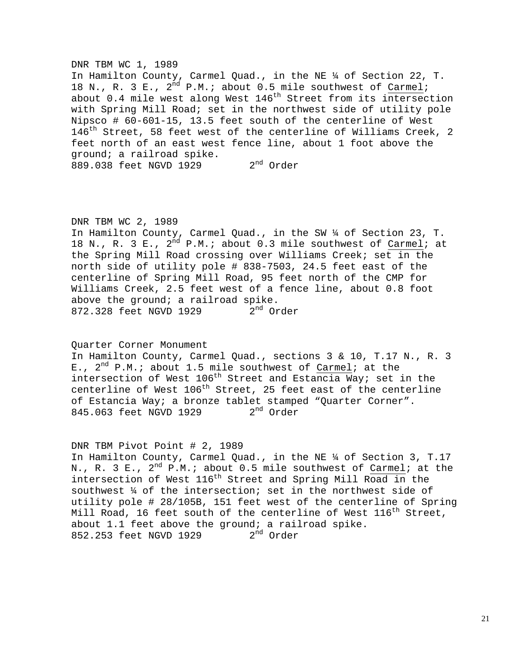### DNR TBM WC 1, 1989

In Hamilton County, Carmel Quad., in the NE ¼ of Section 22, T. 18 N., R. 3 E.,  $2^{nd}$  P.M.; about 0.5 mile southwest of Carmel; about 0.4 mile west along West 146<sup>th</sup> Street from its intersection with Spring Mill Road; set in the northwest side of utility pole Nipsco # 60-601-15, 13.5 feet south of the centerline of West 146<sup>th</sup> Street, 58 feet west of the centerline of Williams Creek, 2 feet north of an east west fence line, about 1 foot above the ground; a railroad spike. 889.038 feet NGVD 1929 2<sup>nd</sup> Order

## DNR TBM WC 2, 1989

In Hamilton County, Carmel Quad., in the SW ¼ of Section 23, T. 18 N., R. 3 E.,  $2^{\overline{n}d}$  P.M.; about 0.3 mile southwest of Carmel; at the Spring Mill Road crossing over Williams Creek; set in the north side of utility pole # 838-7503, 24.5 feet east of the centerline of Spring Mill Road, 95 feet north of the CMP for Williams Creek, 2.5 feet west of a fence line, about 0.8 foot above the ground; a railroad spike. 872.328 feet NGVD 1929 2<sup>nd</sup> Order

### Quarter Corner Monument

In Hamilton County, Carmel Quad., sections 3 & 10, T.17 N., R. 3 E.,  $2^{nd}$  P.M.; about 1.5 mile southwest of Carmel; at the intersection of West  $106<sup>th</sup>$  Street and Estancia Way; set in the centerline of West 106<sup>th</sup> Street, 25 feet east of the centerline of Estancia Way; a bronze tablet stamped "Quarter Corner".<br>845.063 feet NGVD 1929 2<sup>nd</sup> Order 845.063 feet NGVD 1929

### DNR TBM Pivot Point # 2, 1989

In Hamilton County, Carmel Quad., in the NE ¼ of Section 3, T.17 N., R. 3 E.,  $2^{nd}$  P.M.; about 0.5 mile southwest of Carmel; at the intersection of West  $116^{th}$  Street and Spring Mill Road in the southwest ¼ of the intersection; set in the northwest side of utility pole # 28/105B, 151 feet west of the centerline of Spring Mill Road, 16 feet south of the centerline of West  $116^{th}$  Street, about 1.1 feet above the ground; a railroad spike.<br>852.253 feet NGVD 1929  $2<sup>nd</sup>$  Order 852.253 feet NGVD 1929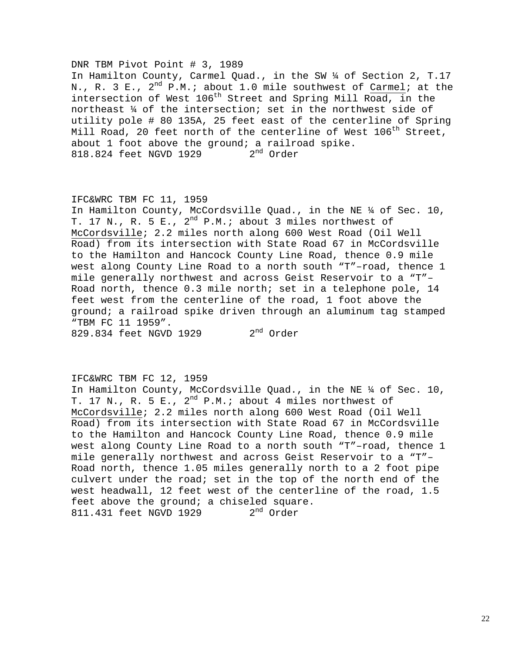### DNR TBM Pivot Point # 3, 1989

In Hamilton County, Carmel Quad., in the SW ¼ of Section 2, T.17 N., R. 3 E.,  $2^{nd}$  P.M.; about 1.0 mile southwest of Carmel; at the intersection of West  $106<sup>th</sup>$  Street and Spring Mill Road, in the northeast ¼ of the intersection; set in the northwest side of utility pole # 80 135A, 25 feet east of the centerline of Spring Mill Road, 20 feet north of the centerline of West  $106^{th}$  Street, about 1 foot above the ground; a railroad spike.<br>818.824 feet NGVD 1929 2<sup>nd</sup> Order 818.824 feet NGVD 1929

### IFC&WRC TBM FC 11, 1959

In Hamilton County, McCordsville Quad., in the NE ¼ of Sec. 10, T. 17 N., R. 5 E.,  $2^{nd}$  P.M.; about 3 miles northwest of McCordsville; 2.2 miles north along 600 West Road (Oil Well Road) from its intersection with State Road 67 in McCordsville to the Hamilton and Hancock County Line Road, thence 0.9 mile west along County Line Road to a north south "T"–road, thence 1 mile generally northwest and across Geist Reservoir to a "T"– Road north, thence 0.3 mile north; set in a telephone pole, 14 feet west from the centerline of the road, 1 foot above the ground; a railroad spike driven through an aluminum tag stamped "TBM FC 11 1959".

 $829.834$  feet NGVD 1929  $2<sup>nd</sup>$  Order

## IFC&WRC TBM FC 12, 1959

In Hamilton County, McCordsville Quad., in the NE ¼ of Sec. 10, T. 17 N., R. 5 E.,  $2^{nd}$  P.M.; about 4 miles northwest of McCordsville; 2.2 miles north along 600 West Road (Oil Well Road) from its intersection with State Road 67 in McCordsville to the Hamilton and Hancock County Line Road, thence 0.9 mile west along County Line Road to a north south "T"–road, thence 1 mile generally northwest and across Geist Reservoir to a "T"– Road north, thence 1.05 miles generally north to a 2 foot pipe culvert under the road; set in the top of the north end of the west headwall, 12 feet west of the centerline of the road, 1.5 feet above the ground; a chiseled square.<br>811.431 feet NGVD 1929  $2<sup>nd</sup>$  Order 811.431 feet NGVD 1929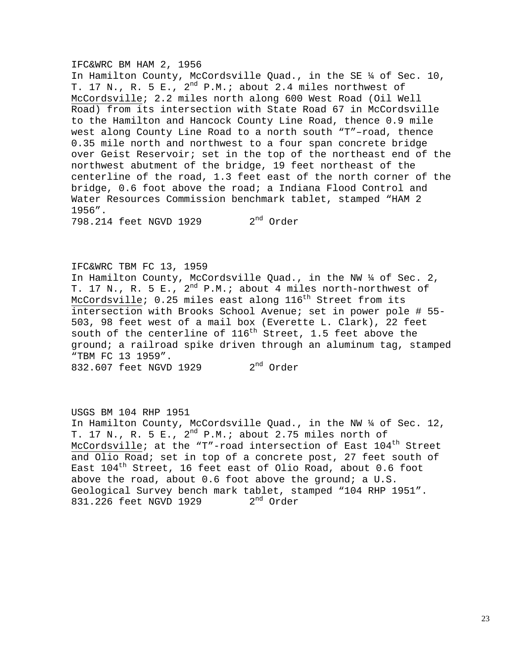### IFC&WRC BM HAM 2, 1956

In Hamilton County, McCordsville Quad., in the SE ¼ of Sec. 10, T. 17 N., R. 5 E.,  $2^{nd}$  P.M.; about 2.4 miles northwest of McCordsville; 2.2 miles north along 600 West Road (Oil Well Road) from its intersection with State Road 67 in McCordsville to the Hamilton and Hancock County Line Road, thence 0.9 mile west along County Line Road to a north south "T"–road, thence 0.35 mile north and northwest to a four span concrete bridge over Geist Reservoir; set in the top of the northeast end of the northwest abutment of the bridge, 19 feet northeast of the centerline of the road, 1.3 feet east of the north corner of the bridge, 0.6 foot above the road; a Indiana Flood Control and Water Resources Commission benchmark tablet, stamped "HAM 2 1956".

798.214 feet NGVD 1929 2<sup>nd</sup> Order

IFC&WRC TBM FC 13, 1959

In Hamilton County, McCordsville Quad., in the NW ¼ of Sec. 2, T. 17 N., R. 5 E.,  $2^{nd}$  P.M.; about 4 miles north-northwest of McCordsville;  $0.25$  miles east along  $116<sup>th</sup>$  Street from its intersection with Brooks School Avenue; set in power pole # 55-503, 98 feet west of a mail box (Everette L. Clark), 22 feet south of the centerline of  $116<sup>th</sup>$  Street, 1.5 feet above the ground; a railroad spike driven through an aluminum tag, stamped "TBM FC 13 1959". 832.607 feet NGVD 1929 2<sup>nd</sup> Order

USGS BM 104 RHP 1951 In Hamilton County, McCordsville Quad., in the NW ¼ of Sec. 12, T. 17 N., R. 5 E.,  $2^{nd}$  P.M.; about 2.75 miles north of McCordsville; at the "T"-road intersection of East  $104<sup>th</sup>$  Street and Olio Road; set in top of a concrete post, 27 feet south of East  $104<sup>th</sup>$  Street, 16 feet east of Olio Road, about 0.6 foot above the road, about  $0.6$  foot above the ground; a  $U.S.$ Geological Survey bench mark tablet, stamped "104 RHP 1951". 831.226 feet NGVD 1929 2<sup>nd</sup> Order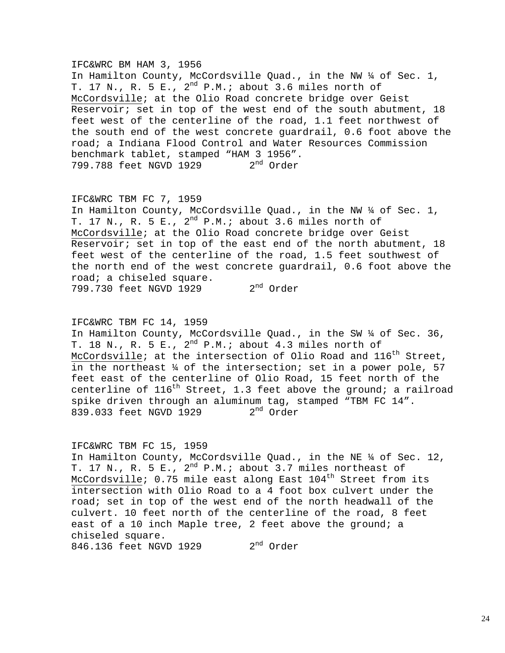### IFC&WRC BM HAM 3, 1956

In Hamilton County, McCordsville Quad., in the NW  $\frac{1}{4}$  of Sec. 1, T. 17 N., R. 5 E.,  $2^{nd}$  P.M.; about 3.6 miles north of McCordsville; at the Olio Road concrete bridge over Geist Reservoir; set in top of the west end of the south abutment,  $18$ feet west of the centerline of the road, 1.1 feet northwest of the south end of the west concrete guardrail, 0.6 foot above the road; a Indiana Flood Control and Water Resources Commission benchmark tablet, stamped "HAM 3 1956".<br>799.788 feet NGVD 1929 2<sup>nd</sup> Order 799.788 feet NGVD 1929

### IFC&WRC TBM FC 7, 1959

In Hamilton County, McCordsville Quad., in the NW ¼ of Sec. 1, T. 17 N., R. 5 E.,  $2^{nd}$  P.M.; about 3.6 miles north of McCordsville; at the Olio Road concrete bridge over Geist Reservoir; set in top of the east end of the north abutment, 18 feet west of the centerline of the road, 1.5 feet southwest of the north end of the west concrete guardrail, 0.6 foot above the road; a chiseled square. 799.730 feet NGVD 1929 2<sup>nd</sup> Order

IFC&WRC TBM FC 14, 1959

In Hamilton County, McCordsville Quad., in the SW ¼ of Sec. 36, T. 18 N., R. 5 E.,  $2^{nd}$  P.M.; about 4.3 miles north of McCordsville; at the intersection of Olio Road and  $116^{th}$  Street, in the northeast ¼ of the intersection; set in a power pole, 57 feet east of the centerline of Olio Road, 15 feet north of the centerline of  $116<sup>th</sup>$  Street, 1.3 feet above the ground; a railroad spike driven through an aluminum tag, stamped "TBM FC 14". 839.033 feet NGVD 1929 2<sup>nd</sup> Order

#### IFC&WRC TBM FC 15, 1959

In Hamilton County, McCordsville Quad., in the NE ¼ of Sec. 12, T. 17 N., R. 5 E.,  $2^{nd}$  P.M.; about 3.7 miles northeast of McCordsville;  $0.75$  mile east along East  $104<sup>th</sup>$  Street from its intersection with Olio Road to a 4 foot box culvert under the road; set in top of the west end of the north headwall of the culvert. 10 feet north of the centerline of the road, 8 feet east of a 10 inch Maple tree, 2 feet above the ground; a chiseled square. 846.136 feet NGVD 1929 2<sup>nd</sup> Order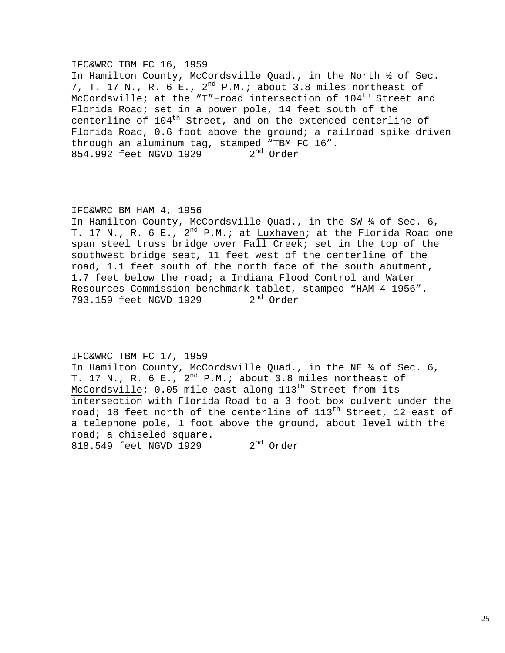## IFC&WRC TBM FC 16, 1959

In Hamilton County, McCordsville Quad., in the North ½ of Sec. 7, T. 17 N., R. 6 E.,  $2^{nd}$  P.M.; about 3.8 miles northeast of McCordsville; at the "T"-road intersection of  $104<sup>th</sup>$  Street and Florida Road; set in a power pole, 14 feet south of the centerline of 104<sup>th</sup> Street, and on the extended centerline of Florida Road, 0.6 foot above the ground; a railroad spike driven through an aluminum tag, stamped "TBM FC 16". 854.992 feet NGVD 1929 2<sup>nd</sup> Order

#### IFC&WRC BM HAM 4, 1956

In Hamilton County, McCordsville Quad., in the SW ¼ of Sec. 6, T. 17 N., R. 6 E.,  $2^{nd}$  P.M.; at Luxhaven; at the Florida Road one span steel truss bridge over Fall Creek; set in the top of the southwest bridge seat, 11 feet west of the centerline of the road, 1.1 feet south of the north face of the south abutment, 1.7 feet below the road; a Indiana Flood Control and Water Resources Commission benchmark tablet, stamped "HAM 4 1956".<br>793.159 feet NGVD 1929  $2<sup>nd</sup>$  Order 793.159 feet NGVD 1929

# IFC&WRC TBM FC 17, 1959

In Hamilton County, McCordsville Quad., in the NE ¼ of Sec. 6, T. 17 N., R. 6 E.,  $2^{nd}$  P.M.; about 3.8 miles northeast of McCordsville;  $0.05$  mile east along  $113<sup>th</sup>$  Street from its intersection with Florida Road to a 3 foot box culvert under the road; 18 feet north of the centerline of  $113<sup>th</sup>$  Street, 12 east of a telephone pole, 1 foot above the ground, about level with the road; a chiseled square. 818.549 feet NGVD 1929 2<sup>nd</sup> Order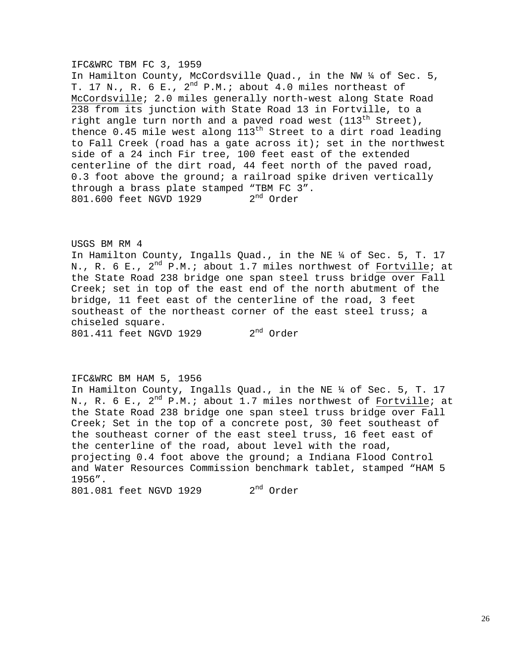### IFC&WRC TBM FC 3, 1959

In Hamilton County, McCordsville Quad., in the NW ¼ of Sec. 5, T. 17 N., R. 6 E.,  $2^{nd}$  P.M.; about 4.0 miles northeast of McCordsville; 2.0 miles generally north-west along State Road 238 from its junction with State Road 13 in Fortville, to a right angle turn north and a paved road west  $(113^{\text{th}}$  Street), thence 0.45 mile west along  $113<sup>th</sup>$  Street to a dirt road leading to Fall Creek (road has a gate across it); set in the northwest side of a 24 inch Fir tree, 100 feet east of the extended centerline of the dirt road, 44 feet north of the paved road, 0.3 foot above the ground; a railroad spike driven vertically through a brass plate stamped "TBM FC 3". 801.600 feet NGVD 1929 2<sup>nd</sup> Order

USGS BM RM 4 In Hamilton County, Ingalls Quad., in the NE ¼ of Sec. 5, T. 17 N., R. 6 E.,  $2^{nd}$  P.M.; about 1.7 miles northwest of Fortville; at the State Road 238 bridge one span steel truss bridge over Fall Creek; set in top of the east end of the north abutment of the bridge, 11 feet east of the centerline of the road, 3 feet southeast of the northeast corner of the east steel truss; a chiseled square. 801.411 feet NGVD 1929 2<sup>nd</sup> Order

### IFC&WRC BM HAM 5, 1956

In Hamilton County, Ingalls Quad., in the NE ¼ of Sec. 5, T. 17 N., R. 6 E.,  $2^{nd}$  P.M.; about 1.7 miles northwest of Fortville; at the State Road 238 bridge one span steel truss bridge over Fall Creek; Set in the top of a concrete post, 30 feet southeast of the southeast corner of the east steel truss, 16 feet east of the centerline of the road, about level with the road, projecting 0.4 foot above the ground; a Indiana Flood Control and Water Resources Commission benchmark tablet, stamped "HAM 5 1956". 801.081 feet NGVD 1929 2<sup>nd</sup> Order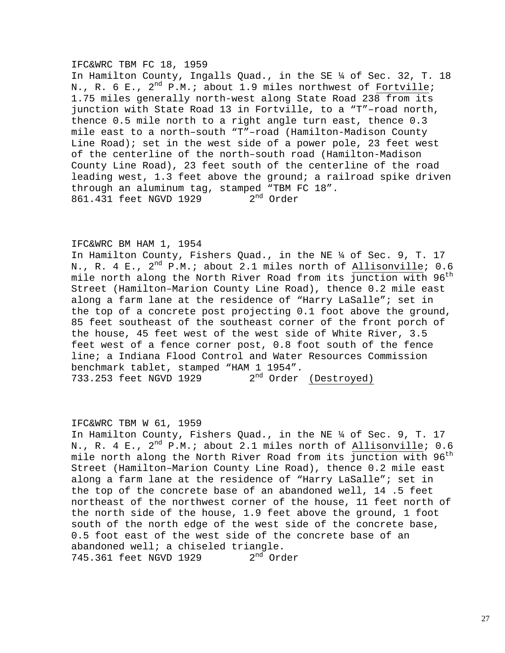#### IFC&WRC TBM FC 18, 1959

In Hamilton County, Ingalls Quad., in the SE ¼ of Sec. 32, T. 18 N., R. 6 E.,  $2^{nd}$  P.M.; about 1.9 miles northwest of Fortville; 1.75 miles generally north-west along State Road 238 from its junction with State Road 13 in Fortville, to a "T"–road north, thence 0.5 mile north to a right angle turn east, thence 0.3 mile east to a north–south "T"–road (Hamilton-Madison County Line Road); set in the west side of a power pole, 23 feet west of the centerline of the north–south road (Hamilton-Madison County Line Road), 23 feet south of the centerline of the road leading west, 1.3 feet above the ground; a railroad spike driven through an aluminum tag, stamped "TBM FC 18". 861.431 feet NGVD 1929 2<sup>nd</sup> Order

### IFC&WRC BM HAM 1, 1954

In Hamilton County, Fishers Quad., in the NE ¼ of Sec. 9, T. 17 N., R. 4 E.,  $2^{nd}$  P.M.; about 2.1 miles north of Allisonville; 0.6 mile north along the North River Road from its  $\overline{\text{junction with}}$  96<sup>th</sup> Street (Hamilton–Marion County Line Road), thence 0.2 mile east along a farm lane at the residence of "Harry LaSalle"; set in the top of a concrete post projecting 0.1 foot above the ground, 85 feet southeast of the southeast corner of the front porch of the house, 45 feet west of the west side of White River, 3.5 feet west of a fence corner post, 0.8 foot south of the fence line; a Indiana Flood Control and Water Resources Commission benchmark tablet, stamped "HAM 1 1954". 733.253 feet NGVD 1929 2<sup>nd</sup> Order (Destroyed)

#### IFC&WRC TBM W 61, 1959

In Hamilton County, Fishers Quad., in the NE ¼ of Sec. 9, T. 17 N., R. 4 E.,  $2^{nd}$  P.M.; about 2.1 miles north of Allisonville; 0.6 mile north along the North River Road from its  $\overline{\text{junction with}}$  96<sup>th</sup> Street (Hamilton–Marion County Line Road), thence 0.2 mile east along a farm lane at the residence of "Harry LaSalle"; set in the top of the concrete base of an abandoned well, 14 .5 feet northeast of the northwest corner of the house, 11 feet north of the north side of the house, 1.9 feet above the ground, 1 foot south of the north edge of the west side of the concrete base, 0.5 foot east of the west side of the concrete base of an abandoned well; a chiseled triangle.<br>745.361 feet NGVD 1929 2<sup>nd</sup> Order 745.361 feet NGVD 1929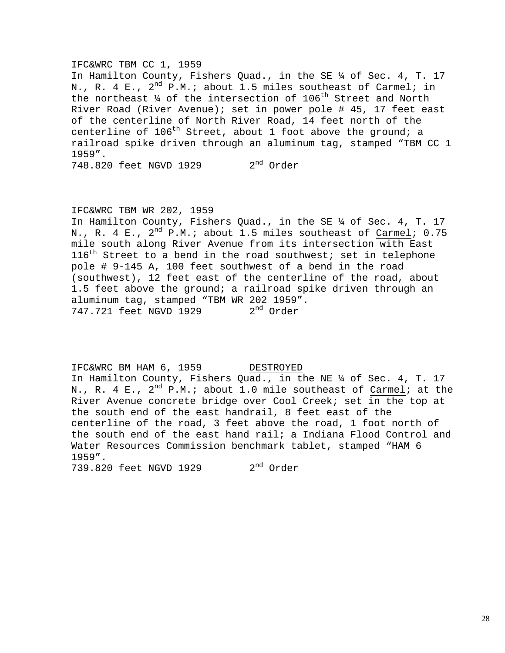### IFC&WRC TBM CC 1, 1959

In Hamilton County, Fishers Quad., in the SE ¼ of Sec. 4, T. 17 N., R. 4 E.,  $2^{nd}$  P.M.; about 1.5 miles southeast of Carmel; in the northeast  $\frac{1}{4}$  of the intersection of 106<sup>th</sup> Street and North River Road (River Avenue); set in power pole # 45, 17 feet east of the centerline of North River Road, 14 feet north of the centerline of  $106<sup>th</sup>$  Street, about 1 foot above the ground; a railroad spike driven through an aluminum tag, stamped "TBM CC 1 1959".

748.820 feet NGVD 1929 2<sup>nd</sup> Order

#### IFC&WRC TBM WR 202, 1959

In Hamilton County, Fishers Quad., in the SE ¼ of Sec. 4, T. 17 N., R. 4 E.,  $2^{nd}$  P.M.; about 1.5 miles southeast of Carmel; 0.75 mile south along River Avenue from its intersection with East  $116<sup>th</sup>$  Street to a bend in the road southwest; set in telephone pole # 9-145 A, 100 feet southwest of a bend in the road (southwest), 12 feet east of the centerline of the road, about 1.5 feet above the ground; a railroad spike driven through an aluminum tag, stamped "TBM WR 202 1959". 747.721 feet NGVD 1929 2<sup>nd</sup> Order

#### IFC&WRC BM HAM 6, 1959 DESTROYED

In Hamilton County, Fishers Quad., in the NE ¼ of Sec. 4, T. 17 N., R. 4 E.,  $2^{nd}$  P.M.; about 1.0 mile southeast of Carmel; at the River Avenue concrete bridge over Cool Creek; set in the top at the south end of the east handrail, 8 feet east of the centerline of the road, 3 feet above the road, 1 foot north of the south end of the east hand rail; a Indiana Flood Control and Water Resources Commission benchmark tablet, stamped "HAM 6 1959".

739.820 feet NGVD 1929 2<sup>nd</sup> Order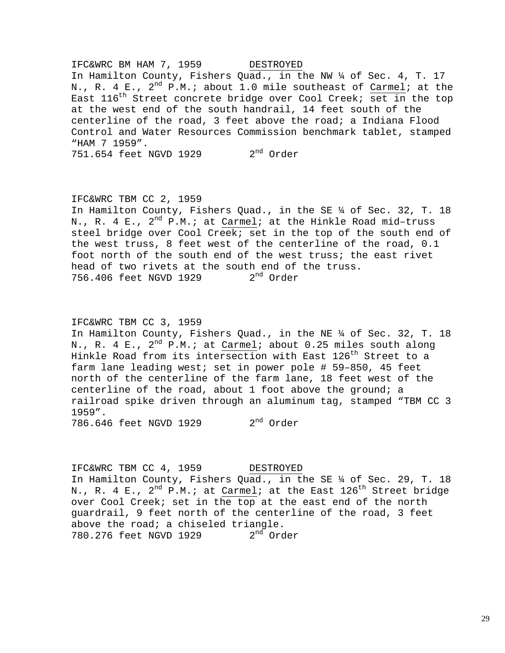IFC&WRC BM HAM 7, 1959 DESTROYED In Hamilton County, Fishers Quad., in the NW ¼ of Sec. 4, T. 17 N., R. 4 E.,  $2^{nd}$  P.M.; about 1.0 mile southeast of Carmel; at the East  $116^{th}$  Street concrete bridge over Cool Creek; set in the top at the west end of the south handrail, 14 feet south of the centerline of the road, 3 feet above the road; a Indiana Flood Control and Water Resources Commission benchmark tablet, stamped "HAM 7 1959".

751.654 feet NGVD 1929 2<sup>nd</sup> Order

### IFC&WRC TBM CC 2, 1959

In Hamilton County, Fishers Quad., in the SE ¼ of Sec. 32, T. 18 N., R. 4 E.,  $2^{nd}$  P.M.; at Carmel; at the Hinkle Road mid-truss steel bridge over Cool Creek; set in the top of the south end of the west truss, 8 feet west of the centerline of the road, 0.1 foot north of the south end of the west truss; the east rivet head of two rivets at the south end of the truss.<br>756.406 feet NGVD 1929  $2<sup>nd</sup>$  Order 756.406 feet NGVD 1929

### IFC&WRC TBM CC 3, 1959

In Hamilton County, Fishers Quad., in the NE ¼ of Sec. 32, T. 18 N., R. 4 E.,  $2^{nd}$  P.M.; at Carmel; about 0.25 miles south along Hinkle Road from its intersection with East 126<sup>th</sup> Street to a farm lane leading west; set in power pole # 59–850, 45 feet north of the centerline of the farm lane, 18 feet west of the centerline of the road, about 1 foot above the ground; a railroad spike driven through an aluminum tag, stamped "TBM CC 3 1959".

 $786.646$  feet NGVD 1929  $2<sup>nd</sup>$  Order

IFC&WRC TBM CC 4, 1959 DESTROYED In Hamilton County, Fishers Quad., in the SE ¼ of Sec. 29, T. 18 N., R. 4 E.,  $2^{nd}$  P.M.; at Carmel; at the East  $126^{th}$  Street bridge over Cool Creek; set in the top at the east end of the north guardrail, 9 feet north of the centerline of the road, 3 feet above the road; a chiseled triangle.<br>780.276 feet NGVD 1929  $2<sup>nd</sup>$  Order 780.276 feet NGVD 1929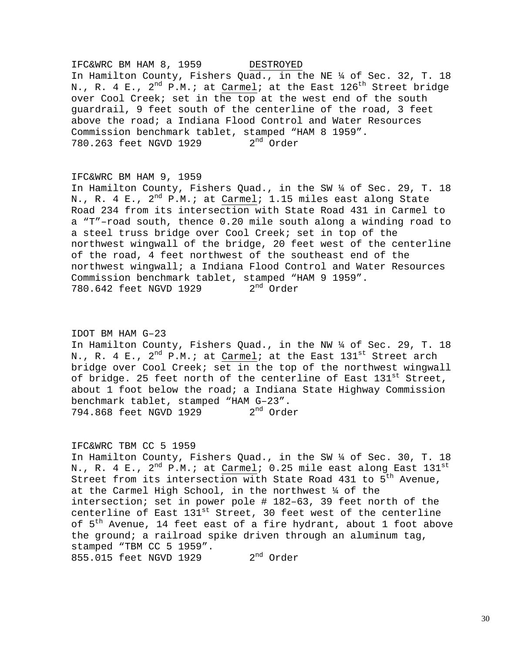# IFC&WRC BM HAM 8, 1959 DESTROYED In Hamilton County, Fishers Quad., in the NE ¼ of Sec. 32, T. 18 N., R. 4 E.,  $2^{nd}$  P.M.; at Carmel; at the East  $126^{th}$  Street bridge over Cool Creek; set in the top at the west end of the south guardrail, 9 feet south of the centerline of the road, 3 feet above the road; a Indiana Flood Control and Water Resources Commission benchmark tablet, stamped "HAM 8 1959".<br>780.263 feet NGVD 1929  $2<sup>nd</sup>$  Order 780.263 feet NGVD 1929

### IFC&WRC BM HAM 9, 1959

In Hamilton County, Fishers Quad., in the SW ¼ of Sec. 29, T. 18 N., R. 4 E.,  $2^{nd}$  P.M.; at Carmel; 1.15 miles east along State Road 234 from its intersection with State Road 431 in Carmel to a "T"–road south, thence 0.20 mile south along a winding road to a steel truss bridge over Cool Creek; set in top of the northwest wingwall of the bridge, 20 feet west of the centerline of the road, 4 feet northwest of the southeast end of the northwest wingwall; a Indiana Flood Control and Water Resources Commission benchmark tablet, stamped "HAM 9 1959". 780.642 feet NGVD 1929 2<sup>nd</sup> Order

#### IDOT BM HAM G–23

In Hamilton County, Fishers Quad., in the NW ¼ of Sec. 29, T. 18 N., R. 4 E.,  $2^{nd}$  P.M.; at Carmel; at the East  $131^{st}$  Street arch bridge over Cool Creek; set in the top of the northwest wingwall of bridge. 25 feet north of the centerline of East  $131^{\rm st}$  Street, about 1 foot below the road; a Indiana State Highway Commission benchmark tablet, stamped "HAM G-23".<br>794.868 feet NGVD 1929 2<sup>nd</sup> Order 794.868 feet NGVD 1929

#### IFC&WRC TBM CC 5 1959

In Hamilton County, Fishers Quad., in the SW ¼ of Sec. 30, T. 18 N., R.  $4$  E.,  $2^{\text{nd}}$  P.M.; at  $\text{Carmel: }$  0.25 mile east along East  $131^{\text{st}}$ Street from its intersection with State Road 431 to  $5<sup>th</sup>$  Avenue, at the Carmel High School, in the northwest ¼ of the intersection; set in power pole # 182–63, 39 feet north of the centerline of East 131<sup>st</sup> Street, 30 feet west of the centerline of 5<sup>th</sup> Avenue, 14 feet east of a fire hydrant, about 1 foot above the ground; a railroad spike driven through an aluminum tag, stamped "TBM CC 5 1959". 855.015 feet NGVD 1929 2<sup>nd</sup> Order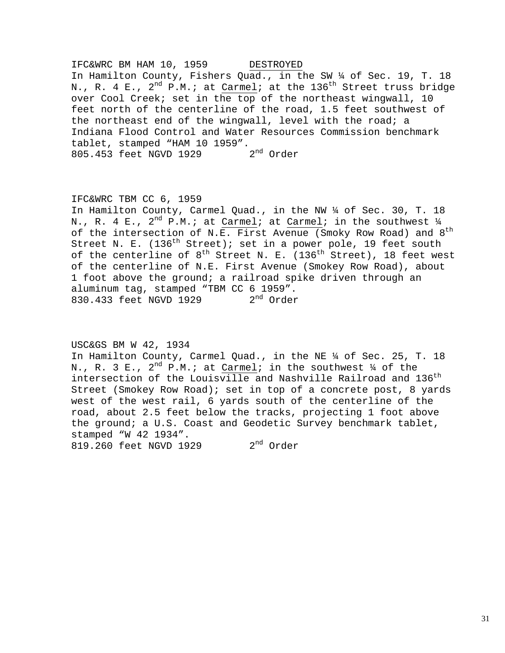IFC&WRC BM HAM 10, 1959 DESTROYED In Hamilton County, Fishers Quad., in the SW ¼ of Sec. 19, T. 18 N., R. 4 E.,  $2^{nd}$  P.M.; at Carmel; at the 136<sup>th</sup> Street truss bridge over Cool Creek; set in the top of the northeast wingwall, 10 feet north of the centerline of the road, 1.5 feet southwest of the northeast end of the wingwall, level with the road; a Indiana Flood Control and Water Resources Commission benchmark tablet, stamped "HAM 10 1959".<br>805.453 feet NGVD 1929 2<sup>nd</sup> Order 805.453 feet NGVD 1929

### IFC&WRC TBM CC 6, 1959

In Hamilton County, Carmel Quad., in the NW ¼ of Sec. 30, T. 18 N., R. 4 E.,  $2^{nd}$  P.M.; at Carmel; at Carmel; in the southwest  $\frac{1}{4}$ of the intersection of N.E. First Avenue (Smoky Row Road) and  $8^{\text{th}}$ Street N. E.  $(136<sup>th</sup> Street)$ ; set in a power pole, 19 feet south of the centerline of  $8^{th}$  Street N. E.  $(136^{th}$  Street), 18 feet west of the centerline of N.E. First Avenue (Smokey Row Road), about 1 foot above the ground; a railroad spike driven through an aluminum tag, stamped "TBM CC  $6$  1959".<br>830.433 feet NGVD 1929  $2<sup>nd</sup>$  Order 830.433 feet NGVD 1929

USC&GS BM W 42, 1934

In Hamilton County, Carmel Quad., in the NE ¼ of Sec. 25, T. 18 N., R. 3 E.,  $2^{nd}$  P.M.; at Carmel; in the southwest  $\frac{1}{4}$  of the intersection of the Louisville and Nashville Railroad and  $136^{\text{th}}$ Street (Smokey Row Road); set in top of a concrete post, 8 yards west of the west rail, 6 yards south of the centerline of the road, about 2.5 feet below the tracks, projecting 1 foot above the ground; a U.S. Coast and Geodetic Survey benchmark tablet, stamped "W 42 1934". 819.260 feet NGVD 1929 2<sup>nd</sup> Order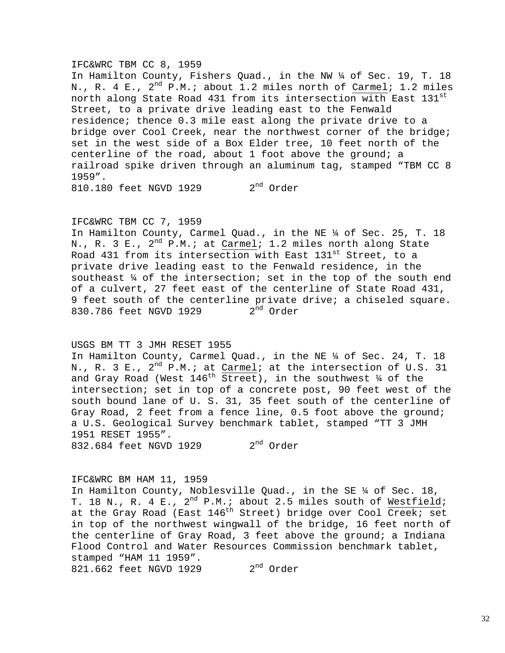#### IFC&WRC TBM CC 8, 1959

In Hamilton County, Fishers Quad., in the NW ¼ of Sec. 19, T. 18 N., R. 4 E., 2<sup>nd</sup> P.M.; about 1.2 miles north of Carmel; 1.2 miles north along State Road 431 from its intersection with East 131st Street, to a private drive leading east to the Fenwald residence; thence 0.3 mile east along the private drive to a bridge over Cool Creek, near the northwest corner of the bridge; set in the west side of a Box Elder tree, 10 feet north of the centerline of the road, about 1 foot above the ground; a railroad spike driven through an aluminum tag, stamped "TBM CC 8 1959". 810.180 feet NGVD 1929 2<sup>nd</sup> Order

### IFC&WRC TBM CC 7, 1959

In Hamilton County, Carmel Quad., in the NE ¼ of Sec. 25, T. 18 N., R. 3 E.,  $2^{nd}$  P.M.; at Carmel; 1.2 miles north along State Road 431 from its intersection with East 131<sup>st</sup> Street, to a private drive leading east to the Fenwald residence, in the southeast ¼ of the intersection; set in the top of the south end of a culvert, 27 feet east of the centerline of State Road 431, 9 feet south of the centerline private drive; a chiseled square.<br>830.786 feet NGVD 1929  $2<sup>nd</sup>$  Order 830.786 feet NGVD 1929

### USGS BM TT 3 JMH RESET 1955

In Hamilton County, Carmel Quad., in the NE ¼ of Sec. 24, T. 18 N., R. 3 E.,  $2^{nd}$  P.M.; at Carmel; at the intersection of U.S. 31 and Gray Road (West  $146^{th}$  Street), in the southwest  $\frac{1}{4}$  of the intersection; set in top of a concrete post, 90 feet west of the south bound lane of U. S. 31, 35 feet south of the centerline of Gray Road, 2 feet from a fence line, 0.5 foot above the ground; a U.S. Geological Survey benchmark tablet, stamped "TT 3 JMH 1951 RESET 1955". 832.684 feet NGVD 1929 2<sup>nd</sup> Order

### IFC&WRC BM HAM 11, 1959

In Hamilton County, Noblesville Quad., in the SE ¼ of Sec. 18, T. 18 N., R. 4 E., 2<sup>nd</sup> P.M.; about 2.5 miles south of Westfield; at the Gray Road (East 146<sup>th</sup> Street) bridge over Cool Creek; set in top of the northwest wingwall of the bridge, 16 feet north of the centerline of Gray Road, 3 feet above the ground; a Indiana Flood Control and Water Resources Commission benchmark tablet, stamped "HAM 11 1959". 821.662 feet NGVD 1929 2<sup>nd</sup> Order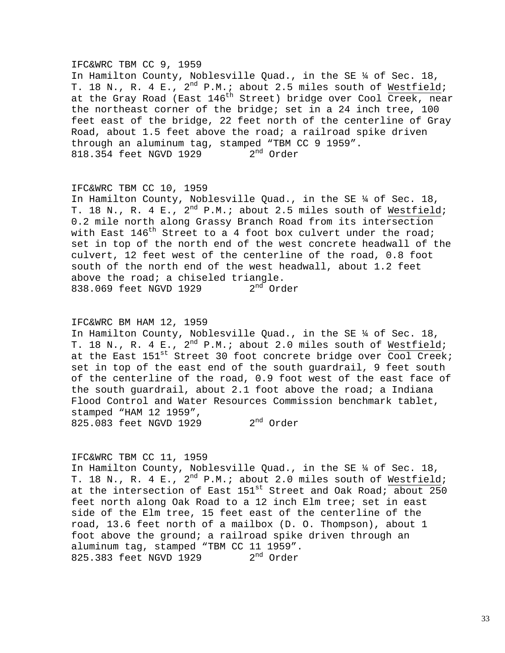#### IFC&WRC TBM CC 9, 1959

In Hamilton County, Noblesville Quad., in the SE ¼ of Sec. 18, T. 18 N., R. 4 E., 2<sup>nd</sup> P.M.; about 2.5 miles south of Westfield; at the Gray Road (East 146<sup>th</sup> Street) bridge over Cool Creek, near the northeast corner of the bridge; set in a 24 inch tree, 100 feet east of the bridge, 22 feet north of the centerline of Gray Road, about 1.5 feet above the road; a railroad spike driven through an aluminum tag, stamped "TBM CC 9 1959". 818.354 feet NGVD 1929 2<sup>nd</sup> Order

#### IFC&WRC TBM CC 10, 1959

In Hamilton County, Noblesville Quad., in the SE ¼ of Sec. 18, T. 18 N., R. 4 E.,  $2^{nd}$  P.M.; about 2.5 miles south of Westfield; 0.2 mile north along Grassy Branch Road from its intersection with East  $146^{th}$  Street to a 4 foot box culvert under the road; set in top of the north end of the west concrete headwall of the culvert, 12 feet west of the centerline of the road, 0.8 foot south of the north end of the west headwall, about 1.2 feet above the road; a chiseled triangle. 838.069 feet NGVD 1929 2<sup>nd</sup> Order

### IFC&WRC BM HAM 12, 1959

In Hamilton County, Noblesville Quad., in the SE ¼ of Sec. 18, T. 18 N., R. 4 E.,  $2^{nd}$  P.M.; about 2.0 miles south of Westfield; at the East  $151^{st}$  Street 30 foot concrete bridge over  $\overline{Cool}$  Creek; set in top of the east end of the south guardrail, 9 feet south of the centerline of the road, 0.9 foot west of the east face of the south guardrail, about 2.1 foot above the road; a Indiana Flood Control and Water Resources Commission benchmark tablet, stamped "HAM 12 1959", 825.083 feet NGVD 1929 2<sup>nd</sup> Order

### IFC&WRC TBM CC 11, 1959

In Hamilton County, Noblesville Quad., in the SE ¼ of Sec. 18, T. 18 N., R. 4 E.,  $2^{nd}$  P.M.; about 2.0 miles south of Westfield; at the intersection of East  $151^{st}$  Street and Oak Road; about 250 feet north along Oak Road to a 12 inch Elm tree; set in east side of the Elm tree, 15 feet east of the centerline of the road, 13.6 feet north of a mailbox (D. O. Thompson), about 1 foot above the ground; a railroad spike driven through an aluminum tag, stamped "TBM CC 11 1959". 825.383 feet NGVD 1929 2<sup>nd</sup> Order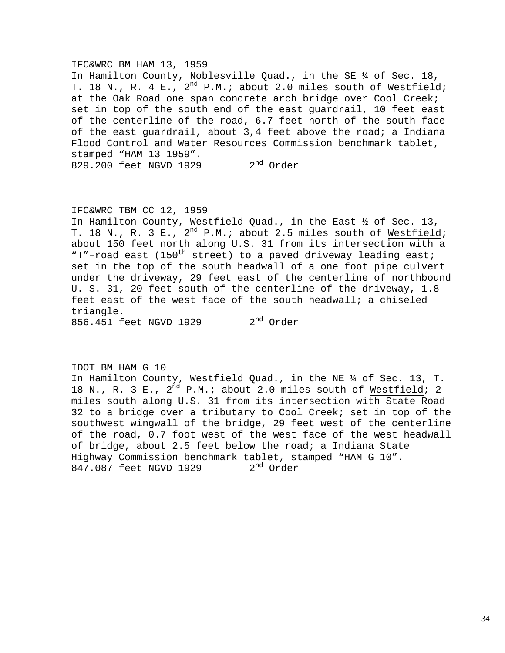#### IFC&WRC BM HAM 13, 1959

In Hamilton County, Noblesville Quad., in the SE ¼ of Sec. 18, T. 18 N., R. 4 E., 2<sup>nd</sup> P.M.; about 2.0 miles south of Westfield; at the Oak Road one span concrete arch bridge over Cool Creek; set in top of the south end of the east guardrail, 10 feet east of the centerline of the road, 6.7 feet north of the south face of the east guardrail, about 3,4 feet above the road; a Indiana Flood Control and Water Resources Commission benchmark tablet, stamped "HAM 13 1959". 829.200 feet NGVD 1929 2<sup>nd</sup> Order

#### IFC&WRC TBM CC 12, 1959

In Hamilton County, Westfield Quad., in the East ½ of Sec. 13, T. 18 N., R. 3 E., 2<sup>nd</sup> P.M.; about 2.5 miles south of Westfield; about 150 feet north along U.S. 31 from its intersection with a "T"-road east (150<sup>th</sup> street) to a paved driveway leading east; set in the top of the south headwall of a one foot pipe culvert under the driveway, 29 feet east of the centerline of northbound U. S. 31, 20 feet south of the centerline of the driveway, 1.8 feet east of the west face of the south headwall; a chiseled triangle.

856.451 feet NGVD 1929 2nd Order

IDOT BM HAM G 10 In Hamilton County, Westfield Quad., in the NE ¼ of Sec. 13, T. 18 N., R. 3 E.,  $2^{nd}$  P.M.; about 2.0 miles south of Westfield; 2 miles south along U.S. 31 from its intersection with State Road 32 to a bridge over a tributary to Cool Creek; set in top of the southwest wingwall of the bridge, 29 feet west of the centerline of the road, 0.7 foot west of the west face of the west headwall of bridge, about 2.5 feet below the road; a Indiana State Highway Commission benchmark tablet, stamped "HAM G 10". 847.087 feet NGVD 1929 2<sup>nd</sup> Order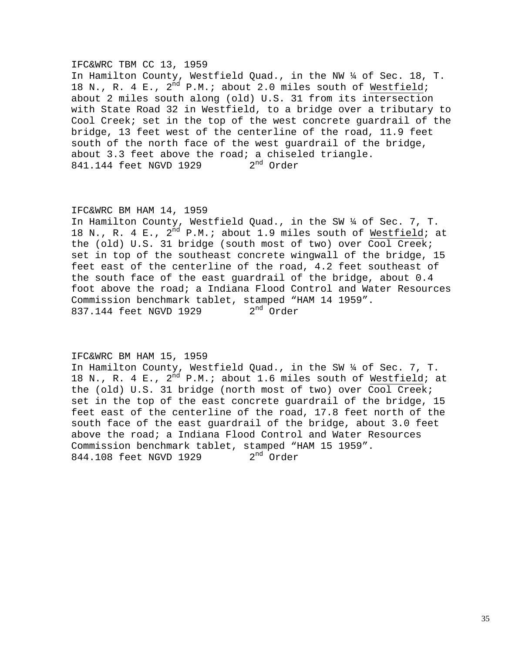#### IFC&WRC TBM CC 13, 1959

In Hamilton County, Westfield Quad., in the NW ¼ of Sec. 18, T. 18 N., R. 4 E.,  $2^{nd}$  P.M.; about 2.0 miles south of Westfield; about 2 miles south along (old) U.S. 31 from its intersection with State Road 32 in Westfield, to a bridge over a tributary to Cool Creek; set in the top of the west concrete guardrail of the bridge, 13 feet west of the centerline of the road, 11.9 feet south of the north face of the west guardrail of the bridge, about 3.3 feet above the road; a chiseled triangle.<br>841.144 feet NGVD 1929 2<sup>nd</sup> Order 841.144 feet NGVD 1929

### IFC&WRC BM HAM 14, 1959

In Hamilton County, Westfield Quad., in the SW ¼ of Sec. 7, T. 18 N., R. 4 E., 2<sup>nd</sup> P.M.; about 1.9 miles south of Westfield; at the (old) U.S. 31 bridge (south most of two) over Cool Creek; set in top of the southeast concrete wingwall of the bridge, 15 feet east of the centerline of the road, 4.2 feet southeast of the south face of the east guardrail of the bridge, about 0.4 foot above the road; a Indiana Flood Control and Water Resources Commission benchmark tablet, stamped "HAM 14 1959".<br>837.144 feet NGVD 1929  $2<sup>nd</sup>$  Order 837.144 feet NGVD 1929

#### IFC&WRC BM HAM 15, 1959

In Hamilton County, Westfield Quad., in the SW ¼ of Sec. 7, T. 18 N., R. 4 E.,  $2^{nd}$  P.M.; about 1.6 miles south of Westfield; at the (old) U.S. 31 bridge (north most of two) over Cool Creek; set in the top of the east concrete guardrail of the bridge, 15 feet east of the centerline of the road, 17.8 feet north of the south face of the east guardrail of the bridge, about 3.0 feet above the road; a Indiana Flood Control and Water Resources Commission benchmark tablet, stamped "HAM 15 1959".<br>844.108 feet NGVD 1929  $2<sup>nd</sup>$  Order 844.108 feet NGVD 1929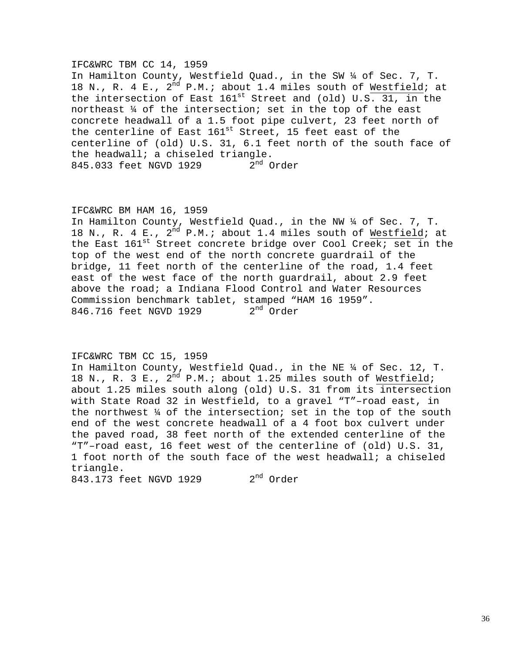#### IFC&WRC TBM CC 14, 1959

In Hamilton County, Westfield Quad., in the SW ¼ of Sec. 7, T. 18 N., R. 4 E.,  $2^{nd}$  P.M.; about 1.4 miles south of Westfield; at the intersection of East  $161^{st}$  Street and (old) U.S. 31, in the northeast ¼ of the intersection; set in the top of the east concrete headwall of a 1.5 foot pipe culvert, 23 feet north of the centerline of East  $161^{st}$  Street, 15 feet east of the centerline of (old) U.S. 31, 6.1 feet north of the south face of the headwall; a chiseled triangle.<br>845.033 feet NGVD 1929  $2^{\text{nd}}$  Order 845.033 feet NGVD 1929

### IFC&WRC BM HAM 16, 1959

In Hamilton County, Westfield Quad., in the NW ¼ of Sec. 7, T. 18 N., R. 4 E.,  $2^{nd}$  P.M.; about 1.4 miles south of Westfield; at the East  $161^{st}$  Street concrete bridge over Cool Creek; set in the top of the west end of the north concrete guardrail of the bridge, 11 feet north of the centerline of the road, 1.4 feet east of the west face of the north guardrail, about 2.9 feet above the road; a Indiana Flood Control and Water Resources Commission benchmark tablet, stamped "HAM 16 1959".<br>846.716 feet NGVD 1929  $2<sup>nd</sup>$  Order 846.716 feet NGVD 1929

### IFC&WRC TBM CC 15, 1959

In Hamilton County, Westfield Quad., in the NE ¼ of Sec. 12, T. 18 N., R. 3 E.,  $2^{nd}$  P.M.; about 1.25 miles south of Westfield; about 1.25 miles south along (old) U.S. 31 from its intersection with State Road 32 in Westfield, to a gravel "T"–road east, in the northwest ¼ of the intersection; set in the top of the south end of the west concrete headwall of a 4 foot box culvert under the paved road, 38 feet north of the extended centerline of the "T"–road east, 16 feet west of the centerline of (old) U.S. 31, 1 foot north of the south face of the west headwall; a chiseled triangle.

843.173 feet NGVD 1929 2<sup>nd</sup> Order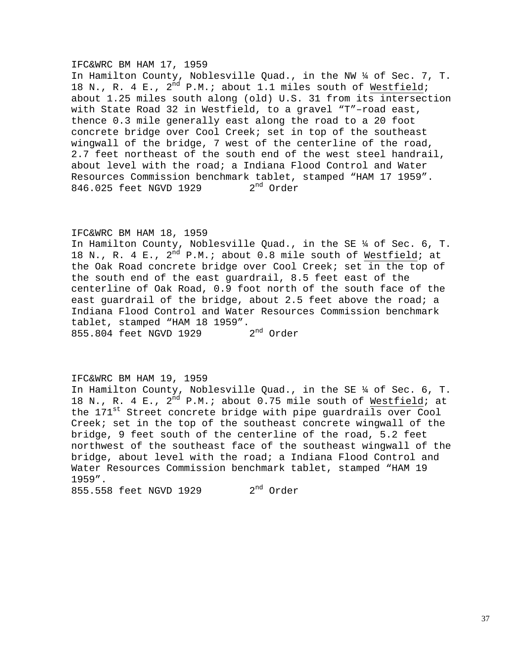### IFC&WRC BM HAM 17, 1959

In Hamilton County, Noblesville Quad., in the NW ¼ of Sec. 7, T. 18 N., R. 4 E.,  $2^{nd}$  P.M.; about 1.1 miles south of Westfield; about 1.25 miles south along (old) U.S. 31 from its intersection with State Road 32 in Westfield, to a gravel "T"–road east, thence 0.3 mile generally east along the road to a 20 foot concrete bridge over Cool Creek; set in top of the southeast wingwall of the bridge, 7 west of the centerline of the road, 2.7 feet northeast of the south end of the west steel handrail, about level with the road; a Indiana Flood Control and Water Resources Commission benchmark tablet, stamped "HAM 17 1959".<br>846.025 feet NGVD 1929 2<sup>nd</sup> Order 846.025 feet NGVD 1929

## IFC&WRC BM HAM 18, 1959

In Hamilton County, Noblesville Quad., in the SE ¼ of Sec. 6, T. 18 N., R. 4 E.,  $2^{\overline{nd}}$  P.M.; about 0.8 mile south of Westfield; at the Oak Road concrete bridge over Cool Creek; set in the top of the south end of the east guardrail, 8.5 feet east of the centerline of Oak Road, 0.9 foot north of the south face of the east guardrail of the bridge, about 2.5 feet above the road; a Indiana Flood Control and Water Resources Commission benchmark tablet, stamped "HAM 18 1959".<br>855 804 feet NGVD 1929 2<sup>nd</sup> Order 855.804 feet NGVD 1929

## IFC&WRC BM HAM 19, 1959

In Hamilton County, Noblesville Quad., in the SE ¼ of Sec. 6, T. 18 N., R. 4 E.,  $2^{nd}$  P.M.; about 0.75 mile south of Westfield; at the 171<sup>st</sup> Street concrete bridge with pipe guardrails over Cool Creek; set in the top of the southeast concrete wingwall of the bridge, 9 feet south of the centerline of the road, 5.2 feet northwest of the southeast face of the southeast wingwall of the bridge, about level with the road; a Indiana Flood Control and Water Resources Commission benchmark tablet, stamped "HAM 19 1959". 855.558 feet NGVD 1929 2<sup>nd</sup> Order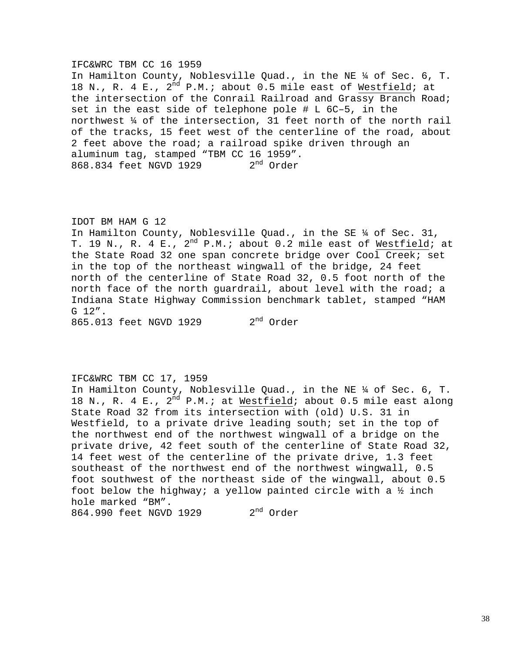### IFC&WRC TBM CC 16 1959

In Hamilton County, Noblesville Quad., in the NE ¼ of Sec. 6, T. 18 N., R. 4 E.,  $2^{nd}$  P.M.; about 0.5 mile east of Westfield; at the intersection of the Conrail Railroad and Grassy Branch Road; set in the east side of telephone pole # L 6C–5, in the northwest ¼ of the intersection, 31 feet north of the north rail of the tracks, 15 feet west of the centerline of the road, about 2 feet above the road; a railroad spike driven through an aluminum tag, stamped "TBM CC 16 1959".<br>868.834 feet NGVD 1929  $2<sup>nd</sup>$  Order 868.834 feet NGVD 1929

IDOT BM HAM G 12 In Hamilton County, Noblesville Quad., in the SE ¼ of Sec. 31, T. 19 N., R. 4 E.,  $2^{nd}$  P.M.; about 0.2 mile east of Westfield; at the State Road 32 one span concrete bridge over Cool Creek; set in the top of the northeast wingwall of the bridge, 24 feet north of the centerline of State Road 32, 0.5 foot north of the north face of the north guardrail, about level with the road; a Indiana State Highway Commission benchmark tablet, stamped "HAM G 12".

865.013 feet NGVD 1929 2<sup>nd</sup> Order

## IFC&WRC TBM CC 17, 1959

In Hamilton County, Noblesville Quad., in the NE ¼ of Sec. 6, T. 18 N., R. 4 E.,  $2^{nd}$  P.M.; at Westfield; about 0.5 mile east along State Road 32 from its intersection with (old) U.S. 31 in Westfield, to a private drive leading south; set in the top of the northwest end of the northwest wingwall of a bridge on the private drive, 42 feet south of the centerline of State Road 32, 14 feet west of the centerline of the private drive, 1.3 feet southeast of the northwest end of the northwest wingwall, 0.5 foot southwest of the northeast side of the wingwall, about 0.5 foot below the highway; a yellow painted circle with a  $\frac{1}{2}$  inch hole marked "BM". 864.990 feet NGVD 1929 2<sup>nd</sup> Order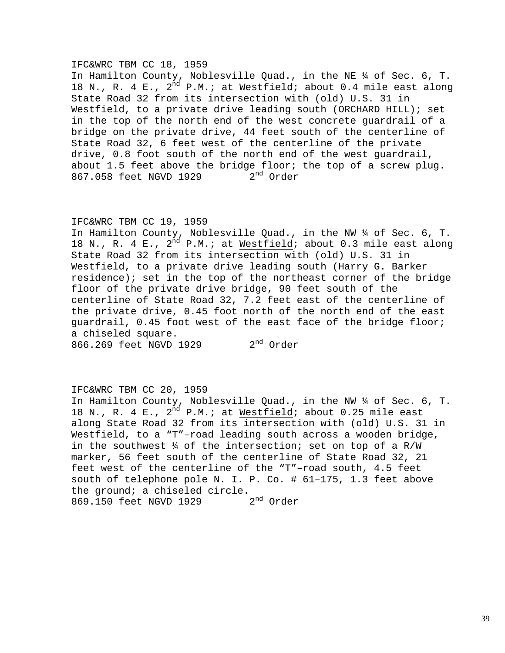### IFC&WRC TBM CC 18, 1959

In Hamilton County, Noblesville Quad., in the NE ¼ of Sec. 6, T. 18 N., R. 4 E.,  $2^{nd}$  P.M.; at Westfield; about 0.4 mile east along State Road 32 from its intersection with (old) U.S. 31 in Westfield, to a private drive leading south (ORCHARD HILL); set in the top of the north end of the west concrete guardrail of a bridge on the private drive, 44 feet south of the centerline of State Road 32, 6 feet west of the centerline of the private drive, 0.8 foot south of the north end of the west guardrail, about 1.5 feet above the bridge floor; the top of a screw plug. 867.058 feet NGVD 1929 2<sup>nd</sup> Order

### IFC&WRC TBM CC 19, 1959

In Hamilton County, Noblesville Quad., in the NW ¼ of Sec. 6, T. 18 N., R. 4 E.,  $2^{nd}$  P.M.; at Westfield; about 0.3 mile east along State Road 32 from its intersection with (old) U.S. 31 in Westfield, to a private drive leading south (Harry G. Barker residence); set in the top of the northeast corner of the bridge floor of the private drive bridge, 90 feet south of the centerline of State Road 32, 7.2 feet east of the centerline of the private drive, 0.45 foot north of the north end of the east guardrail, 0.45 foot west of the east face of the bridge floor; a chiseled square.

# 866.269 feet NGVD 1929 2<sup>nd</sup> Order

## IFC&WRC TBM CC 20, 1959

In Hamilton County, Noblesville Quad., in the NW ¼ of Sec. 6, T. 18 N., R. 4 E.,  $2^{nd}$  P.M.; at Westfield; about 0.25 mile east along State Road 32 from its intersection with (old) U.S. 31 in Westfield, to a "T"–road leading south across a wooden bridge, in the southwest  $\frac{1}{4}$  of the intersection; set on top of a R/W marker, 56 feet south of the centerline of State Road 32, 21 feet west of the centerline of the "T"–road south, 4.5 feet south of telephone pole N. I. P. Co. # 61–175, 1.3 feet above the ground; a chiseled circle.<br>869.150 feet NGVD 1929  $2<sup>nd</sup>$  Order 869.150 feet NGVD 1929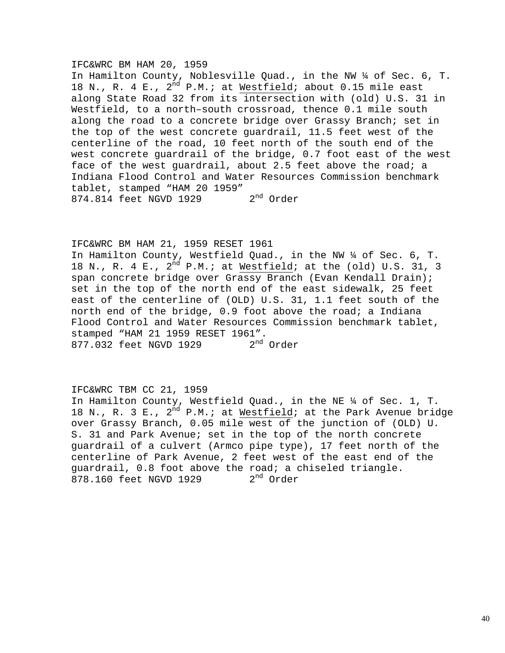### IFC&WRC BM HAM 20, 1959

In Hamilton County, Noblesville Quad., in the NW ¼ of Sec. 6, T. 18 N., R. 4 E.,  $2^{nd}$  P.M.; at Westfield; about 0.15 mile east along State Road 32 from its intersection with (old) U.S. 31 in Westfield, to a north–south crossroad, thence 0.1 mile south along the road to a concrete bridge over Grassy Branch; set in the top of the west concrete guardrail, 11.5 feet west of the centerline of the road, 10 feet north of the south end of the west concrete guardrail of the bridge, 0.7 foot east of the west face of the west guardrail, about 2.5 feet above the road; a Indiana Flood Control and Water Resources Commission benchmark tablet, stamped "HAM 20 1959" 874.814 feet NGVD 1929 2<sup>nd</sup> Order

## IFC&WRC BM HAM 21, 1959 RESET 1961

In Hamilton County, Westfield Quad., in the NW ¼ of Sec. 6, T. 18 N., R. 4 E.,  $2^{\overline{nd}}$  P.M.; at Westfield; at the (old) U.S. 31, 3 span concrete bridge over Grassy Branch (Evan Kendall Drain); set in the top of the north end of the east sidewalk, 25 feet east of the centerline of (OLD) U.S. 31, 1.1 feet south of the north end of the bridge, 0.9 foot above the road; a Indiana Flood Control and Water Resources Commission benchmark tablet, stamped "HAM 21 1959 RESET 1961".<br>877.032 feet NGVD 1929 2<sup>nd</sup> Order 877.032 feet NGVD 1929

## IFC&WRC TBM CC 21, 1959

In Hamilton County, Westfield Quad., in the NE ¼ of Sec. 1, T. 18 N., R. 3 E.,  $2^{nd}$  P.M.; at Westfield; at the Park Avenue bridge over Grassy Branch, 0.05 mile west of the junction of (OLD) U. S. 31 and Park Avenue; set in the top of the north concrete guardrail of a culvert (Armco pipe type), 17 feet north of the centerline of Park Avenue, 2 feet west of the east end of the guardrail, 0.8 foot above the road; a chiseled triangle.<br>878.160 feet NGVD 1929 2<sup>nd</sup> Order 878.160 feet NGVD 1929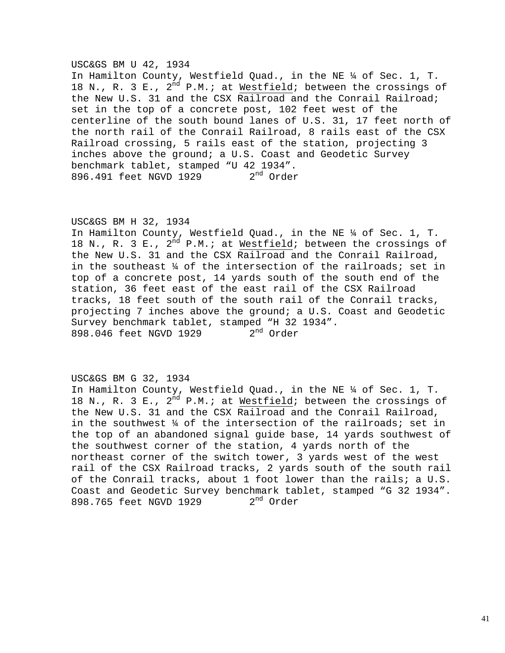### USC&GS BM U 42, 1934

In Hamilton County, Westfield Quad., in the NE ¼ of Sec. 1, T. 18 N., R. 3 E.,  $2^{nd}$  P.M.; at Westfield; between the crossings of the New U.S. 31 and the CSX Railroad and the Conrail Railroad; set in the top of a concrete post, 102 feet west of the centerline of the south bound lanes of U.S. 31, 17 feet north of the north rail of the Conrail Railroad, 8 rails east of the CSX Railroad crossing, 5 rails east of the station, projecting 3 inches above the ground; a U.S. Coast and Geodetic Survey benchmark tablet, stamped "U 42 1934". 896.491 feet NGVD 1929 2<sup>nd</sup> Order

## USC&GS BM H 32, 1934

In Hamilton County, Westfield Quad., in the NE ¼ of Sec. 1, T. 18 N., R. 3 E.,  $2^{nd}$  P.M.; at Westfield; between the crossings of the New U.S. 31 and the CSX Railroad and the Conrail Railroad, in the southeast ¼ of the intersection of the railroads; set in top of a concrete post, 14 yards south of the south end of the station, 36 feet east of the east rail of the CSX Railroad tracks, 18 feet south of the south rail of the Conrail tracks, projecting 7 inches above the ground; a U.S. Coast and Geodetic Survey benchmark tablet, stamped "H 32 1934". 898.046 feet NGVD 1929 2<sup>nd</sup> Order

## USC&GS BM G 32, 1934

In Hamilton County, Westfield Quad., in the NE ¼ of Sec. 1, T. 18 N., R. 3 E.,  $2^{nd}$  P.M.; at Westfield; between the crossings of the New U.S. 31 and the CSX Railroad and the Conrail Railroad, in the southwest ¼ of the intersection of the railroads; set in the top of an abandoned signal guide base, 14 yards southwest of the southwest corner of the station, 4 yards north of the northeast corner of the switch tower, 3 yards west of the west rail of the CSX Railroad tracks, 2 yards south of the south rail of the Conrail tracks, about 1 foot lower than the rails; a U.S. Coast and Geodetic Survey benchmark tablet, stamped "G 32 1934". 898.765 feet NGVD 1929 2<sup>nd</sup> Order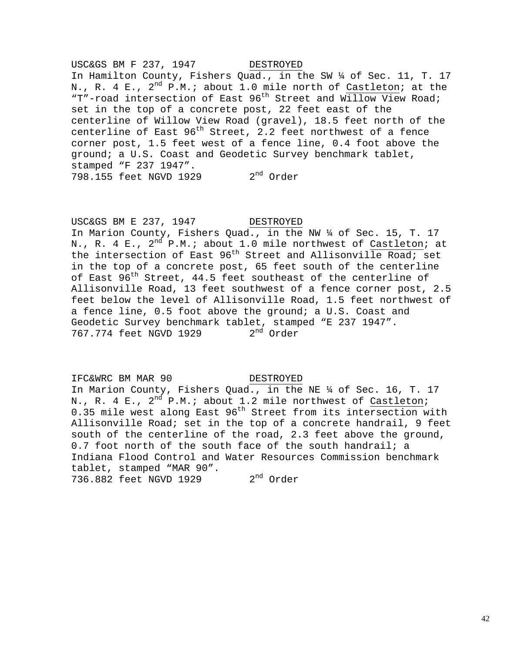USC&GS BM F 237, 1947 DESTROYED In Hamilton County, Fishers Quad., in the SW ¼ of Sec. 11, T. 17 N., R. 4 E.,  $2^{nd}$  P.M.; about 1.0 mile north of Castleton; at the "T"-road intersection of East 96<sup>th</sup> Street and Willow View Road; set in the top of a concrete post, 22 feet east of the centerline of Willow View Road (gravel), 18.5 feet north of the centerline of East  $96<sup>th</sup>$  Street, 2.2 feet northwest of a fence corner post, 1.5 feet west of a fence line, 0.4 foot above the ground; a U.S. Coast and Geodetic Survey benchmark tablet, stamped "F 237 1947". 798.155 feet NGVD 1929 2<sup>nd</sup> Order

USC&GS BM E 237, 1947 DESTROYED In Marion County, Fishers Quad., in the NW ¼ of Sec. 15, T. 17 N., R. 4 E.,  $2^{nd}$  P.M.; about 1.0 mile northwest of Castleton; at the intersection of East  $96<sup>th</sup>$  Street and Allisonville Road; set in the top of a concrete post, 65 feet south of the centerline of East 96<sup>th</sup> Street, 44.5 feet southeast of the centerline of Allisonville Road, 13 feet southwest of a fence corner post, 2.5 feet below the level of Allisonville Road, 1.5 feet northwest of a fence line, 0.5 foot above the ground; a U.S. Coast and Geodetic Survey benchmark tablet, stamped "E 237 1947". 767.774 feet NGVD 1929 2<sup>nd</sup> Order

## IFC&WRC BM MAR 90

DESTROYED

In Marion County, Fishers Quad., in the NE ¼ of Sec. 16, T. 17 N., R. 4 E.,  $2^{nd}$  P.M.; about 1.2 mile northwest of Castleton; 0.35 mile west along East 96<sup>th</sup> Street from its intersection with Allisonville Road; set in the top of a concrete handrail, 9 feet south of the centerline of the road, 2.3 feet above the ground, 0.7 foot north of the south face of the south handrail; a Indiana Flood Control and Water Resources Commission benchmark tablet, stamped "MAR 90". 736.882 feet NGVD 1929 2<sup>nd</sup> Order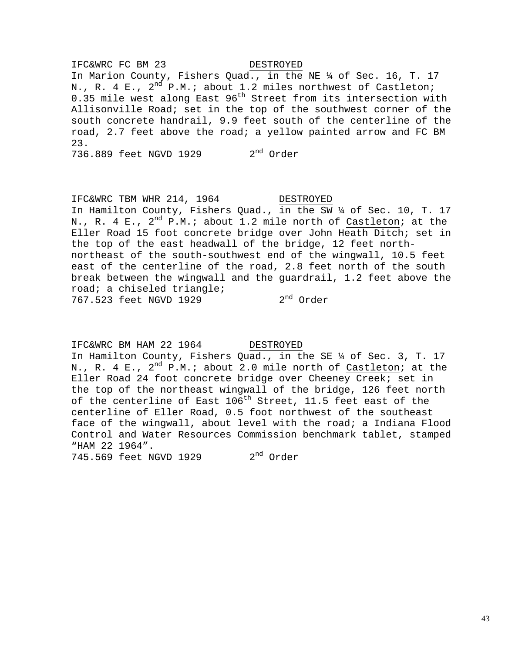IFC&WRC FC BM 23 In Marion County, Fishers Quad., in the NE ¼ of Sec. 16, T. 17 N., R. 4 E.,  $2^{nd}$  P.M.; about 1.2 miles northwest of Castleton; 0.35 mile west along East 96<sup>th</sup> Street from its intersection with Allisonville Road; set in the top of the southwest corner of the south concrete handrail, 9.9 feet south of the centerline of the road, 2.7 feet above the road; a yellow painted arrow and FC BM 23.

736.889 feet NGVD 1929 2<sup>nd</sup> Order

IFC&WRC TBM WHR 214, 1964 DESTROYED In Hamilton County, Fishers Quad., in the SW ¼ of Sec. 10, T. 17 N., R. 4 E.,  $2^{nd}$  P.M.; about 1.2 mile north of Castleton; at the Eller Road 15 foot concrete bridge over John Heath Ditch; set in the top of the east headwall of the bridge, 12 feet north northeast of the south-southwest end of the wingwall, 10.5 feet east of the centerline of the road, 2.8 feet north of the south break between the wingwall and the guardrail, 1.2 feet above the road; a chiseled triangle; 767.523 feet NGVD 1929 2nd Order

IFC&WRC BM HAM 22 1964 DESTROYED In Hamilton County, Fishers Quad., in the SE ¼ of Sec. 3, T. 17 N., R. 4 E., 2<sup>nd</sup> P.M.; about 2.0 mile north of Castleton; at the Eller Road 24 foot concrete bridge over Cheeney Creek; set in the top of the northeast wingwall of the bridge, 126 feet north of the centerline of East  $106^{th}$  Street, 11.5 feet east of the centerline of Eller Road, 0.5 foot northwest of the southeast face of the wingwall, about level with the road; a Indiana Flood Control and Water Resources Commission benchmark tablet, stamped "HAM 22 1964". 745.569 feet NGVD 1929 2<sup>nd</sup> Order

## DESTROYED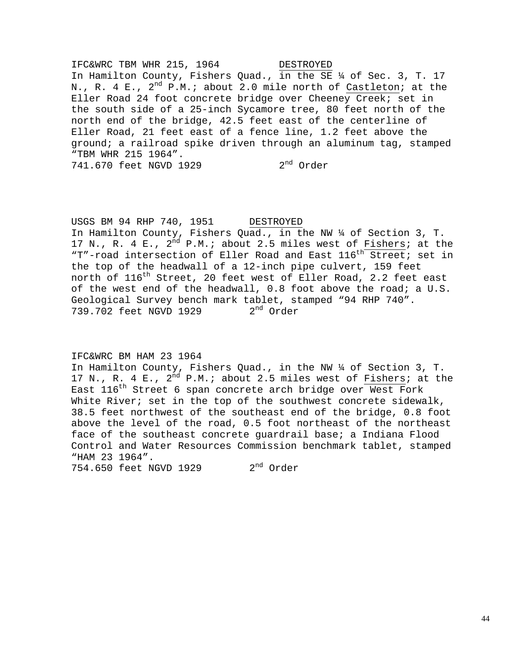IFC&WRC TBM WHR 215, 1964 DESTROYED In Hamilton County, Fishers Quad., in the SE ¼ of Sec. 3, T. 17 N., R. 4 E., 2<sup>nd</sup> P.M.; about 2.0 mile north of Castleton; at the Eller Road 24 foot concrete bridge over Cheeney Creek; set in the south side of a 25-inch Sycamore tree, 80 feet north of the north end of the bridge, 42.5 feet east of the centerline of Eller Road, 21 feet east of a fence line, 1.2 feet above the ground; a railroad spike driven through an aluminum tag, stamped "TBM WHR 215 1964". 741.670 feet NGVD 1929 2<sup>nd</sup> Order

USGS BM 94 RHP 740, 1951 DESTROYED In Hamilton County, Fishers Quad., in the NW ¼ of Section 3, T. 17 N., R. 4 E.,  $2^{\overline{nd}}$  P.M.; about 2.5 miles west of Fishers; at the "T"-road intersection of Eller Road and East 116<sup>th</sup> Street; set in the top of the headwall of a 12-inch pipe culvert, 159 feet north of 116<sup>th</sup> Street, 20 feet west of Eller Road, 2.2 feet east of the west end of the headwall, 0.8 foot above the road; a U.S. Geological Survey bench mark tablet, stamped "94 RHP 740".<br>739.702 feet NGVD 1929  $2<sup>nd</sup>$  Order 739.702 feet NGVD 1929

## IFC&WRC BM HAM 23 1964

In Hamilton County, Fishers Quad., in the NW ¼ of Section 3, T. 17 N., R. 4 E.,  $2^{nd}$  P.M.; about 2.5 miles west of Fishers; at the East  $116^{th}$  Street 6 span concrete arch bridge over West Fork White River; set in the top of the southwest concrete sidewalk, 38.5 feet northwest of the southeast end of the bridge, 0.8 foot above the level of the road, 0.5 foot northeast of the northeast face of the southeast concrete guardrail base; a Indiana Flood Control and Water Resources Commission benchmark tablet, stamped "HAM 23 1964".

754.650 feet NGVD 1929 2<sup>nd</sup> Order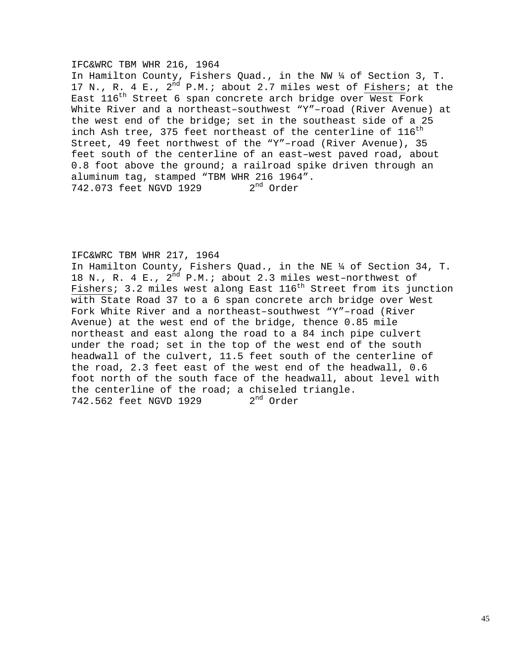### IFC&WRC TBM WHR 216, 1964

In Hamilton County, Fishers Quad., in the NW ¼ of Section 3, T. 17 N., R. 4 E.,  $2^{\overline{nd}}$  P.M.; about 2.7 miles west of Fishers; at the East 116th Street 6 span concrete arch bridge over West Fork White River and a northeast–southwest "Y"–road (River Avenue) at the west end of the bridge; set in the southeast side of a 25 inch Ash tree, 375 feet northeast of the centerline of  $116^{\text{th}}$ Street, 49 feet northwest of the "Y"–road (River Avenue), 35 feet south of the centerline of an east–west paved road, about 0.8 foot above the ground; a railroad spike driven through an aluminum tag, stamped "TBM WHR 216 1964".<br>742.073 feet NGVD 1929  $2<sup>nd</sup>$  Order 742.073 feet NGVD 1929

### IFC&WRC TBM WHR 217, 1964

In Hamilton County, Fishers Quad., in the NE ¼ of Section 34, T. 18 N., R. 4 E.,  $2^{nd}$  P.M.; about 2.3 miles west-northwest of Fishers; 3.2 miles west along East  $116^{th}$  Street from its junction with State Road 37 to a 6 span concrete arch bridge over West Fork White River and a northeast–southwest "Y"–road (River Avenue) at the west end of the bridge, thence 0.85 mile northeast and east along the road to a 84 inch pipe culvert under the road; set in the top of the west end of the south headwall of the culvert, 11.5 feet south of the centerline of the road, 2.3 feet east of the west end of the headwall, 0.6 foot north of the south face of the headwall, about level with the centerline of the road; a chiseled triangle.<br>742.562 feet NGVD 1929  $2<sup>nd</sup>$  Order 742.562 feet NGVD 1929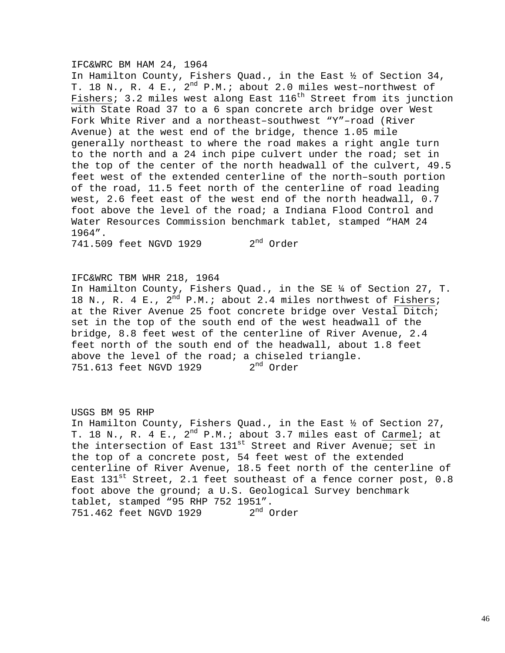### IFC&WRC BM HAM 24, 1964

In Hamilton County, Fishers Quad., in the East ½ of Section 34, T. 18 N., R. 4 E.,  $2^{nd}$  P.M.; about 2.0 miles west-northwest of Fishers; 3.2 miles west along East  $116<sup>th</sup>$  Street from its junction with State Road 37 to a 6 span concrete arch bridge over West Fork White River and a northeast–southwest "Y"–road (River Avenue) at the west end of the bridge, thence 1.05 mile generally northeast to where the road makes a right angle turn to the north and a 24 inch pipe culvert under the road; set in the top of the center of the north headwall of the culvert, 49.5 feet west of the extended centerline of the north–south portion of the road, 11.5 feet north of the centerline of road leading west, 2.6 feet east of the west end of the north headwall, 0.7 foot above the level of the road; a Indiana Flood Control and Water Resources Commission benchmark tablet, stamped "HAM 24 1964". 741.509 feet NGVD 1929 2<sup>nd</sup> Order

IFC&WRC TBM WHR 218, 1964

In Hamilton County, Fishers Quad., in the SE ¼ of Section 27, T. 18 N., R. 4 E.,  $2^{nd}$  P.M.; about 2.4 miles northwest of Fishers; at the River Avenue 25 foot concrete bridge over Vestal Ditch; set in the top of the south end of the west headwall of the bridge, 8.8 feet west of the centerline of River Avenue, 2.4 feet north of the south end of the headwall, about 1.8 feet above the level of the road; a chiseled triangle. 751.613 feet NGVD 1929 2<sup>nd</sup> Order

USGS BM 95 RHP In Hamilton County, Fishers Quad., in the East ½ of Section 27, T. 18 N., R. 4 E.,  $2^{nd}$  P.M.; about 3.7 miles east of Carmel; at the intersection of East 131<sup>st</sup> Street and River Avenue; set in the top of a concrete post, 54 feet west of the extended centerline of River Avenue, 18.5 feet north of the centerline of East  $131^{st}$  Street, 2.1 feet southeast of a fence corner post, 0.8 foot above the ground; a U.S. Geological Survey benchmark tablet, stamped "95 RHP 752 1951".<br>751.462 feet NGVD 1929 2<sup>nd</sup> Order 751.462 feet NGVD 1929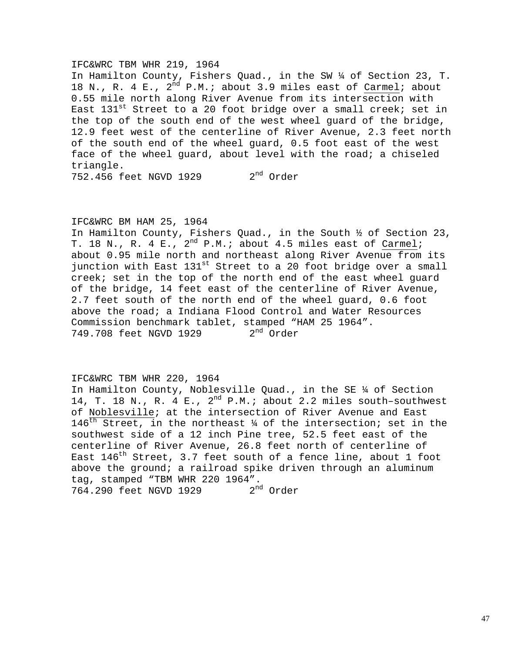### IFC&WRC TBM WHR 219, 1964

In Hamilton County, Fishers Quad., in the SW ¼ of Section 23, T. 18 N., R. 4 E.,  $2^{nd}$  P.M.; about 3.9 miles east of Carmel; about 0.55 mile north along River Avenue from its intersection with East  $131^{st}$  Street to a 20 foot bridge over a small creek; set in the top of the south end of the west wheel guard of the bridge, 12.9 feet west of the centerline of River Avenue, 2.3 feet north of the south end of the wheel guard, 0.5 foot east of the west face of the wheel guard, about level with the road; a chiseled triangle. 752.456 feet NGVD 1929 2nd Order

## IFC&WRC BM HAM 25, 1964

In Hamilton County, Fishers Quad., in the South ½ of Section 23, T. 18 N., R. 4 E.,  $2^{nd}$  P.M.; about 4.5 miles east of Carmel; about 0.95 mile north and northeast along River Avenue from its junction with East 131<sup>st</sup> Street to a 20 foot bridge over a small creek; set in the top of the north end of the east wheel guard of the bridge, 14 feet east of the centerline of River Avenue, 2.7 feet south of the north end of the wheel guard, 0.6 foot above the road; a Indiana Flood Control and Water Resources Commission benchmark tablet, stamped "HAM 25 1964".<br>749.708 feet NGVD 1929  $2<sup>nd</sup>$  Order 749.708 feet NGVD 1929

## IFC&WRC TBM WHR 220, 1964

In Hamilton County, Noblesville Quad., in the SE ¼ of Section 14, T. 18 N., R. 4 E., 2<sup>nd</sup> P.M.; about 2.2 miles south-southwest of Noblesville; at the intersection of River Avenue and East 146<sup>th</sup> Street, in the northeast  $\frac{1}{4}$  of the intersection; set in the southwest side of a 12 inch Pine tree, 52.5 feet east of the centerline of River Avenue, 26.8 feet north of centerline of East  $146^{th}$  Street, 3.7 feet south of a fence line, about 1 foot above the ground; a railroad spike driven through an aluminum tag, stamped "TBM WHR 220 1964".<br>764.290 feet NGVD 1929 2<sup>nd</sup> Order 764.290 feet NGVD 1929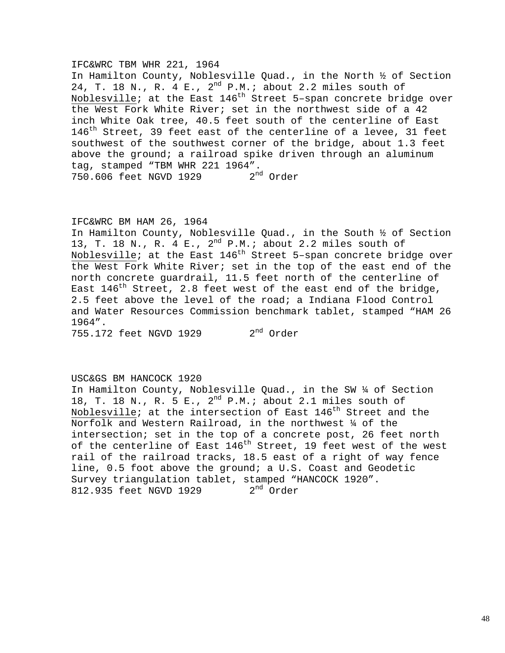## IFC&WRC TBM WHR 221, 1964

In Hamilton County, Noblesville Quad., in the North ½ of Section 24, T. 18 N., R. 4 E., 2<sup>nd</sup> P.M.; about 2.2 miles south of Noblesville; at the East  $146<sup>th</sup>$  Street 5-span concrete bridge over the West Fork White River; set in the northwest side of a 42 inch White Oak tree, 40.5 feet south of the centerline of East 146<sup>th</sup> Street, 39 feet east of the centerline of a levee, 31 feet southwest of the southwest corner of the bridge, about 1.3 feet above the ground; a railroad spike driven through an aluminum tag, stamped "TBM WHR 221 1964".<br>750.606 feet NGVD 1929 2<sup>nd</sup> Order 750.606 feet NGVD 1929

## IFC&WRC BM HAM 26, 1964

In Hamilton County, Noblesville Quad., in the South ½ of Section 13, T. 18 N., R. 4 E., 2nd P.M.; about 2.2 miles south of Noblesville; at the East 146th Street 5–span concrete bridge over the West Fork White River; set in the top of the east end of the north concrete guardrail, 11.5 feet north of the centerline of East  $146^{\text{th}}$  Street, 2.8 feet west of the east end of the bridge, 2.5 feet above the level of the road; a Indiana Flood Control and Water Resources Commission benchmark tablet, stamped "HAM 26 1964".

755.172 feet NGVD 1929 2<sup>nd</sup> Order

## USC&GS BM HANCOCK 1920

In Hamilton County, Noblesville Quad., in the SW ¼ of Section 18, T. 18 N., R. 5 E., 2nd P.M.; about 2.1 miles south of Noblesville; at the intersection of East  $146<sup>th</sup>$  Street and the Norfolk and Western Railroad, in the northwest ¼ of the intersection; set in the top of a concrete post, 26 feet north of the centerline of East 146<sup>th</sup> Street, 19 feet west of the west rail of the railroad tracks, 18.5 east of a right of way fence line, 0.5 foot above the ground; a U.S. Coast and Geodetic Survey triangulation tablet, stamped "HANCOCK 1920".<br>812.935 feet NGVD 1929  $2<sup>nd</sup>$  Order 812.935 feet NGVD 1929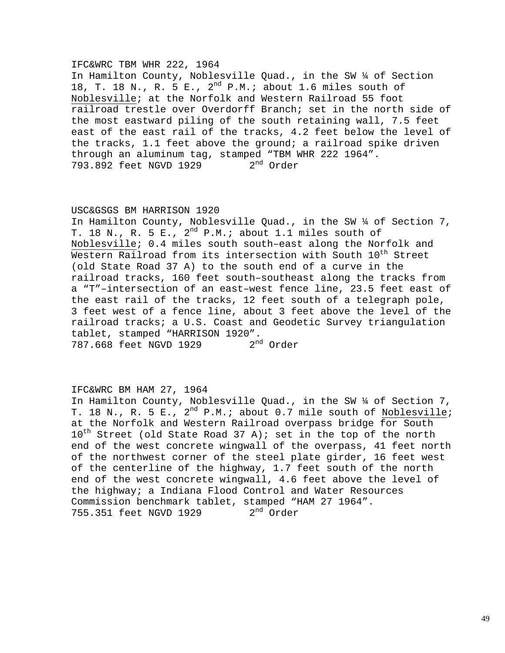## IFC&WRC TBM WHR 222, 1964

In Hamilton County, Noblesville Quad., in the SW ¼ of Section 18, T. 18 N., R. 5 E.,  $2^{nd}$  P.M.; about 1.6 miles south of Noblesville; at the Norfolk and Western Railroad 55 foot railroad trestle over Overdorff Branch; set in the north side of the most eastward piling of the south retaining wall, 7.5 feet east of the east rail of the tracks, 4.2 feet below the level of the tracks, 1.1 feet above the ground; a railroad spike driven through an aluminum tag, stamped "TBM WHR 222 1964".<br>793.892 feet NGVD 1929  $2^{nd}$  Order 793.892 feet NGVD 1929

### USC&GSGS BM HARRISON 1920

In Hamilton County, Noblesville Quad., in the SW ¼ of Section 7, T. 18 N., R. 5 E.,  $2^{nd}$  P.M.; about 1.1 miles south of Noblesville; 0.4 miles south south–east along the Norfolk and Western Railroad from its intersection with South 10<sup>th</sup> Street (old State Road 37 A) to the south end of a curve in the railroad tracks, 160 feet south–southeast along the tracks from a "T"–intersection of an east–west fence line, 23.5 feet east of the east rail of the tracks, 12 feet south of a telegraph pole, 3 feet west of a fence line, about 3 feet above the level of the railroad tracks; a U.S. Coast and Geodetic Survey triangulation tablet, stamped "HARRISON 1920".<br>787.668 feet NGVD 1929 2<sup>nd</sup> Order 787.668 feet NGVD 1929

### IFC&WRC BM HAM 27, 1964

In Hamilton County, Noblesville Quad., in the SW ¼ of Section 7, T. 18 N., R. 5 E.,  $2^{nd}$  P.M.; about 0.7 mile south of Noblesville; at the Norfolk and Western Railroad overpass bridge for South  $10^{th}$  Street (old State Road 37 A); set in the top of the north end of the west concrete wingwall of the overpass, 41 feet north of the northwest corner of the steel plate girder, 16 feet west of the centerline of the highway, 1.7 feet south of the north end of the west concrete wingwall, 4.6 feet above the level of the highway; a Indiana Flood Control and Water Resources Commission benchmark tablet, stamped "HAM 27 1964".<br>755.351 feet NGVD 1929  $2<sup>nd</sup>$  Order 755.351 feet NGVD 1929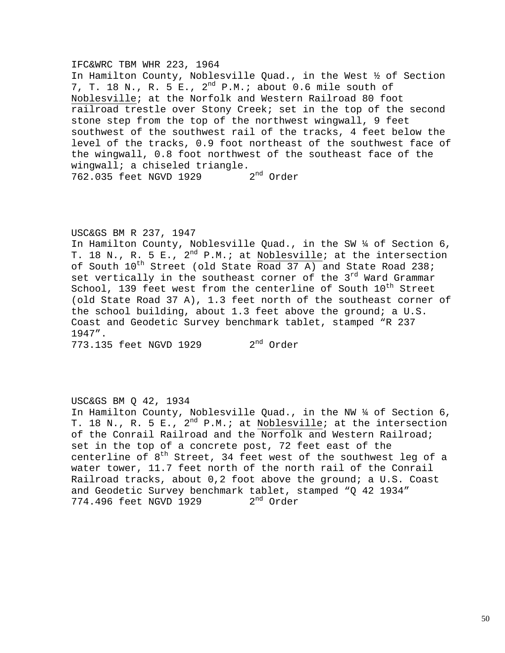### IFC&WRC TBM WHR 223, 1964

In Hamilton County, Noblesville Quad., in the West ½ of Section 7, T. 18 N., R. 5 E.,  $2^{nd}$  P.M.; about 0.6 mile south of Noblesville; at the Norfolk and Western Railroad 80 foot railroad trestle over Stony Creek; set in the top of the second stone step from the top of the northwest wingwall, 9 feet southwest of the southwest rail of the tracks, 4 feet below the level of the tracks, 0.9 foot northeast of the southwest face of the wingwall, 0.8 foot northwest of the southeast face of the wingwall; a chiseled triangle.  $2<sup>nd</sup>$  Order 762.035 feet NGVD 1929

## USC&GS BM R 237, 1947

In Hamilton County, Noblesville Quad., in the SW ¼ of Section 6, T. 18 N., R. 5 E.,  $2^{nd}$  P.M.; at Noblesville; at the intersection of South  $10^{th}$  Street (old State Road 37 A) and State Road 238; set vertically in the southeast corner of the 3<sup>rd</sup> Ward Grammar School, 139 feet west from the centerline of South 10<sup>th</sup> Street (old State Road 37 A), 1.3 feet north of the southeast corner of the school building, about 1.3 feet above the ground; a U.S. Coast and Geodetic Survey benchmark tablet, stamped "R 237 1947".

773.135 feet NGVD 1929 2<sup>nd</sup> Order

### USC&GS BM Q 42, 1934

In Hamilton County, Noblesville Quad., in the NW ¼ of Section 6, T. 18 N., R. 5 E.,  $2^{nd}$  P.M.; at Noblesville; at the intersection of the Conrail Railroad and the Norfolk and Western Railroad; set in the top of a concrete post, 72 feet east of the centerline of  $8<sup>th</sup>$  Street, 34 feet west of the southwest leg of a water tower, 11.7 feet north of the north rail of the Conrail Railroad tracks, about 0,2 foot above the ground; a U.S. Coast and Geodetic Survey benchmark tablet, stamped "Q 42 1934" 774.496 feet NGVD 1929 2<sup>nd</sup> Order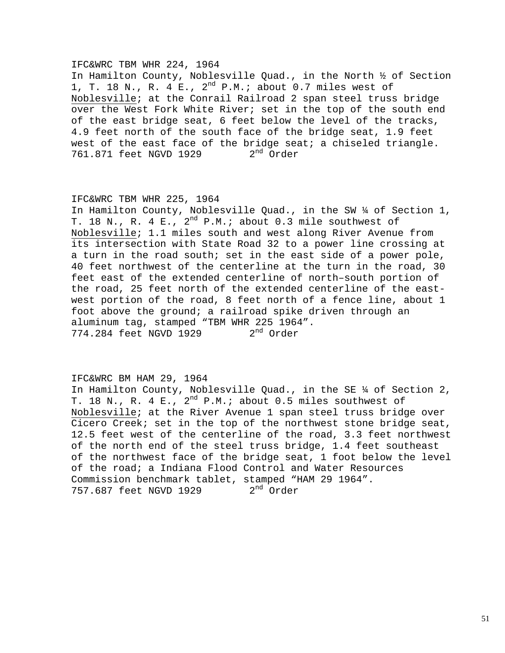## IFC&WRC TBM WHR 224, 1964

In Hamilton County, Noblesville Quad., in the North ½ of Section 1, T. 18 N., R. 4 E.,  $2^{nd}$  P.M.; about 0.7 miles west of Noblesville; at the Conrail Railroad 2 span steel truss bridge over the West Fork White River; set in the top of the south end of the east bridge seat, 6 feet below the level of the tracks, 4.9 feet north of the south face of the bridge seat, 1.9 feet west of the east face of the bridge seat; a chiseled triangle. 761.871 feet NGVD 1929 2<sup>nd</sup> Order

## IFC&WRC TBM WHR 225, 1964

In Hamilton County, Noblesville Quad., in the SW ¼ of Section 1, T. 18 N., R. 4 E.,  $2^{nd}$  P.M.; about 0.3 mile southwest of Noblesville; 1.1 miles south and west along River Avenue from its intersection with State Road 32 to a power line crossing at a turn in the road south; set in the east side of a power pole, 40 feet northwest of the centerline at the turn in the road, 30 feet east of the extended centerline of north–south portion of the road, 25 feet north of the extended centerline of the eastwest portion of the road, 8 feet north of a fence line, about 1 foot above the ground; a railroad spike driven through an aluminum tag, stamped "TBM WHR 225 1964".  $774.284$  feet NGVD 1929  $2^{nd}$  Order

## IFC&WRC BM HAM 29, 1964

In Hamilton County, Noblesville Quad., in the SE ¼ of Section 2, T. 18 N., R. 4 E.,  $2^{nd}$  P.M.; about 0.5 miles southwest of Noblesville; at the River Avenue 1 span steel truss bridge over Cicero Creek; set in the top of the northwest stone bridge seat, 12.5 feet west of the centerline of the road, 3.3 feet northwest of the north end of the steel truss bridge, 1.4 feet southeast of the northwest face of the bridge seat, 1 foot below the level of the road; a Indiana Flood Control and Water Resources Commission benchmark tablet, stamped "HAM 29 1964".<br>757.687 feet NGVD 1929  $2<sup>nd</sup>$  Order 757.687 feet NGVD 1929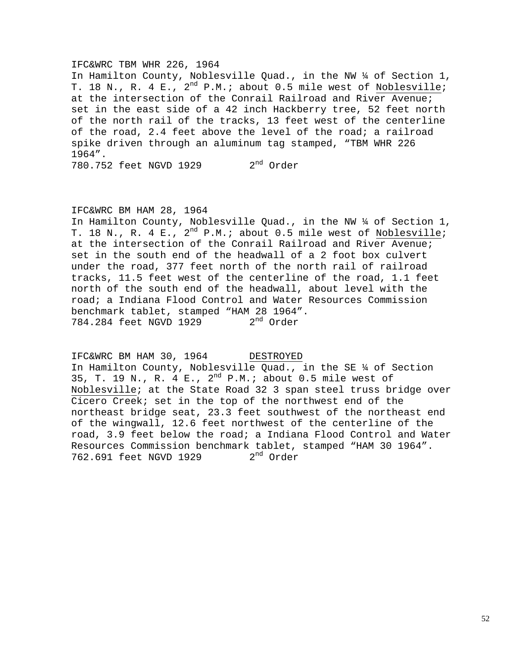### IFC&WRC TBM WHR 226, 1964

In Hamilton County, Noblesville Quad., in the NW ¼ of Section 1, T. 18 N., R. 4 E., 2<sup>nd</sup> P.M.; about 0.5 mile west of Noblesville; at the intersection of the Conrail Railroad and River Avenue; set in the east side of a 42 inch Hackberry tree, 52 feet north of the north rail of the tracks, 13 feet west of the centerline of the road, 2.4 feet above the level of the road; a railroad spike driven through an aluminum tag stamped, "TBM WHR 226 1964". 780.752 feet NGVD 1929 2<sup>nd</sup> Order

### IFC&WRC BM HAM 28, 1964

In Hamilton County, Noblesville Quad., in the NW ¼ of Section 1, T. 18 N., R. 4 E.,  $2^{nd}$  P.M.; about 0.5 mile west of Noblesville; at the intersection of the Conrail Railroad and River Avenue; set in the south end of the headwall of a 2 foot box culvert under the road, 377 feet north of the north rail of railroad tracks, 11.5 feet west of the centerline of the road, 1.1 feet north of the south end of the headwall, about level with the road; a Indiana Flood Control and Water Resources Commission benchmark tablet, stamped "HAM 28 1964".<br>784.284 feet NGVD 1929 2<sup>nd</sup> Order 784.284 feet NGVD 1929

IFC&WRC BM HAM 30, 1964 DESTROYED In Hamilton County, Noblesville Quad., in the SE 14 of Section 35, T. 19 N., R. 4 E.,  $2^{nd}$  P.M.; about 0.5 mile west of Noblesville; at the State Road 32 3 span steel truss bridge over Cicero Creek; set in the top of the northwest end of the northeast bridge seat, 23.3 feet southwest of the northeast end of the wingwall, 12.6 feet northwest of the centerline of the road, 3.9 feet below the road; a Indiana Flood Control and Water Resources Commission benchmark tablet, stamped "HAM 30 1964".<br>762.691 feet NGVD 1929 2<sup>nd</sup> Order 762.691 feet NGVD 1929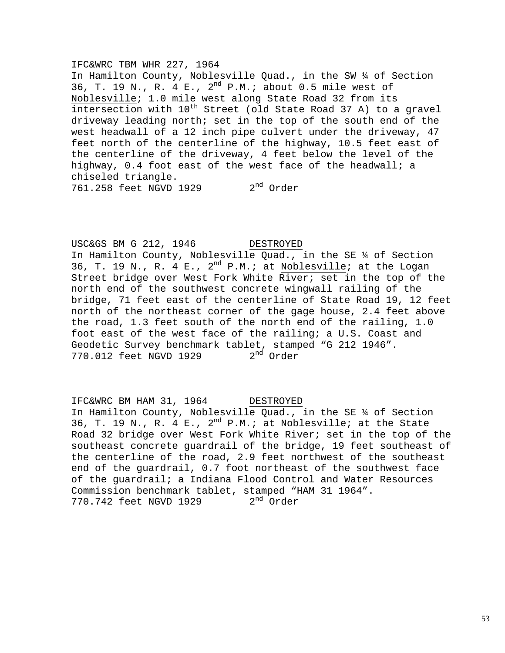### IFC&WRC TBM WHR 227, 1964

In Hamilton County, Noblesville Quad., in the SW ¼ of Section 36, T. 19 N., R. 4 E.,  $2^{nd}$  P.M.; about 0.5 mile west of Noblesville; 1.0 mile west along State Road 32 from its  $\overline{\text{intersection}}$  with  $10^{\text{th}}$  Street (old State Road 37 A) to a gravel driveway leading north; set in the top of the south end of the west headwall of a 12 inch pipe culvert under the driveway, 47 feet north of the centerline of the highway, 10.5 feet east of the centerline of the driveway, 4 feet below the level of the highway, 0.4 foot east of the west face of the headwall; a chiseled triangle. 761.258 feet NGVD 1929 2<sup>nd</sup> Order

USC&GS BM G 212, 1946 DESTROYED In Hamilton County, Noblesville Quad., in the SE ¼ of Section 36, T. 19 N., R. 4 E.,  $2^{nd}$  P.M.; at Noblesville; at the Logan Street bridge over West Fork White River; set in the top of the north end of the southwest concrete wingwall railing of the bridge, 71 feet east of the centerline of State Road 19, 12 feet north of the northeast corner of the gage house, 2.4 feet above the road, 1.3 feet south of the north end of the railing, 1.0 foot east of the west face of the railing; a U.S. Coast and Geodetic Survey benchmark tablet, stamped "G 212 1946". 770.012 feet NGVD 1929 2<sup>nd</sup> Order

IFC&WRC BM HAM 31, 1964 DESTROYED In Hamilton County, Noblesville Quad., in the SE ¼ of Section 36, T. 19 N., R. 4 E.,  $2^{nd}$  P.M.; at Noblesville; at the State Road 32 bridge over West Fork White River; set in the top of the southeast concrete guardrail of the bridge, 19 feet southeast of the centerline of the road, 2.9 feet northwest of the southeast end of the guardrail, 0.7 foot northeast of the southwest face of the guardrail; a Indiana Flood Control and Water Resources Commission benchmark tablet, stamped "HAM 31 1964". 770.742 feet NGVD 1929 2<sup>nd</sup> Order

### 53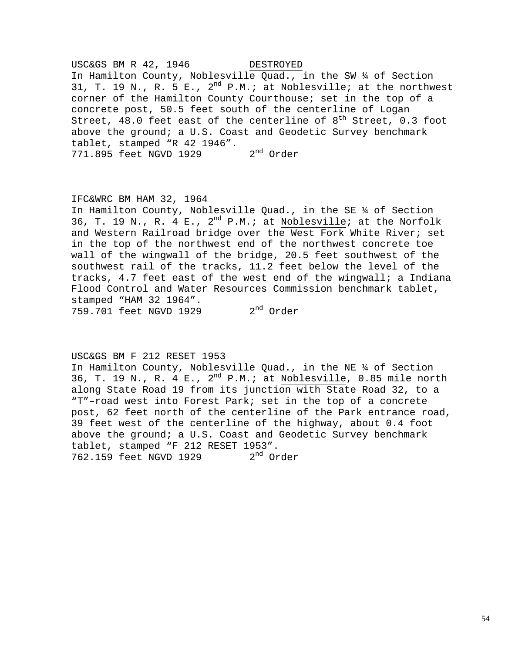USC&GS BM R 42, 1946 DESTROYED In Hamilton County, Noblesville Quad., in the SW ¼ of Section 31, T. 19 N., R. 5 E.,  $2^{nd}$  P.M.; at Noblesville; at the northwest corner of the Hamilton County Courthouse; set in the top of a concrete post, 50.5 feet south of the centerline of Logan Street, 48.0 feet east of the centerline of  $8<sup>th</sup>$  Street, 0.3 foot above the ground; a U.S. Coast and Geodetic Survey benchmark tablet, stamped "R 42 1946".<br>771.895 feet NGVD 1929 2<sup>nd</sup> Order 771.895 feet NGVD 1929

## IFC&WRC BM HAM 32, 1964

In Hamilton County, Noblesville Quad., in the SE ¼ of Section 36, T. 19 N., R. 4 E.,  $2^{nd}$  P.M.; at Noblesville; at the Norfolk and Western Railroad bridge over the West Fork White River; set in the top of the northwest end of the northwest concrete toe wall of the wingwall of the bridge, 20.5 feet southwest of the southwest rail of the tracks, 11.2 feet below the level of the tracks, 4.7 feet east of the west end of the wingwall; a Indiana Flood Control and Water Resources Commission benchmark tablet, stamped "HAM 32 1964". 759.701 feet NGVD 1929 2nd Order

## USC&GS BM F 212 RESET 1953

In Hamilton County, Noblesville Quad., in the NE ¼ of Section 36, T. 19 N., R. 4 E.,  $2^{nd}$  P.M.; at Noblesville, 0.85 mile north along State Road 19 from its junction with State Road 32, to a "T"–road west into Forest Park; set in the top of a concrete post, 62 feet north of the centerline of the Park entrance road, 39 feet west of the centerline of the highway, about 0.4 foot above the ground; a U.S. Coast and Geodetic Survey benchmark tablet, stamped "F 212 RESET 1953". 762.159 feet NGVD 1929 2<sup>nd</sup> Order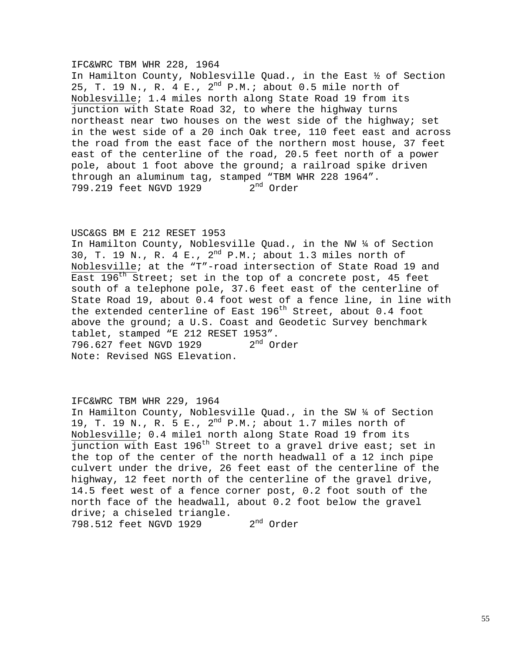## IFC&WRC TBM WHR 228, 1964

In Hamilton County, Noblesville Quad., in the East ½ of Section 25, T. 19 N., R. 4 E.,  $2^{nd}$  P.M.; about 0.5 mile north of Noblesville; 1.4 miles north along State Road 19 from its junction with State Road 32, to where the highway turns northeast near two houses on the west side of the highway; set in the west side of a 20 inch Oak tree, 110 feet east and across the road from the east face of the northern most house, 37 feet east of the centerline of the road, 20.5 feet north of a power pole, about 1 foot above the ground; a railroad spike driven through an aluminum tag, stamped "TBM WHR 228 1964".<br>799.219 feet NGVD 1929 2<sup>nd</sup> Order 799.219 feet NGVD 1929

## USC&GS BM E 212 RESET 1953

In Hamilton County, Noblesville Quad., in the NW ¼ of Section 30, T. 19 N., R. 4 E.,  $2^{nd}$  P.M.; about 1.3 miles north of Noblesville; at the "T"-road intersection of State Road 19 and East  $196<sup>th</sup>$  Street; set in the top of a concrete post, 45 feet south of a telephone pole, 37.6 feet east of the centerline of State Road 19, about 0.4 foot west of a fence line, in line with the extended centerline of East  $196<sup>th</sup>$  Street, about 0.4 foot above the ground; a U.S. Coast and Geodetic Survey benchmark tablet, stamped "E 212 RESET 1953". 796.627 feet NGVD 1929 2<sup>nd</sup> Order Note: Revised NGS Elevation.

## IFC&WRC TBM WHR 229, 1964

In Hamilton County, Noblesville Quad., in the SW ¼ of Section 19, T. 19 N., R. 5 E.,  $2^{nd}$  P.M.; about 1.7 miles north of Noblesville; 0.4 mile1 north along State Road 19 from its  $\overline{Junction$  with East 196<sup>th</sup> Street to a gravel drive east; set in the top of the center of the north headwall of a 12 inch pipe culvert under the drive, 26 feet east of the centerline of the highway, 12 feet north of the centerline of the gravel drive, 14.5 feet west of a fence corner post, 0.2 foot south of the north face of the headwall, about 0.2 foot below the gravel drive; a chiseled triangle. 798.512 feet NGVD 1929 2<sup>nd</sup> Order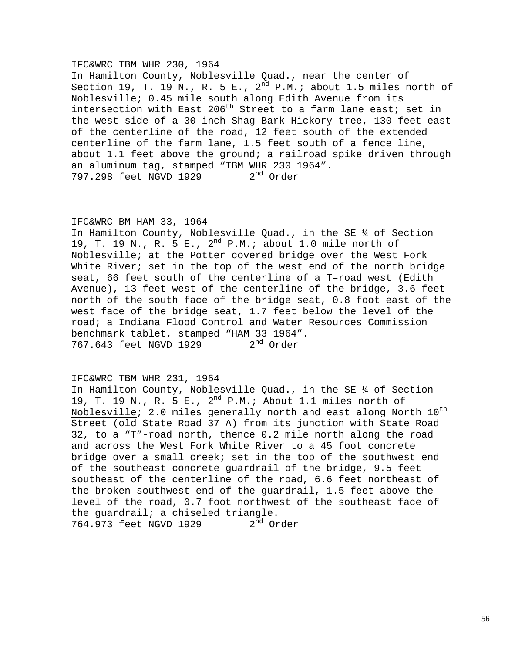## IFC&WRC TBM WHR 230, 1964

In Hamilton County, Noblesville Quad., near the center of Section 19, T. 19 N., R. 5 E.,  $2^{nd}$  P.M.; about 1.5 miles north of Noblesville; 0.45 mile south along Edith Avenue from its intersection with East 206<sup>th</sup> Street to a farm lane east; set in the west side of a 30 inch Shag Bark Hickory tree, 130 feet east of the centerline of the road, 12 feet south of the extended centerline of the farm lane, 1.5 feet south of a fence line, about 1.1 feet above the ground; a railroad spike driven through an aluminum tag, stamped "TBM WHR 230 1964". 797.298 feet NGVD 1929 2<sup>nd</sup> Order

## IFC&WRC BM HAM 33, 1964

In Hamilton County, Noblesville Quad., in the SE ¼ of Section 19, T. 19 N., R. 5 E., 2<sup>nd</sup> P.M.; about 1.0 mile north of Noblesville; at the Potter covered bridge over the West Fork White River; set in the top of the west end of the north bridge seat, 66 feet south of the centerline of a T–road west (Edith Avenue), 13 feet west of the centerline of the bridge, 3.6 feet north of the south face of the bridge seat, 0.8 foot east of the west face of the bridge seat, 1.7 feet below the level of the road; a Indiana Flood Control and Water Resources Commission benchmark tablet, stamped "HAM 33 1964". 767.643 feet NGVD 1929 2<sup>nd</sup> Order

## IFC&WRC TBM WHR 231, 1964

In Hamilton County, Noblesville Quad., in the SE ¼ of Section 19, T. 19 N., R. 5 E., 2nd P.M.; About 1.1 miles north of Noblesville; 2.0 miles generally north and east along North  $10^{\rm th}$ Street (old State Road 37 A) from its junction with State Road 32, to a "T"-road north, thence 0.2 mile north along the road and across the West Fork White River to a 45 foot concrete bridge over a small creek; set in the top of the southwest end of the southeast concrete guardrail of the bridge, 9.5 feet southeast of the centerline of the road, 6.6 feet northeast of the broken southwest end of the guardrail, 1.5 feet above the level of the road, 0.7 foot northwest of the southeast face of the guardrail; a chiseled triangle. 764.973 feet NGVD 1929 2<sup>nd</sup> Order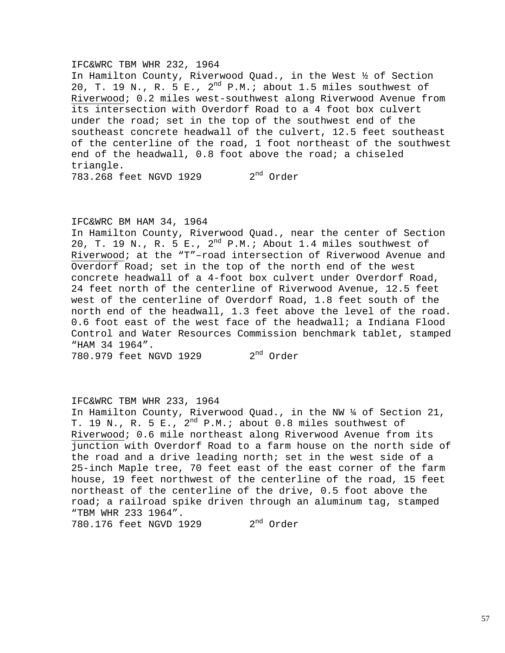### IFC&WRC TBM WHR 232, 1964

In Hamilton County, Riverwood Quad., in the West ½ of Section 20, T. 19 N., R. 5 E.,  $2^{nd}$  P.M.; about 1.5 miles southwest of Riverwood; 0.2 miles west-southwest along Riverwood Avenue from its intersection with Overdorf Road to a 4 foot box culvert under the road; set in the top of the southwest end of the southeast concrete headwall of the culvert, 12.5 feet southeast of the centerline of the road, 1 foot northeast of the southwest end of the headwall, 0.8 foot above the road; a chiseled triangle. 783.268 feet NGVD 1929 2<sup>nd</sup> Order

IFC&WRC BM HAM 34, 1964

In Hamilton County, Riverwood Quad., near the center of Section 20, T. 19 N., R. 5 E.,  $2^{nd}$  P.M.; About 1.4 miles southwest of Riverwood; at the "T"–road intersection of Riverwood Avenue and Overdorf Road; set in the top of the north end of the west concrete headwall of a 4-foot box culvert under Overdorf Road, 24 feet north of the centerline of Riverwood Avenue, 12.5 feet west of the centerline of Overdorf Road, 1.8 feet south of the north end of the headwall, 1.3 feet above the level of the road. 0.6 foot east of the west face of the headwall; a Indiana Flood Control and Water Resources Commission benchmark tablet, stamped "HAM 34 1964".

780.979 feet NGVD 1929 2<sup>nd</sup> Order

## IFC&WRC TBM WHR 233, 1964

In Hamilton County, Riverwood Quad., in the NW ¼ of Section 21, T. 19 N., R. 5 E.,  $2^{nd}$  P.M.; about 0.8 miles southwest of Riverwood; 0.6 mile northeast along Riverwood Avenue from its junction with Overdorf Road to a farm house on the north side of the road and a drive leading north; set in the west side of a 25-inch Maple tree, 70 feet east of the east corner of the farm house, 19 feet northwest of the centerline of the road, 15 feet northeast of the centerline of the drive, 0.5 foot above the road; a railroad spike driven through an aluminum tag, stamped "TBM WHR 233 1964". 780.176 feet NGVD 1929 2<sup>nd</sup> Order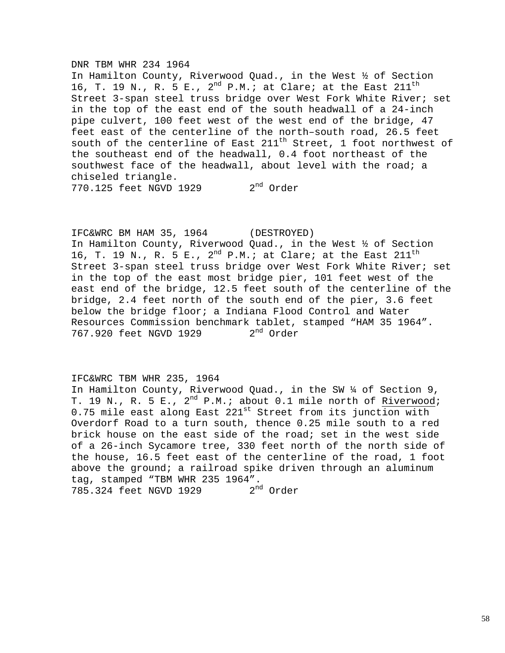### DNR TBM WHR 234 1964

In Hamilton County, Riverwood Quad., in the West ½ of Section 16, T. 19 N., R. 5 E.,  $2^{nd}$  P.M.; at Clare; at the East  $211^{th}$ Street 3-span steel truss bridge over West Fork White River; set in the top of the east end of the south headwall of a 24-inch pipe culvert, 100 feet west of the west end of the bridge, 47 feet east of the centerline of the north–south road, 26.5 feet south of the centerline of East 211<sup>th</sup> Street, 1 foot northwest of the southeast end of the headwall, 0.4 foot northeast of the southwest face of the headwall, about level with the road; a chiseled triangle. 770.125 feet NGVD 1929 2<sup>nd</sup> Order

IFC&WRC BM HAM 35, 1964 (DESTROYED) In Hamilton County, Riverwood Quad., in the West ½ of Section 16, T. 19 N., R. 5 E.,  $2^{nd}$  P.M.; at Clare; at the East  $211^{th}$ Street 3-span steel truss bridge over West Fork White River; set in the top of the east most bridge pier, 101 feet west of the east end of the bridge, 12.5 feet south of the centerline of the bridge, 2.4 feet north of the south end of the pier, 3.6 feet below the bridge floor; a Indiana Flood Control and Water Resources Commission benchmark tablet, stamped "HAM 35 1964". 767.920 feet NGVD 1929 2<sup>nd</sup> Order

## IFC&WRC TBM WHR 235, 1964

In Hamilton County, Riverwood Quad., in the SW ¼ of Section 9, T. 19 N., R. 5 E.,  $2^{nd}$  P.M.; about 0.1 mile north of Riverwood; 0.75 mile east along East  $221^{st}$  Street from its junction with Overdorf Road to a turn south, thence 0.25 mile south to a red brick house on the east side of the road; set in the west side of a 26-inch Sycamore tree, 330 feet north of the north side of the house, 16.5 feet east of the centerline of the road, 1 foot above the ground; a railroad spike driven through an aluminum tag, stamped "TBM WHR 235 1964".<br>785.324 feet NGVD 1929 2<sup>nd</sup> Order 785.324 feet NGVD 1929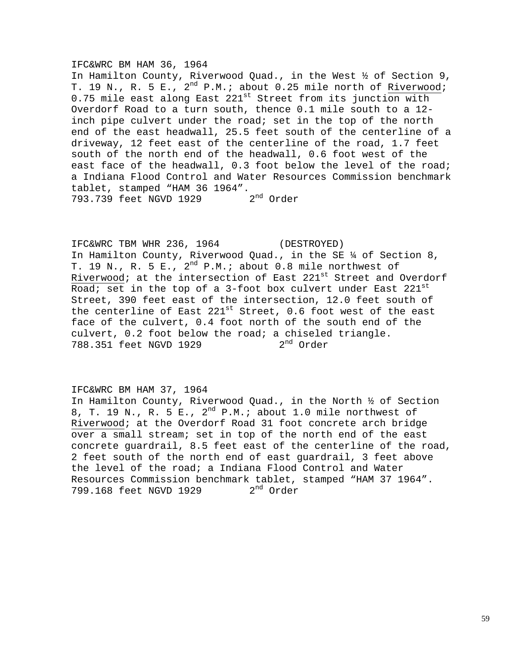## IFC&WRC BM HAM 36, 1964

In Hamilton County, Riverwood Quad., in the West ½ of Section 9, T. 19 N., R. 5 E., 2<sup>nd</sup> P.M.; about 0.25 mile north of Riverwood; 0.75 mile east along East  $221^{st}$  Street from its junction with Overdorf Road to a turn south, thence 0.1 mile south to a 12 inch pipe culvert under the road; set in the top of the north end of the east headwall, 25.5 feet south of the centerline of a driveway, 12 feet east of the centerline of the road, 1.7 feet south of the north end of the headwall, 0.6 foot west of the east face of the headwall, 0.3 foot below the level of the road; a Indiana Flood Control and Water Resources Commission benchmark tablet, stamped "HAM 36 1964".<br>793.739 feet NGVD 1929 2<sup>nd</sup> Order 793.739 feet NGVD 1929

IFC&WRC TBM WHR 236, 1964 (DESTROYED) In Hamilton County, Riverwood Quad., in the SE ¼ of Section 8, T. 19 N., R. 5 E.,  $2^{nd}$  P.M.; about 0.8 mile northwest of Riverwood; at the intersection of East 221st Street and Overdorf Road; set in the top of a 3-foot box culvert under East  $221^{\rm st}$ Street, 390 feet east of the intersection, 12.0 feet south of the centerline of East  $221^{st}$  Street, 0.6 foot west of the east face of the culvert, 0.4 foot north of the south end of the culvert, 0.2 foot below the road; a chiseled triangle. 788.351 feet NGVD 1929 2<sup>nd</sup> Order

## IFC&WRC BM HAM 37, 1964

In Hamilton County, Riverwood Quad., in the North ½ of Section 8, T. 19 N., R. 5 E.,  $2^{nd}$  P.M.; about 1.0 mile northwest of Riverwood; at the Overdorf Road 31 foot concrete arch bridge over a small stream; set in top of the north end of the east concrete guardrail, 8.5 feet east of the centerline of the road, 2 feet south of the north end of east guardrail, 3 feet above the level of the road; a Indiana Flood Control and Water Resources Commission benchmark tablet, stamped "HAM 37 1964". 799.168 feet NGVD 1929 2<sup>nd</sup> Order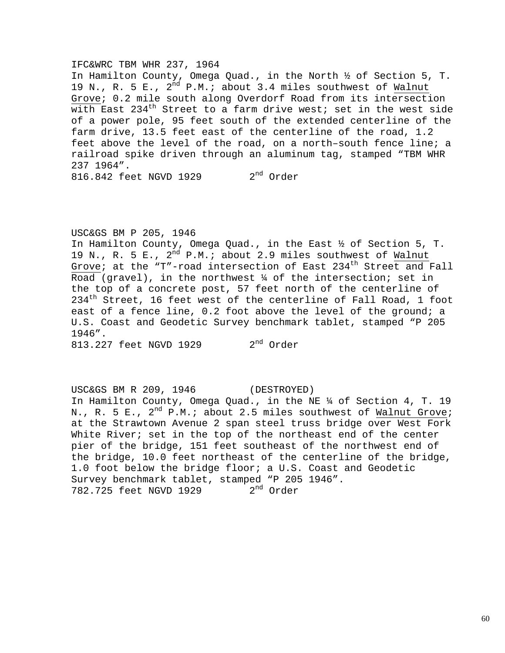### IFC&WRC TBM WHR 237, 1964

In Hamilton County, Omega Quad., in the North ½ of Section 5, T. 19 N., R. 5 E., 2<sup>nd</sup> P.M.; about 3.4 miles southwest of Walnut Grove; 0.2 mile south along Overdorf Road from its intersection with East  $234<sup>th</sup>$  Street to a farm drive west; set in the west side of a power pole, 95 feet south of the extended centerline of the farm drive, 13.5 feet east of the centerline of the road, 1.2 feet above the level of the road, on a north–south fence line; a railroad spike driven through an aluminum tag, stamped "TBM WHR 237 1964". 816.842 feet NGVD 1929 2<sup>nd</sup> Order

USC&GS BM P 205, 1946

In Hamilton County, Omega Quad., in the East ½ of Section 5, T. 19 N., R. 5 E.,  $2^{nd}$  P.M.; about 2.9 miles southwest of Walnut Grove; at the "T"-road intersection of East  $234<sup>th</sup>$  Street and Fall Road (gravel), in the northwest  $\frac{1}{4}$  of the intersection; set in the top of a concrete post, 57 feet north of the centerline of  $234<sup>th</sup>$  Street, 16 feet west of the centerline of Fall Road, 1 foot east of a fence line, 0.2 foot above the level of the ground; a U.S. Coast and Geodetic Survey benchmark tablet, stamped "P 205 1946".

813.227 feet NGVD 1929 2<sup>nd</sup> Order

USC&GS BM R 209, 1946 (DESTROYED) In Hamilton County, Omega Quad., in the NE ¼ of Section 4, T. 19 N., R. 5 E.,  $2^{nd}$  P.M.; about 2.5 miles southwest of Walnut Grove; at the Strawtown Avenue 2 span steel truss bridge over West Fork White River; set in the top of the northeast end of the center pier of the bridge, 151 feet southeast of the northwest end of the bridge, 10.0 feet northeast of the centerline of the bridge, 1.0 foot below the bridge floor; a U.S. Coast and Geodetic Survey benchmark tablet, stamped "P 205 1946". 782.725 feet NGVD 1929 2<sup>nd</sup> Order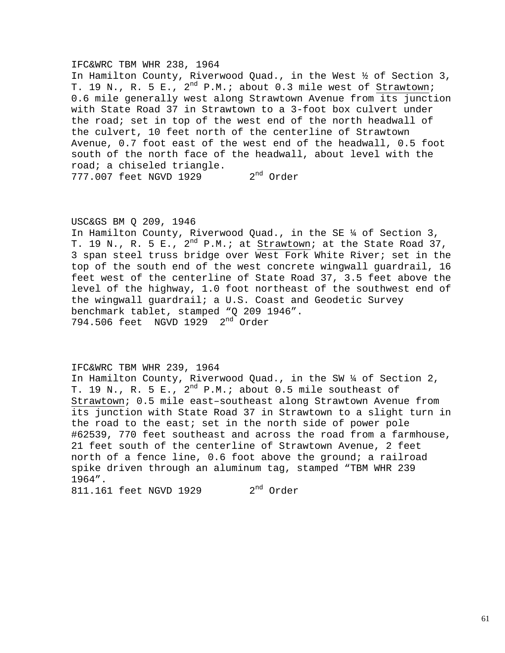### IFC&WRC TBM WHR 238, 1964

In Hamilton County, Riverwood Quad., in the West ½ of Section 3, T. 19 N., R. 5 E.,  $2^{nd}$  P.M.; about 0.3 mile west of Strawtown; 0.6 mile generally west along Strawtown Avenue from its junction with State Road 37 in Strawtown to a 3-foot box culvert under the road; set in top of the west end of the north headwall of the culvert, 10 feet north of the centerline of Strawtown Avenue, 0.7 foot east of the west end of the headwall, 0.5 foot south of the north face of the headwall, about level with the road; a chiseled triangle. 777.007 feet NGVD 1929 2<sup>nd</sup> Order

## USC&GS BM Q 209, 1946

In Hamilton County, Riverwood Quad., in the SE ¼ of Section 3, T. 19 N., R. 5 E.,  $2^{nd}$  P.M.; at Strawtown; at the State Road 37, 3 span steel truss bridge over West Fork White River; set in the top of the south end of the west concrete wingwall guardrail, 16 feet west of the centerline of State Road 37, 3.5 feet above the level of the highway, 1.0 foot northeast of the southwest end of the wingwall guardrail; a U.S. Coast and Geodetic Survey benchmark tablet, stamped "Q 209 1946". 794.506 feet NGVD 1929 2nd Order

### IFC&WRC TBM WHR 239, 1964

In Hamilton County, Riverwood Quad., in the SW ¼ of Section 2, T. 19 N., R. 5 E.,  $2^{nd}$  P.M.; about 0.5 mile southeast of Strawtown; 0.5 mile east–southeast along Strawtown Avenue from its junction with State Road 37 in Strawtown to a slight turn in the road to the east; set in the north side of power pole #62539, 770 feet southeast and across the road from a farmhouse, 21 feet south of the centerline of Strawtown Avenue, 2 feet north of a fence line, 0.6 foot above the ground; a railroad spike driven through an aluminum tag, stamped "TBM WHR 239 1964". 811.161 feet NGVD 1929 2<sup>nd</sup> Order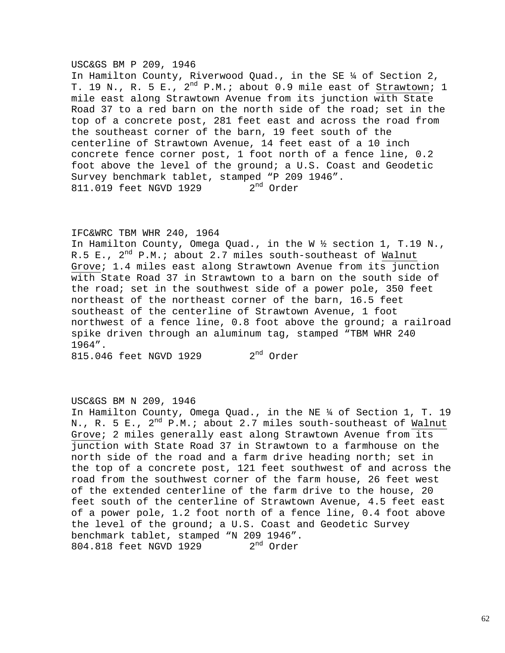### USC&GS BM P 209, 1946

In Hamilton County, Riverwood Quad., in the SE ¼ of Section 2, T. 19 N., R. 5 E.,  $2^{nd}$  P.M.; about 0.9 mile east of Strawtown; 1 mile east along Strawtown Avenue from its junction with State Road 37 to a red barn on the north side of the road; set in the top of a concrete post, 281 feet east and across the road from the southeast corner of the barn, 19 feet south of the centerline of Strawtown Avenue, 14 feet east of a 10 inch concrete fence corner post, 1 foot north of a fence line, 0.2 foot above the level of the ground; a U.S. Coast and Geodetic Survey benchmark tablet, stamped "P 209 1946".<br>811.019 feet NGVD 1929 2<sup>nd</sup> Order 811.019 feet NGVD 1929

## IFC&WRC TBM WHR 240, 1964

In Hamilton County, Omega Quad., in the W ½ section 1, T.19 N., R.5 E.,  $2^{nd}$  P.M.; about 2.7 miles south-southeast of Walnut Grove; 1.4 miles east along Strawtown Avenue from its junction with State Road 37 in Strawtown to a barn on the south side of the road; set in the southwest side of a power pole, 350 feet northeast of the northeast corner of the barn, 16.5 feet southeast of the centerline of Strawtown Avenue, 1 foot northwest of a fence line, 0.8 foot above the ground; a railroad spike driven through an aluminum tag, stamped "TBM WHR 240 1964".

 $815.046$  feet NGVD 1929  $2<sup>nd</sup>$  Order

### USC&GS BM N 209, 1946

In Hamilton County, Omega Quad., in the NE ¼ of Section 1, T. 19 N., R. 5 E.,  $2^{nd}$  P.M.; about 2.7 miles south-southeast of Walnut Grove; 2 miles generally east along Strawtown Avenue from its junction with State Road 37 in Strawtown to a farmhouse on the north side of the road and a farm drive heading north; set in the top of a concrete post, 121 feet southwest of and across the road from the southwest corner of the farm house, 26 feet west of the extended centerline of the farm drive to the house, 20 feet south of the centerline of Strawtown Avenue, 4.5 feet east of a power pole, 1.2 foot north of a fence line, 0.4 foot above the level of the ground; a U.S. Coast and Geodetic Survey benchmark tablet, stamped "N 209 1946". 804.818 feet NGVD 1929 2<sup>nd</sup> Order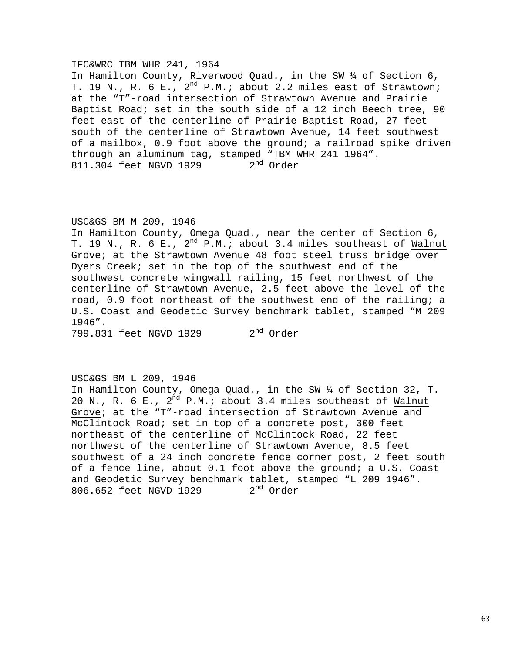### IFC&WRC TBM WHR 241, 1964

In Hamilton County, Riverwood Quad., in the SW ¼ of Section 6, T. 19 N., R. 6 E.,  $2^{nd}$  P.M.; about 2.2 miles east of Strawtown; at the "T"-road intersection of Strawtown Avenue and Prairie Baptist Road; set in the south side of a 12 inch Beech tree, 90 feet east of the centerline of Prairie Baptist Road, 27 feet south of the centerline of Strawtown Avenue, 14 feet southwest of a mailbox, 0.9 foot above the ground; a railroad spike driven through an aluminum tag, stamped "TBM WHR 241 1964".<br>811.304 feet NGVD 1929 2<sup>nd</sup> Order 811.304 feet NGVD 1929

## USC&GS BM M 209, 1946

In Hamilton County, Omega Quad., near the center of Section 6, T. 19 N., R. 6 E.,  $2^{nd}$  P.M.; about 3.4 miles southeast of Walnut Grove; at the Strawtown Avenue 48 foot steel truss bridge over Dyers Creek; set in the top of the southwest end of the southwest concrete wingwall railing, 15 feet northwest of the centerline of Strawtown Avenue, 2.5 feet above the level of the road, 0.9 foot northeast of the southwest end of the railing; a U.S. Coast and Geodetic Survey benchmark tablet, stamped "M 209 1946".

799.831 feet NGVD 1929 2<sup>nd</sup> Order

## USC&GS BM L 209, 1946

In Hamilton County, Omega Quad., in the SW ¼ of Section 32, T. 20 N., R. 6 E.,  $2^{nd}$  P.M.; about 3.4 miles southeast of Walnut Grove; at the "T"-road intersection of Strawtown Avenue and McClintock Road; set in top of a concrete post, 300 feet northeast of the centerline of McClintock Road, 22 feet northwest of the centerline of Strawtown Avenue, 8.5 feet southwest of a 24 inch concrete fence corner post, 2 feet south of a fence line, about 0.1 foot above the ground; a U.S. Coast and Geodetic Survey benchmark tablet, stamped "L 209 1946".<br>806.652 feet NGVD 1929 2<sup>nd</sup> Order 806.652 feet NGVD 1929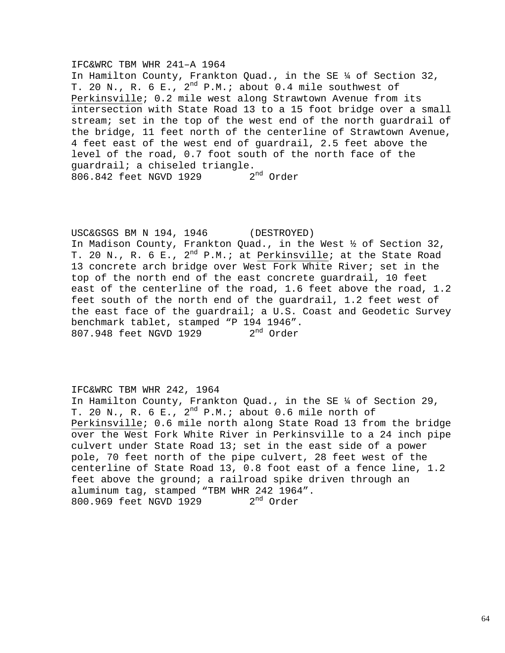### IFC&WRC TBM WHR 241–A 1964

In Hamilton County, Frankton Quad., in the SE ¼ of Section 32, T. 20 N., R. 6 E., 2<sup>nd</sup> P.M.; about 0.4 mile southwest of Perkinsville; 0.2 mile west along Strawtown Avenue from its intersection with State Road 13 to a 15 foot bridge over a small stream; set in the top of the west end of the north guardrail of the bridge, 11 feet north of the centerline of Strawtown Avenue, 4 feet east of the west end of guardrail, 2.5 feet above the level of the road, 0.7 foot south of the north face of the guardrail; a chiseled triangle.<br>806.842 feet NGVD 1929 2<sup>nd</sup> Order 806.842 feet NGVD 1929

USC&GSGS BM N 194, 1946 (DESTROYED) In Madison County, Frankton Quad., in the West ½ of Section 32, T. 20 N., R. 6 E., 2<sup>nd</sup> P.M.; at Perkinsville; at the State Road 13 concrete arch bridge over West Fork White River; set in the top of the north end of the east concrete guardrail, 10 feet east of the centerline of the road, 1.6 feet above the road, 1.2 feet south of the north end of the guardrail, 1.2 feet west of the east face of the guardrail; a U.S. Coast and Geodetic Survey benchmark tablet, stamped "P 194 1946".<br>807.948 feet NGVD 1929 2<sup>nd</sup> Order 807.948 feet NGVD 1929

## IFC&WRC TBM WHR 242, 1964

In Hamilton County, Frankton Quad., in the SE ¼ of Section 29, T. 20 N., R. 6 E.,  $2^{nd}$  P.M.; about 0.6 mile north of Perkinsville; 0.6 mile north along State Road 13 from the bridge over the West Fork White River in Perkinsville to a 24 inch pipe culvert under State Road 13; set in the east side of a power pole, 70 feet north of the pipe culvert, 28 feet west of the centerline of State Road 13, 0.8 foot east of a fence line, 1.2 feet above the ground; a railroad spike driven through an aluminum tag, stamped "TBM WHR 242 1964". 800.969 feet NGVD 1929 2<sup>nd</sup> Order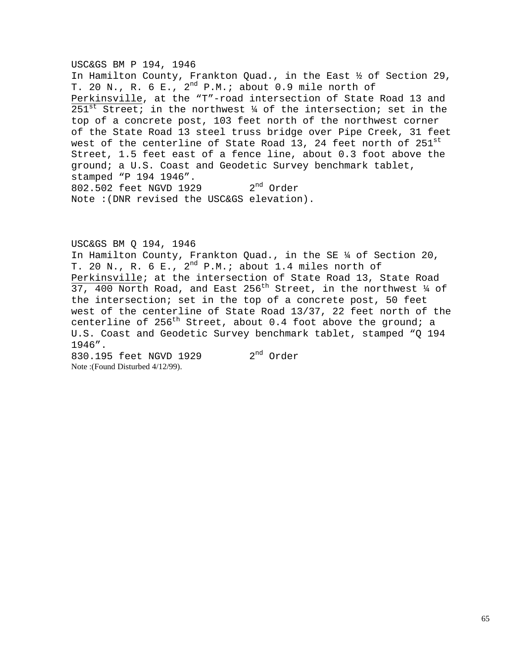## USC&GS BM P 194, 1946

In Hamilton County, Frankton Quad., in the East ½ of Section 29, T. 20 N., R. 6 E.,  $2^{nd}$  P.M.; about 0.9 mile north of Perkinsville, at the "T"-road intersection of State Road 13 and 251<sup>st</sup> Street; in the northwest  $\frac{1}{4}$  of the intersection; set in the top of a concrete post, 103 feet north of the northwest corner of the State Road 13 steel truss bridge over Pipe Creek, 31 feet west of the centerline of State Road 13, 24 feet north of  $251^{\rm st}$ Street, 1.5 feet east of a fence line, about 0.3 foot above the ground; a U.S. Coast and Geodetic Survey benchmark tablet, stamped "P 194 1946". 802.502 feet NGVD 1929 2<sup>nd</sup> Order Note :(DNR revised the USC&GS elevation).

USC&GS BM Q 194, 1946 In Hamilton County, Frankton Quad., in the SE ¼ of Section 20, T. 20 N., R. 6 E.,  $2^{nd}$  P.M.; about 1.4 miles north of Perkinsville; at the intersection of State Road 13, State Road 37, 400 North Road, and East 256<sup>th</sup> Street, in the northwest  $\frac{1}{4}$  of the intersection; set in the top of a concrete post, 50 feet west of the centerline of State Road 13/37, 22 feet north of the centerline of  $256<sup>th</sup>$  Street, about 0.4 foot above the ground; a U.S. Coast and Geodetic Survey benchmark tablet, stamped "Q 194 1946".

830.195 feet NGVD 1929 2<sup>nd</sup> Order Note :(Found Disturbed 4/12/99).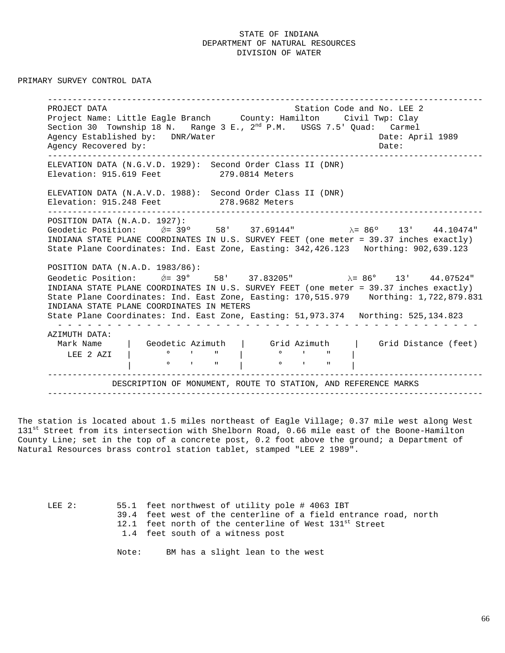PRIMARY SURVEY CONTROL DATA

----------------------------------------------------------------------------------------PROJECT DATA STATION COLLECT DATA STATION CODE AND LEAD STATION CODE AND LEAD STATION OF STATION COLLECTED AND Project Name: Little Eagle Branch County: Hamilton Civil Twp: Clay Section 30 Township 18 N. Range 3 E.,  $2<sup>nd</sup>$  P.M. USGS 7.5' Quad: Carmel Agency Established by: DNR/Water Cases and Date: April 1989 Agency Recovered by:  $\Box$ ----------------------------------------------------------------------------------------ELEVATION DATA (N.G.V.D. 1929): Second Order Class II (DNR) Elevation: 915.619 Feet 279.0814 Meters ELEVATION DATA (N.A.V.D. 1988): Second Order Class II (DNR) Elevation: 915.248 Feet 278.9682 Meters ----------------------------------------------------------------------------------------POSITION DATA (N.A.D. 1927): Geodetic Position:  $\acute{Q}$  = 39° 58' 37.69144" λ = 86° 13' 44.10474" INDIANA STATE PLANE COORDINATES IN U.S. SURVEY FEET (one meter = 39.37 inches exactly) State Plane Coordinates: Ind. East Zone, Easting: 342,426.123 Northing: 902,639.123 POSITION DATA (N.A.D. 1983/86): Geodetic Position:  $\acute{Q}$  = 39° 58' 37.83205" λ= 86° 13' 44.07524" INDIANA STATE PLANE COORDINATES IN U.S. SURVEY FEET (one meter = 39.37 inches exactly) State Plane Coordinates: Ind. East Zone, Easting: 170,515.979 Northing: 1,722,879.831 INDIANA STATE PLANE COORDINATES IN METERS State Plane Coordinates: Ind. East Zone, Easting: 51,973.374 Northing: 525,134.823 - - - - - - - - - - - - - - - - - - - - - - - - - - - - - - - - - - - - - - - - - - -AZIMUTH DATA: Mark Name | Geodetic Azimuth | Grid Azimuth | Grid Distance (feet) LEE 2 AZI | ° ' " | ° ' " |  $\begin{bmatrix} 0 & 0 & 1 & 0 \\ 0 & 0 & 1 & 0 \\ 0 & 0 & 0 & 1 \end{bmatrix}$ ----------------------------------------------------------------------------------------DESCRIPTION OF MONUMENT, ROUTE TO STATION, AND REFERENCE MARKS ----------------------------------------------------------------------------------------

The station is located about 1.5 miles northeast of Eagle Village; 0.37 mile west along West 131<sup>st</sup> Street from its intersection with Shelborn Road, 0.66 mile east of the Boone-Hamilton County Line; set in the top of a concrete post, 0.2 foot above the ground; a Department of Natural Resources brass control station tablet, stamped "LEE 2 1989".

LEE 2: 55.1 feet northwest of utility pole # 4063 IBT 39.4 feet west of the centerline of a field entrance road, north 12.1 feet north of the centerline of West 131st Street 1.4 feet south of a witness post

Note: BM has a slight lean to the west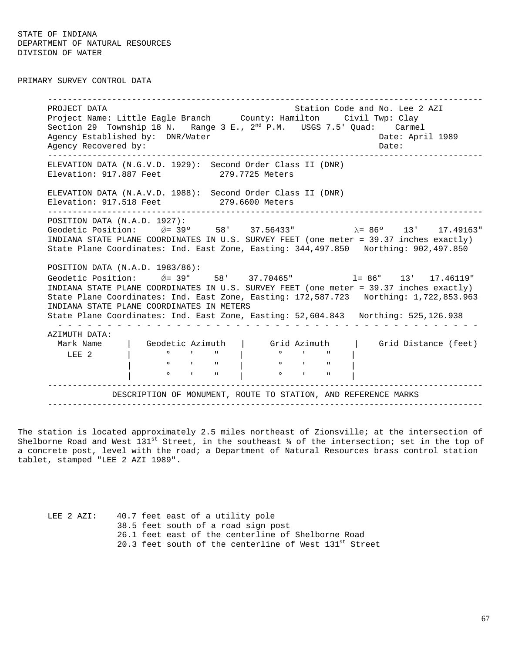PRIMARY SURVEY CONTROL DATA

----------------------------------------------------------------------------------------PROJECT DATA STATION COLLECT DATA STATION COLLECT DATA STATION COLLECT DATA STATION OF STATION COLLECT DATA ST Project Name: Little Eagle Branch County: Hamilton Civil Twp: Clay Section 29 Township 18 N. Range  $3$  E.,  $2^{nd}$  P.M. USGS 7.5' Quad: Carmel Agency Established by: DNR/Water Cases and Date: April 1989 Agency Recovered by:  $\Box$ ----------------------------------------------------------------------------------------ELEVATION DATA (N.G.V.D. 1929): Second Order Class II (DNR) Elevation: 917.887 Feet 279.7725 Meters ELEVATION DATA (N.A.V.D. 1988): Second Order Class II (DNR) Elevation: 917.518 Feet 279.6600 Meters ----------------------------------------------------------------------------------------POSITION DATA (N.A.D. 1927): Geodetic Position: *ΰ*= 39° 58' 37.56433" λ= 86° 13' 17.49163" INDIANA STATE PLANE COORDINATES IN U.S. SURVEY FEET (one meter = 39.37 inches exactly) State Plane Coordinates: Ind. East Zone, Easting: 344,497.850 Northing: 902,497.850 POSITION DATA (N.A.D. 1983/86): Geodetic Position:  $\acute{Q} = 39^{\circ}$  58' 37.70465" l= 86° 13' 17.46119" INDIANA STATE PLANE COORDINATES IN U.S. SURVEY FEET (one meter = 39.37 inches exactly) State Plane Coordinates: Ind. East Zone, Easting: 172,587.723 Northing: 1,722,853.963 INDIANA STATE PLANE COORDINATES IN METERS State Plane Coordinates: Ind. East Zone, Easting: 52,604.843 Northing: 525,126.938 - - - - - - - - - - - - - - - - - - - - - - - - - - - - - - - - - - - - - - - - - - -AZIMUTH DATA: | Geodetic Azimuth | Grid Azimuth | Grid Distance (feet) LEE 2 | ° ' " | ° ' " | | ° ' " | ° ' " | | ° ' " | ° ' " | ----------------------------------------------------------------------------------------DESCRIPTION OF MONUMENT, ROUTE TO STATION, AND REFERENCE MARKS ----------------------------------------------------------------------------------------

The station is located approximately 2.5 miles northeast of Zionsville; at the intersection of Shelborne Road and West  $131^{st}$  Street, in the southeast  $\frac{1}{4}$  of the intersection; set in the top of a concrete post, level with the road; a Department of Natural Resources brass control station tablet, stamped "LEE 2 AZI 1989".

LEE 2 AZI: 40.7 feet east of a utility pole 38.5 feet south of a road sign post 26.1 feet east of the centerline of Shelborne Road 20.3 feet south of the centerline of West  $131<sup>st</sup>$  Street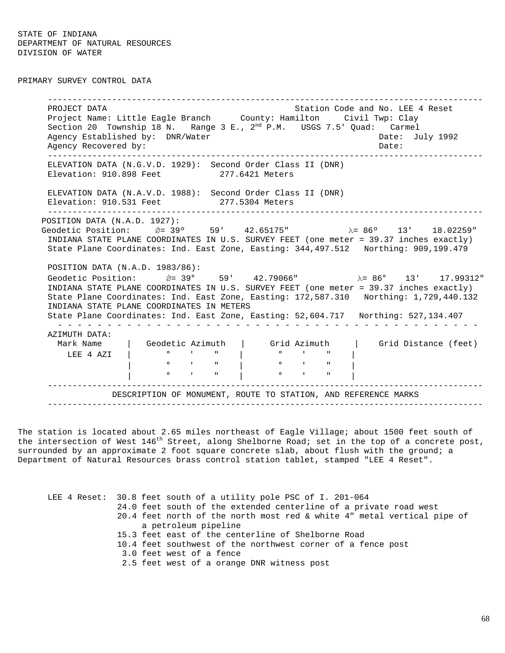PRIMARY SURVEY CONTROL DATA

----------------------------------------------------------------------------------------PROJECT DATA STATION COLLECT DATA STATION COLLECT DATA STATION COLLECT DATA STATION STATION COLLECT ASSESSMENT Project Name: Little Eagle Branch County: Hamilton Civil Twp: Clay Section 20 Township 18 N. Range 3 E.,  $2<sup>nd</sup>$  P.M. USGS 7.5' Quad: Carmel Agency Established by: DNR/Water Cases and Date: July 1992 Agency Recovered by: Date: ----------------------------------------------------------------------------------------ELEVATION DATA (N.G.V.D. 1929): Second Order Class II (DNR) Elevation: 910.898 Feet 277.6421 Meters ELEVATION DATA (N.A.V.D. 1988): Second Order Class II (DNR) Elevation: 910.531 Feet 277.5304 Meters ----------------------------------------------------------------------------------------POSITION DATA (N.A.D. 1927): Geodetic Position:  $\emptyset$ = 39° 59' 42.65175" λ= 86° 13' 18.02259" INDIANA STATE PLANE COORDINATES IN U.S. SURVEY FEET (one meter = 39.37 inches exactly) State Plane Coordinates: Ind. East Zone, Easting: 344,497.512 Northing: 909,199.479 POSITION DATA (N.A.D. 1983/86): Geodetic Position:  $\acute{\theta} = 39^{\circ}$  59' 42.79066"  $\lambda = 86^{\circ}$  13' 17.99312" INDIANA STATE PLANE COORDINATES IN U.S. SURVEY FEET (one meter = 39.37 inches exactly) State Plane Coordinates: Ind. East Zone, Easting: 172,587.310 Northing: 1,729,440.132 INDIANA STATE PLANE COORDINATES IN METERS State Plane Coordinates: Ind. East Zone, Easting: 52,604.717 Northing: 527,134.407 - - - - - - - - - - - - - - - - - - - - - - - - - - - - - - - - - - - - - - - - - - -AZIMUTH DATA: Mark Name | Geodetic Azimuth | Grid Azimuth | Grid Distance (feet) LEE 4 AZI | ° ' " | ° ' " | | ° ' " | ° ' " |  $\circ$   $\qquad$   $\qquad$   $\qquad$   $\qquad$   $\qquad$   $\qquad$   $\qquad$   $\qquad$   $\qquad$   $\qquad$   $\qquad$   $\qquad$   $\qquad$   $\qquad$   $\qquad$   $\qquad$   $\qquad$   $\qquad$   $\qquad$   $\qquad$   $\qquad$   $\qquad$   $\qquad$   $\qquad$   $\qquad$   $\qquad$   $\qquad$   $\qquad$   $\qquad$   $\qquad$   $\qquad$   $\qquad$   $\qquad$   $\qquad$   $\qquad$   $\qquad$  ----------------------------------------------------------------------------------------DESCRIPTION OF MONUMENT, ROUTE TO STATION, AND REFERENCE MARKS ----------------------------------------------------------------------------------------

The station is located about 2.65 miles northeast of Eagle Village; about 1500 feet south of the intersection of West  $146^{th}$  Street, along Shelborne Road; set in the top of a concrete post, surrounded by an approximate 2 foot square concrete slab, about flush with the ground; a Department of Natural Resources brass control station tablet, stamped "LEE 4 Reset".

|                                                    | LEE 4 Reset: 30.8 feet south of a utility pole PSC of I. 201-064        |  |  |  |  |  |  |  |  |  |
|----------------------------------------------------|-------------------------------------------------------------------------|--|--|--|--|--|--|--|--|--|
|                                                    | 24.0 feet south of the extended centerline of a private road west       |  |  |  |  |  |  |  |  |  |
|                                                    | 20.4 feet north of the north most red & white 4" metal vertical pipe of |  |  |  |  |  |  |  |  |  |
| a petroleum pipeline                               |                                                                         |  |  |  |  |  |  |  |  |  |
| 15.3 feet east of the centerline of Shelborne Road |                                                                         |  |  |  |  |  |  |  |  |  |
|                                                    | 10.4 feet southwest of the northwest corner of a fence post             |  |  |  |  |  |  |  |  |  |
|                                                    | 3.0 feet west of a fence                                                |  |  |  |  |  |  |  |  |  |
|                                                    | 2.5 feet west of a orange DNR witness post                              |  |  |  |  |  |  |  |  |  |
|                                                    |                                                                         |  |  |  |  |  |  |  |  |  |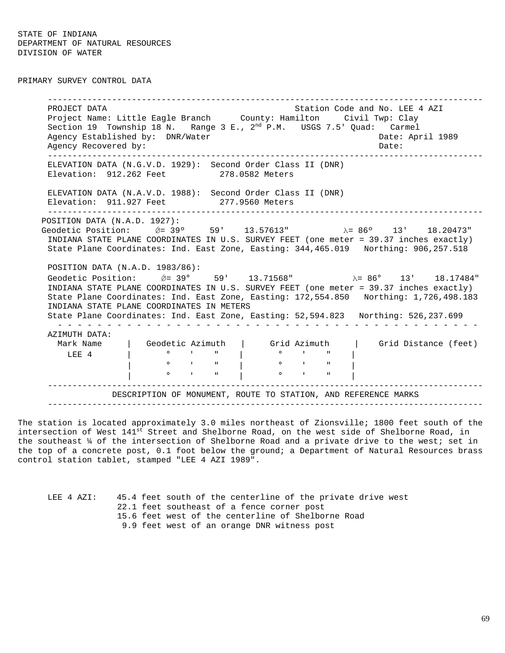PRIMARY SURVEY CONTROL DATA

----------------------------------------------------------------------------------------PROJECT DATA STATION COLLECT DATA STATION COLLECT DATA STATION COLLECT DATA STATION OF STATION COLLECT AND A LEG Project Name: Little Eagle Branch County: Hamilton Civil Twp: Clay Section 19 Township 18 N. Range 3 E.,  $2<sup>nd</sup>$  P.M. USGS 7.5' Quad: Carmel Agency Established by: DNR/Water Cases and Date: April 1989 Agency Recovered by: Date: ----------------------------------------------------------------------------------------ELEVATION DATA (N.G.V.D. 1929): Second Order Class II (DNR) Elevation: 912.262 Feet 278.0582 Meters ELEVATION DATA (N.A.V.D. 1988): Second Order Class II (DNR) Elevation: 911.927 Feet 277.9560 Meters ----------------------------------------------------------------------------------------POSITION DATA (N.A.D. 1927): Geodetic Position:  $\acute{\theta} = 39^{\circ}$  59' 13.57613"  $\lambda = 86^{\circ}$  13' 18.20473" INDIANA STATE PLANE COORDINATES IN U.S. SURVEY FEET (one meter = 39.37 inches exactly) State Plane Coordinates: Ind. East Zone, Easting: 344,465.019 Northing: 906,257.518 POSITION DATA (N.A.D. 1983/86): Geodetic Position:  $\acute{\phi} = 39^{\circ}$  59' 13.71568"  $\lambda = 86^{\circ}$  13' 18.17484" INDIANA STATE PLANE COORDINATES IN U.S. SURVEY FEET (one meter = 39.37 inches exactly) State Plane Coordinates: Ind. East Zone, Easting: 172,554.850 Northing: 1,726,498.183 INDIANA STATE PLANE COORDINATES IN METERS State Plane Coordinates: Ind. East Zone, Easting: 52,594.823 Northing: 526,237.699 - - - - - - - - - - - - - - - - - - - - - - - - - - - - - - - - - - - - - - - - - - -AZIMUTH DATA: Mark Name | Geodetic Azimuth | Grid Azimuth | Grid Distance (feet) LEE 4 | ° ' " | ° ' " | | ° ' " | ° ' " | | ° ' " | ° ' " | ----------------------------------------------------------------------------------------DESCRIPTION OF MONUMENT, ROUTE TO STATION, AND REFERENCE MARKS ----------------------------------------------------------------------------------------

The station is located approximately 3.0 miles northeast of Zionsville; 1800 feet south of the intersection of West  $141^{st}$  Street and Shelborne Road, on the west side of Shelborne Road, in the southeast ¼ of the intersection of Shelborne Road and a private drive to the west; set in the top of a concrete post, 0.1 foot below the ground; a Department of Natural Resources brass control station tablet, stamped "LEE 4 AZI 1989".

|  | LEE 4 AZI: |  |  |                                             |  |  |  |  |  |                                                    | 45.4 feet south of the centerline of the private drive west |  |  |
|--|------------|--|--|---------------------------------------------|--|--|--|--|--|----------------------------------------------------|-------------------------------------------------------------|--|--|
|  |            |  |  | 22.1 feet southeast of a fence corner post  |  |  |  |  |  |                                                    |                                                             |  |  |
|  |            |  |  |                                             |  |  |  |  |  | 15.6 feet west of the centerline of Shelborne Road |                                                             |  |  |
|  |            |  |  | 9.9 feet west of an orange DNR witness post |  |  |  |  |  |                                                    |                                                             |  |  |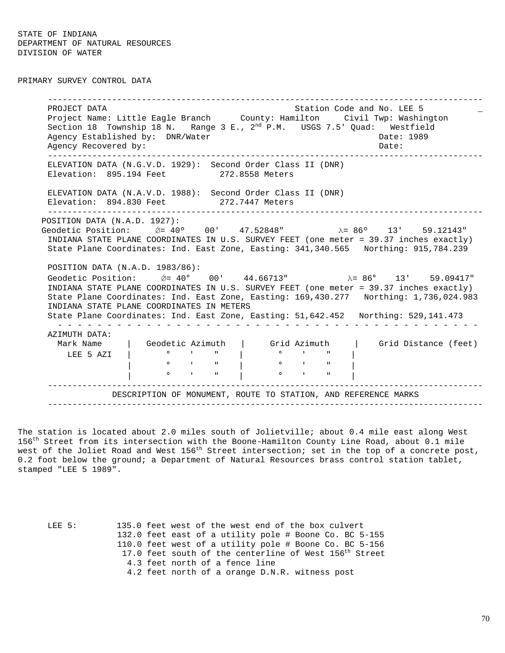PRIMARY SURVEY CONTROL DATA

----------------------------------------------------------------------------------------PROJECT DATA STATION COLLECT DATA STATION COLLECT DATA STATION COLLECT DATA STATION OF  $\overline{\phantom{a}}$ Project Name: Little Eagle Branch County: Hamilton Civil Twp: Washington Section 18 Township 18 N. Range 3 E.,  $2^{nd}$  P.M. USGS 7.5' Quad: Westfield Agency Established by: DNR/Water Case Communication of the Date: 1989 Agency Recovered by: Date: ----------------------------------------------------------------------------------------ELEVATION DATA (N.G.V.D. 1929): Second Order Class II (DNR) Elevation: 895.194 Feet 272.8558 Meters ELEVATION DATA (N.A.V.D. 1988): Second Order Class II (DNR) Elevation: 894.830 Feet 272.7447 Meters ----------------------------------------------------------------------------------------POSITION DATA (N.A.D. 1927): Geodetic Position:  $\acute{\theta}$  = 40° 00' 47.52848" λ = 86° 13' 59.12143" INDIANA STATE PLANE COORDINATES IN U.S. SURVEY FEET (one meter = 39.37 inches exactly) State Plane Coordinates: Ind. East Zone, Easting: 341,340.565 Northing: 915,784.239 POSITION DATA (N.A.D. 1983/86): Geodetic Position:  $\acute{Q} = 40^{\circ}$  00'  $44.66713^{\circ}$   $\lambda = 86^{\circ}$  13' 59.09417" INDIANA STATE PLANE COORDINATES IN U.S. SURVEY FEET (one meter = 39.37 inches exactly) State Plane Coordinates: Ind. East Zone, Easting: 169,430.277 Northing: 1,736,024.983 INDIANA STATE PLANE COORDINATES IN METERS State Plane Coordinates: Ind. East Zone, Easting: 51,642.452 Northing: 529,141.473 - - - - - - - - - - - - - - - - - - - - - - - - - - - - - - - - - - - - - - - - - - -AZIMUTH DATA: Mark Name | Geodetic Azimuth | Grid Azimuth | Grid Distance (feet) LEE 5 AZI  $\begin{vmatrix} 0 & 0 & 0 & 0 \\ 0 & 0 & 0 & 0 \\ 0 & 0 & 0 & 0 \end{vmatrix}$ | ° ' " | ° ' " | | ° ' " | ° ' " | ----------------------------------------------------------------------------------------DESCRIPTION OF MONUMENT, ROUTE TO STATION, AND REFERENCE MARKS ----------------------------------------------------------------------------------------

The station is located about 2.0 miles south of Jolietville; about 0.4 mile east along West 156<sup>th</sup> Street from its intersection with the Boone-Hamilton County Line Road, about 0.1 mile west of the Joliet Road and West  $156^{th}$  Street intersection; set in the top of a concrete post, 0.2 foot below the ground; a Department of Natural Resources brass control station tablet, stamped "LEE 5 1989".

LEE 5: 135.0 feet west of the west end of the box culvert 132.0 feet east of a utility pole # Boone Co. BC 5-155 110.0 feet west of a utility pole # Boone Co. BC 5-156 17.0 feet south of the centerline of West 156<sup>th</sup> Street 4.3 feet north of a fence line 4.2 feet north of a orange D.N.R. witness post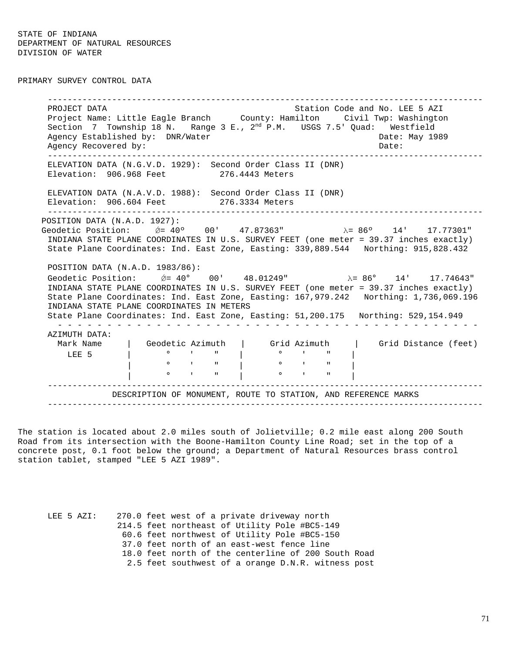PRIMARY SURVEY CONTROL DATA

----------------------------------------------------------------------------------------PROJECT DATA Station Code and No. LEE 5 AZI Project Name: Little Eagle Branch County: Hamilton Civil Twp: Washington Section 7 Township 18 N. Range 3 E.,  $2^{nd}$  P.M. USGS 7.5' Quad: Westfield Agency Established by: DNR/Water Case Communication of the Date: May 1989 Agency Recovered by:  $\Box$  Date:  $\Box$  Date:  $\Box$ ----------------------------------------------------------------------------------------ELEVATION DATA (N.G.V.D. 1929): Second Order Class II (DNR) Elevation: 906.968 Feet 276.4443 Meters ELEVATION DATA (N.A.V.D. 1988): Second Order Class II (DNR) Elevation: 906.604 Feet 276.3334 Meters ----------------------------------------------------------------------------------------POSITION DATA (N.A.D. 1927): Geodetic Position: *ΰ*= 40° 00' 47.87363" λ= 86° 14' 17.77301" INDIANA STATE PLANE COORDINATES IN U.S. SURVEY FEET (one meter = 39.37 inches exactly) State Plane Coordinates: Ind. East Zone, Easting: 339,889.544 Northing: 915,828.432 POSITION DATA (N.A.D. 1983/86): Geodetic Position:  $\acute{\theta}$  = 40° 00' 48.01249"  $\lambda$  = 86° 14' 17.74643" INDIANA STATE PLANE COORDINATES IN U.S. SURVEY FEET (one meter = 39.37 inches exactly) State Plane Coordinates: Ind. East Zone, Easting: 167,979.242 Northing: 1,736,069.196 INDIANA STATE PLANE COORDINATES IN METERS State Plane Coordinates: Ind. East Zone, Easting: 51,200.175 Northing: 529,154.949 - - - - - - - - - - - - - - - - - - - - - - - - - - - - - - - - - - - - - - - - - - -AZIMUTH DATA: Mark Name | Geodetic Azimuth | Grid Azimuth | Grid Distance (feet) LEE 5 | ° ' " | ° ' " |  $\begin{array}{ccccccc} 0 & & 1 & & 1 & & 0 & & 1 \\ & & & & & & & & \\ 0 & & 1 & & 1 & & 0 & & 1 \\ & & & & & & & & & \\ \end{array}$  $\mathbf{r}$   $\mathbf{r}$   $\mathbf{r}$   $\mathbf{r}$   $\mathbf{r}$   $\mathbf{r}$   $\mathbf{r}$   $\mathbf{r}$   $\mathbf{r}$   $\mathbf{r}$   $\mathbf{r}$   $\mathbf{r}$   $\mathbf{r}$   $\mathbf{r}$ ----------------------------------------------------------------------------------------DESCRIPTION OF MONUMENT, ROUTE TO STATION, AND REFERENCE MARKS ----------------------------------------------------------------------------------------

The station is located about 2.0 miles south of Jolietville; 0.2 mile east along 200 South Road from its intersection with the Boone-Hamilton County Line Road; set in the top of a concrete post, 0.1 foot below the ground; a Department of Natural Resources brass control station tablet, stamped "LEE 5 AZI 1989".

LEE 5 AZI: 270.0 feet west of a private driveway north 214.5 feet northeast of Utility Pole #BC5-149 60.6 feet northwest of Utility Pole #BC5-150 37.0 feet north of an east-west fence line 18.0 feet north of the centerline of 200 South Road 2.5 feet southwest of a orange D.N.R. witness post

71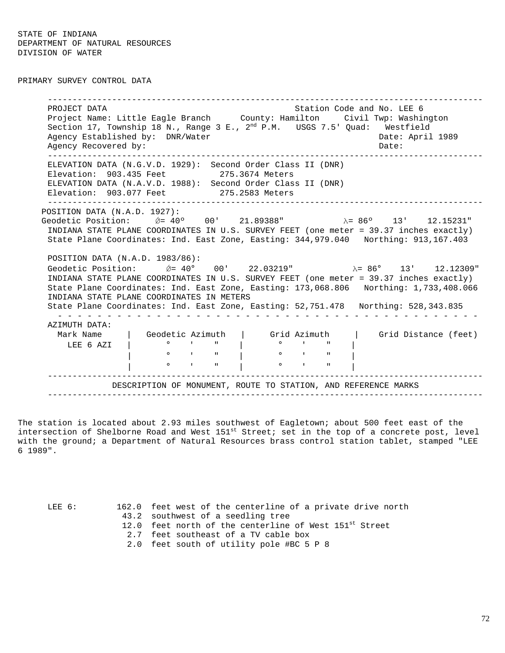PRIMARY SURVEY CONTROL DATA

----------------------------------------------------------------------------------------PROJECT DATA Station Code and No. LEE 6 Project Name: Little Eagle Branch County: Hamilton Civil Twp: Washington Section 17, Township 18 N., Range 3 E.,  $2^{nd}$  P.M. USGS 7.5' Quad: Westfield Agency Established by: DNR/Water Cases and Date: April 1989 Agency Recovered by:  $\Box$  Date:  $\Box$  Date:  $\Box$ ----------------------------------------------------------------------------------------ELEVATION DATA (N.G.V.D. 1929): Second Order Class II (DNR) Elevation: 903.435 Feet 275.3674 Meters ELEVATION DATA (N.A.V.D. 1988): Second Order Class II (DNR) Elevation: 903.077 Feet 275.2583 Meters ----------------------------------------------------------------------------------------POSITION DATA (N.A.D. 1927): Geodetic Position:  $\acute{Q}$  = 40° 00' 21.89388"  $\lambda$  = 86° 13' 12.15231" INDIANA STATE PLANE COORDINATES IN U.S. SURVEY FEET (one meter = 39.37 inches exactly) State Plane Coordinates: Ind. East Zone, Easting: 344,979.040 Northing: 913,167.403 POSITION DATA (N.A.D. 1983/86): Geodetic Position:  $\acute{\theta}$ = 40° 00' 22.03219" λ= 86° 13' 12.12309" INDIANA STATE PLANE COORDINATES IN U.S. SURVEY FEET (one meter = 39.37 inches exactly) State Plane Coordinates: Ind. East Zone, Easting: 173,068.806 Northing: 1,733,408.066 INDIANA STATE PLANE COORDINATES IN METERS State Plane Coordinates: Ind. East Zone, Easting: 52,751.478 Northing: 528,343.835 - - - - - - - - - - - - - - - - - - - - - - - - - - - - - - - - - - - - - - - - - - -AZIMUTH DATA: | Geodetic Azimuth | Grid Azimuth | Grid Distance (feet) LEE 6 AZI  $\begin{array}{cccc} \cdot & \cdot & \cdot & \cdot \\ \cdot & \circ & \cdot & \cdot & \cdot \\ \end{array}$ | <sup>0</sup> ' " | <sup>0</sup> ' " | | ° ' " | ° ' " | DESCRIPTION OF MONUMENT, ROUTE TO STATION, AND REFERENCE MARKS ----------------------------------------------------------------------------------------

The station is located about 2.93 miles southwest of Eagletown; about 500 feet east of the intersection of Shelborne Road and West  $151^{st}$  Street; set in the top of a concrete post, level with the ground; a Department of Natural Resources brass control station tablet, stamped "LEE 6 1989".

LEE 6: 162.0 feet west of the centerline of a private drive north 43.2 southwest of a seedling tree 12.0 feet north of the centerline of West 151<sup>st</sup> Street

- 2.7 feet southeast of a TV cable box
- 2.0 feet south of utility pole #BC 5 P 8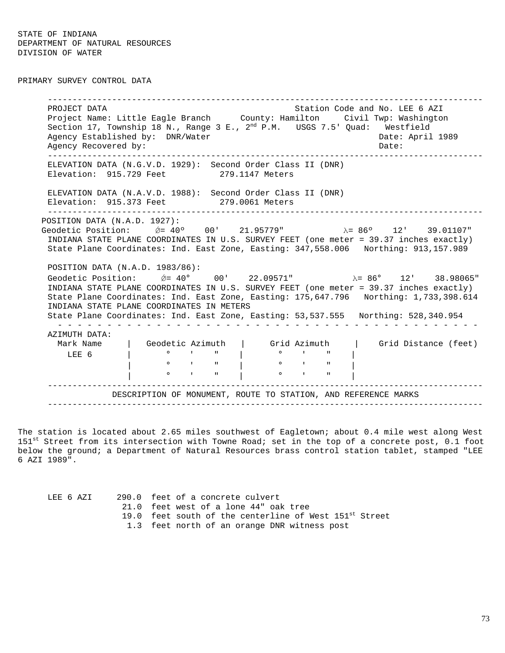PRIMARY SURVEY CONTROL DATA

----------------------------------------------------------------------------------------PROJECT DATA Station Code and No. LEE 6 AZI Project Name: Little Eagle Branch County: Hamilton Civil Twp: Washington Section 17, Township 18 N., Range 3 E.,  $2^{nd}$  P.M. USGS 7.5' Quad: Westfield Agency Established by: DNR/Water Cases and Date: April 1989 Agency Recovered by:  $\Box$  Date:  $\Box$  Date:  $\Box$ ----------------------------------------------------------------------------------------ELEVATION DATA (N.G.V.D. 1929): Second Order Class II (DNR) Elevation: 915.729 Feet 279.1147 Meters ELEVATION DATA (N.A.V.D. 1988): Second Order Class II (DNR) Elevation: 915.373 Feet 279.0061 Meters ----------------------------------------------------------------------------------------POSITION DATA (N.A.D. 1927): Geodetic Position:  $\acute{Q}$  = 40° 00' 21.95779" λ= 86° 12' 39.01107" INDIANA STATE PLANE COORDINATES IN U.S. SURVEY FEET (one meter = 39.37 inches exactly) State Plane Coordinates: Ind. East Zone, Easting: 347,558.006 Northing: 913,157.989 POSITION DATA (N.A.D. 1983/86): Geodetic Position:  $\acute{Q}$  = 40° 00' 22.09571" λ = 86° 12' 38.98065" INDIANA STATE PLANE COORDINATES IN U.S. SURVEY FEET (one meter = 39.37 inches exactly) State Plane Coordinates: Ind. East Zone, Easting: 175,647.796 Northing: 1,733,398.614 INDIANA STATE PLANE COORDINATES IN METERS State Plane Coordinates: Ind. East Zone, Easting: 53,537.555 Northing: 528,340.954 - - - - - - - - - - - - - - - - - - - - - - - - - - - - - - - - - - - - - - - - - - -AZIMUTH DATA: Mark Name | Geodetic Azimuth | Grid Azimuth | Grid Distance (feet) LEE 6 | ° ' " | ° ' " | | ° ' " | ° ' " | | ° ' " | ° ' " | ----------------------------------------------------------------------------------------DESCRIPTION OF MONUMENT, ROUTE TO STATION, AND REFERENCE MARKS ----------------------------------------------------------------------------------------

The station is located about 2.65 miles southwest of Eagletown; about 0.4 mile west along West  $151$ <sup>st</sup> Street from its intersection with Towne Road; set in the top of a concrete post, 0.1 foot below the ground; a Department of Natural Resources brass control station tablet, stamped "LEE 6 AZI 1989".

| LEE 6 AZI | 290.0 feet of a concrete culvert                                   |
|-----------|--------------------------------------------------------------------|
|           | 21.0 feet west of a lone 44" oak tree                              |
|           | 19.0 feet south of the centerline of West 151 <sup>st</sup> Street |
|           | 1.3 feet north of an orange DNR witness post                       |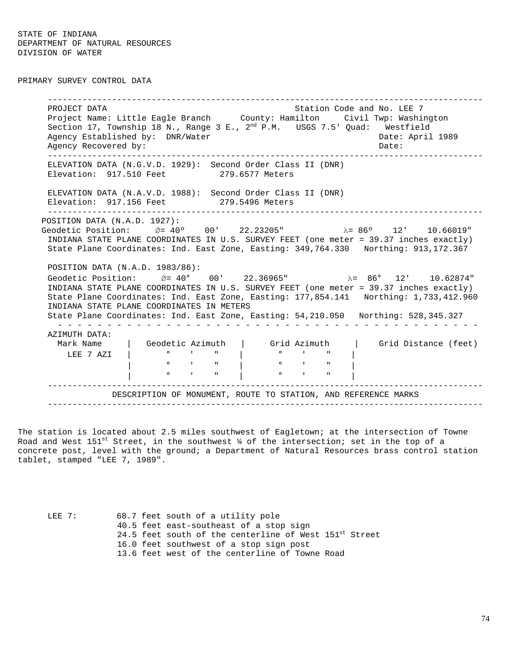PRIMARY SURVEY CONTROL DATA

----------------------------------------------------------------------------------------PROJECT DATA Station Code and No. LEE 7 Project Name: Little Eagle Branch County: Hamilton Civil Twp: Washington Section 17, Township 18 N., Range 3 E.,  $2^{nd}$  P.M. USGS 7.5' Quad: Westfield Agency Established by: DNR/Water Cases and Date: April 1989 Agency Recovered by: Date: ----------------------------------------------------------------------------------------ELEVATION DATA (N.G.V.D. 1929): Second Order Class II (DNR) Elevation: 917.510 Feet 279.6577 Meters ELEVATION DATA (N.A.V.D. 1988): Second Order Class II (DNR) Elevation: 917.156 Feet 279.5496 Meters ----------------------------------------------------------------------------------------POSITION DATA (N.A.D. 1927): Geodetic Position:  $\acute{Q}$  = 40° 00' 22.23205" λ= 86° 12' 10.66019" INDIANA STATE PLANE COORDINATES IN U.S. SURVEY FEET (one meter = 39.37 inches exactly) State Plane Coordinates: Ind. East Zone, Easting: 349,764.330 Northing: 913,172.367 POSITION DATA (N.A.D. 1983/86): Geodetic Position:  $\acute{Q} = 40^{\circ}$  00' 22.36965"  $\lambda = 86^{\circ}$  12' 10.62874" INDIANA STATE PLANE COORDINATES IN U.S. SURVEY FEET (one meter = 39.37 inches exactly) State Plane Coordinates: Ind. East Zone, Easting: 177,854.141 Northing: 1,733,412.960 INDIANA STATE PLANE COORDINATES IN METERS State Plane Coordinates: Ind. East Zone, Easting: 54,210.050 Northing: 528,345.327 - - - - - - - - - - - - - - - - - - - - - - - - - - - - - - - - - - - - - - - - - - -AZIMUTH DATA: | Geodetic Azimuth | Grid Azimuth | Grid Distance (feet) LEE 7 AZI | ° ' " | ° ' " | | ° ' " | ° ' " | | ° ' " | ° ' " | ----------------------------------------------------------------------------------------DESCRIPTION OF MONUMENT, ROUTE TO STATION, AND REFERENCE MARKS ----------------------------------------------------------------------------------------

The station is located about 2.5 miles southwest of Eagletown; at the intersection of Towne Road and West 151<sup>st</sup> Street, in the southwest  $\frac{1}{4}$  of the intersection; set in the top of a concrete post, level with the ground; a Department of Natural Resources brass control station tablet, stamped "LEE 7, 1989".

LEE 7: 68.7 feet south of a utility pole 40.5 feet east-southeast of a stop sign 24.5 feet south of the centerline of West 151st Street 16.0 feet southwest of a stop sign post 13.6 feet west of the centerline of Towne Road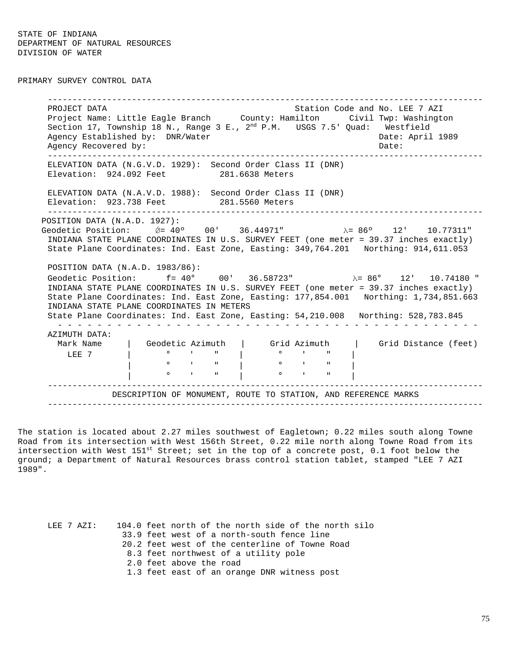PRIMARY SURVEY CONTROL DATA

----------------------------------------------------------------------------------------PROJECT DATA Station Code and No. LEE 7 AZI Project Name: Little Eagle Branch County: Hamilton Civil Twp: Washington Section 17, Township 18 N., Range 3 E.,  $2^{nd}$  P.M. USGS 7.5' Quad: Westfield Agency Established by: DNR/Water Cases and Date: April 1989 Agency Recovered by:  $\Box$  Date:  $\Box$  Date:  $\Box$ ----------------------------------------------------------------------------------------ELEVATION DATA (N.G.V.D. 1929): Second Order Class II (DNR) Elevation: 924.092 Feet 281.6638 Meters ELEVATION DATA (N.A.V.D. 1988): Second Order Class II (DNR) Elevation: 923.738 Feet 281.5560 Meters ----------------------------------------------------------------------------------------POSITION DATA (N.A.D. 1927): Geodetic Position:  $\acute{Q}$  = 40° 00' 36.44971" λ = 86° 12' 10.77311" INDIANA STATE PLANE COORDINATES IN U.S. SURVEY FEET (one meter = 39.37 inches exactly) State Plane Coordinates: Ind. East Zone, Easting: 349,764.201 Northing: 914,611.053 POSITION DATA (N.A.D. 1983/86): Geodetic Position:  $f = 40^{\circ}$  00' 36.58723"  $\lambda = 86^{\circ}$  12' 10.74180 " INDIANA STATE PLANE COORDINATES IN U.S. SURVEY FEET (one meter = 39.37 inches exactly) State Plane Coordinates: Ind. East Zone, Easting: 177,854.001 Northing: 1,734,851.663 INDIANA STATE PLANE COORDINATES IN METERS State Plane Coordinates: Ind. East Zone, Easting: 54,210.008 Northing: 528,783.845 - - - - - - - - - - - - - - - - - - - - - - - - - - - - - - - - - - - - - - - - - - -AZIMUTH DATA: Mark Name | Geodetic Azimuth | Grid Azimuth | Grid Distance (feet) LEE 7 | ° ' " | ° ' " | | ° ' " | ° ' " | | ° ' " | ° ' " | ----------------------------------------------------------------------------------------DESCRIPTION OF MONUMENT, ROUTE TO STATION, AND REFERENCE MARKS ----------------------------------------------------------------------------------------

The station is located about 2.27 miles southwest of Eagletown; 0.22 miles south along Towne Road from its intersection with West 156th Street, 0.22 mile north along Towne Road from its intersection with West  $151^{st}$  Street; set in the top of a concrete post, 0.1 foot below the ground; a Department of Natural Resources brass control station tablet, stamped "LEE 7 AZI 1989".

|  | LEE 7 AZI: |  | 104.0 feet north of the north side of the north silo |
|--|------------|--|------------------------------------------------------|
|  |            |  | 33.9 feet west of a north-south fence line           |
|  |            |  | 20.2 feet west of the centerline of Towne Road       |
|  |            |  | 8.3 feet northwest of a utility pole                 |
|  |            |  | 2.0 feet above the road                              |
|  |            |  | 1.3 feet east of an orange DNR witness post          |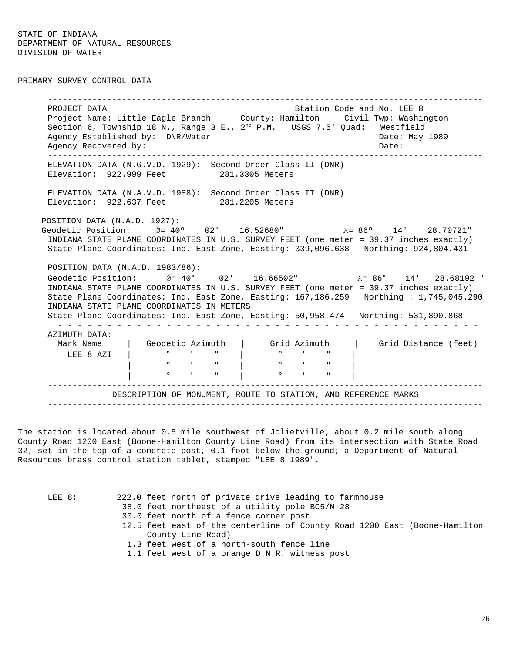PRIMARY SURVEY CONTROL DATA

----------------------------------------------------------------------------------------PROJECT DATA Station Code and No. LEE 8 Project Name: Little Eagle Branch County: Hamilton Civil Twp: Washington Section 6, Township 18 N., Range 3 E.,  $2^{nd}$  P.M. USGS 7.5' Quad: Westfield Agency Established by: DNR/Water Case Communication of the Date: May 1989 Agency Recovered by:  $\Box$  Date:  $\Box$  Date:  $\Box$ ----------------------------------------------------------------------------------------ELEVATION DATA (N.G.V.D. 1929): Second Order Class II (DNR) Elevation: 922.999 Feet 281.3305 Meters ELEVATION DATA (N.A.V.D. 1988): Second Order Class II (DNR) Elevation: 922.637 Feet 281.2205 Meters ----------------------------------------------------------------------------------------POSITION DATA (N.A.D. 1927): Geodetic Position:  $\acute{Q}$  = 40° 02' 16.52680" λ= 86° 14' 28.70721" INDIANA STATE PLANE COORDINATES IN U.S. SURVEY FEET (one meter = 39.37 inches exactly) State Plane Coordinates: Ind. East Zone, Easting: 339,096.638 Northing: 924,804.431 POSITION DATA (N.A.D. 1983/86): Geodetic Position:  $\acute{\theta} = 40^{\circ}$  02' 16.66502"  $\lambda = 86^{\circ}$  14' 28.68192" INDIANA STATE PLANE COORDINATES IN U.S. SURVEY FEET (one meter = 39.37 inches exactly) State Plane Coordinates: Ind. East Zone, Easting: 167,186.259 Northing : 1,745,045.290 INDIANA STATE PLANE COORDINATES IN METERS State Plane Coordinates: Ind. East Zone, Easting: 50,958.474 Northing: 531,890.868 - - - - - - - - - - - - - - - - - - - - - - - - - - - - - - - - - - - - - - - - - - -AZIMUTH DATA: Mark Name | Geodetic Azimuth | Grid Azimuth | Grid Distance (feet) LEE 8 AZI | ° ' " | ° ' " |  $\begin{array}{cccc|c} 0 & 1 & 1 & | & 0 & | \ \hline 0 & 1 & 1 & | & 0 & | \ \end{array}$ | ° ' " | ° ' " | ----------------------------------------------------------------------------------------DESCRIPTION OF MONUMENT, ROUTE TO STATION, AND REFERENCE MARKS ----------------------------------------------------------------------------------------

The station is located about 0.5 mile southwest of Jolietville; about 0.2 mile south along County Road 1200 East (Boone-Hamilton County Line Road) from its intersection with State Road 32; set in the top of a concrete post, 0.1 foot below the ground; a Department of Natural Resources brass control station tablet, stamped "LEE 8 1989".

| LEE 8: | 222.0 feet north of private drive leading to farmhouse                    |
|--------|---------------------------------------------------------------------------|
|        | 38.0 feet northeast of a utility pole BC5/M 28                            |
|        | 30.0 feet north of a fence corner post                                    |
|        | 12.5 feet east of the centerline of County Road 1200 East (Boone-Hamilton |
|        | County Line Road)                                                         |
|        | 1.3 feet west of a north-south fence line                                 |
|        | 1.1 feet west of a orange D.N.R. witness post                             |

76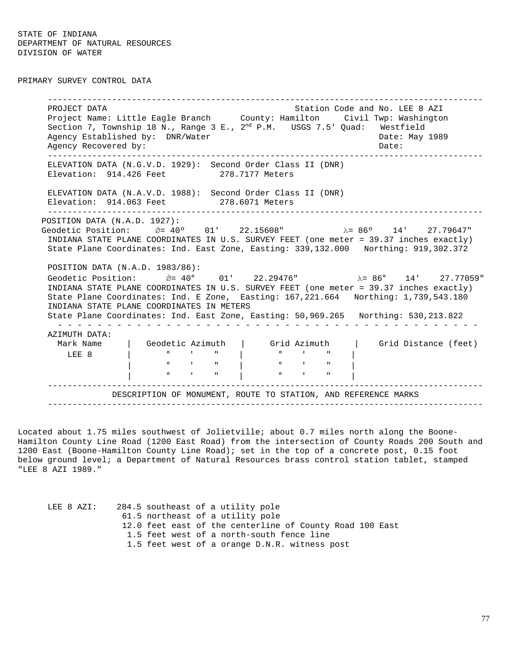PRIMARY SURVEY CONTROL DATA

----------------------------------------------------------------------------------------PROJECT DATA Station Code and No. LEE 8 AZI Project Name: Little Eagle Branch County: Hamilton Civil Twp: Washington Section 7, Township 18 N., Range 3 E., 2<sup>nd</sup> P.M. USGS 7.5' Quad: Westfield Agency Established by: DNR/Water Case Communication of the Date: May 1989 Agency Recovered by: Date: ----------------------------------------------------------------------------------------ELEVATION DATA (N.G.V.D. 1929): Second Order Class II (DNR) Elevation: 914.426 Feet 278.7177 Meters ELEVATION DATA (N.A.V.D. 1988): Second Order Class II (DNR) Elevation: 914.063 Feet 278.6071 Meters ----------------------------------------------------------------------------------------POSITION DATA (N.A.D. 1927): Geodetic Position:  $\acute{Q}$  = 40° 01' 22.15608" λ= 86° 14' 27.79647" INDIANA STATE PLANE COORDINATES IN U.S. SURVEY FEET (one meter = 39.37 inches exactly) State Plane Coordinates: Ind. East Zone, Easting: 339,132.000 Northing: 919,302.372 POSITION DATA (N.A.D. 1983/86): Geodetic Position:  $\acute{\theta} = 40^{\circ}$  01' 22.29476"  $\lambda = 86^{\circ}$  14' 27.77059" INDIANA STATE PLANE COORDINATES IN U.S. SURVEY FEET (one meter = 39.37 inches exactly) State Plane Coordinates: Ind. E Zone, Easting: 167,221.664 Northing: 1,739,543.180 INDIANA STATE PLANE COORDINATES IN METERS State Plane Coordinates: Ind. East Zone, Easting: 50,969.265 Northing: 530,213.822 - - - - - - - - - - - - - - - - - - - - - - - - - - - - - - - - - - - - - - - - - - -AZIMUTH DATA: | Geodetic Azimuth | Grid Azimuth | Grid Distance (feet) LEE 8 | ° ' " | ° ' " | | ° ' " | ° ' " | | ° ' " | ° ' " | ----------------------------------------------------------------------------------------DESCRIPTION OF MONUMENT, ROUTE TO STATION, AND REFERENCE MARKS ----------------------------------------------------------------------------------------

Located about 1.75 miles southwest of Jolietville; about 0.7 miles north along the Boone- Hamilton County Line Road (1200 East Road) from the intersection of County Roads 200 South and 1200 East (Boone-Hamilton County Line Road); set in the top of a concrete post, 0.15 foot below ground level; a Department of Natural Resources brass control station tablet, stamped "LEE 8 AZI 1989."

LEE 8 AZI: 284.5 southeast of a utility pole 61.5 northeast of a utility pole 12.0 feet east of the centerline of County Road 100 East 1.5 feet west of a north-south fence line 1.5 feet west of a orange D.N.R. witness post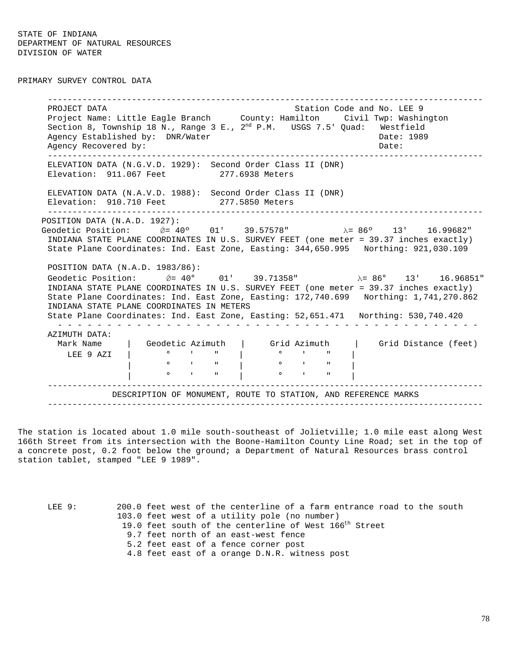PRIMARY SURVEY CONTROL DATA

----------------------------------------------------------------------------------------PROJECT DATA Station Code and No. LEE 9 Project Name: Little Eagle Branch County: Hamilton Civil Twp: Washington Section 8, Township 18 N., Range 3 E., 2<sup>nd</sup> P.M. USGS 7.5' Quad: Westfield Agency Established by: DNR/Water Case Communication of the Date: 1989 Agency Recovered by:  $\Box$  Date:  $\Box$  Date:  $\Box$ ----------------------------------------------------------------------------------------ELEVATION DATA (N.G.V.D. 1929): Second Order Class II (DNR) Elevation: 911.067 Feet 277.6938 Meters ELEVATION DATA (N.A.V.D. 1988): Second Order Class II (DNR) Elevation: 910.710 Feet 277.5850 Meters ----------------------------------------------------------------------------------------POSITION DATA (N.A.D. 1927): Geodetic Position:  $\acute{\theta}$  = 40° 01' 39.57578" λ = 86° 13' 16.99682" INDIANA STATE PLANE COORDINATES IN U.S. SURVEY FEET (one meter = 39.37 inches exactly) State Plane Coordinates: Ind. East Zone, Easting: 344,650.995 Northing: 921,030.109 POSITION DATA (N.A.D. 1983/86): Geodetic Position:  $\acute{\theta} = 40^{\circ}$  01' 39.71358"  $\lambda = 86^{\circ}$  13' 16.96851" INDIANA STATE PLANE COORDINATES IN U.S. SURVEY FEET (one meter = 39.37 inches exactly) State Plane Coordinates: Ind. East Zone, Easting: 172,740.699 Northing: 1,741,270.862 INDIANA STATE PLANE COORDINATES IN METERS State Plane Coordinates: Ind. East Zone, Easting: 52,651.471 Northing: 530,740.420 - - - - - - - - - - - - - - - - - - - - - - - - - - - - - - - - - - - - - - - - - - -AZIMUTH DATA: Mark Name | Geodetic Azimuth | Grid Azimuth | Grid Distance (feet) LEE 9 AZI | ° ' " | ° ' " | | ° ' " | ° ' " | | ° ' " | ° ' " | ----------------------------------------------------------------------------------------DESCRIPTION OF MONUMENT, ROUTE TO STATION, AND REFERENCE MARKS ----------------------------------------------------------------------------------------

The station is located about 1.0 mile south-southeast of Jolietville; 1.0 mile east along West 166th Street from its intersection with the Boone-Hamilton County Line Road; set in the top of a concrete post, 0.2 foot below the ground; a Department of Natural Resources brass control station tablet, stamped "LEE 9 1989".

LEE 9: 200.0 feet west of the centerline of a farm entrance road to the south 103.0 feet west of a utility pole (no number) 19.0 feet south of the centerline of West 166<sup>th</sup> Street 9.7 feet north of an east-west fence 5.2 feet east of a fence corner post 4.8 feet east of a orange D.N.R. witness post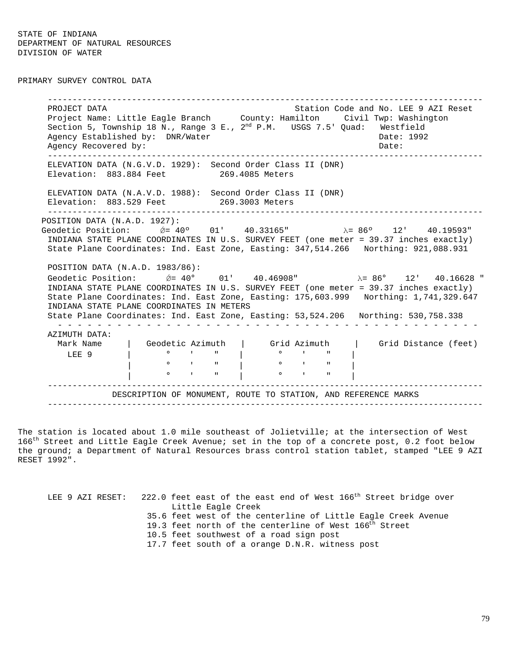PRIMARY SURVEY CONTROL DATA

----------------------------------------------------------------------------------------PROJECT DATA STATION COLLECT DATA STATION COMPANY STATION CODE AND LEASE 9 AZI Reset Project Name: Little Eagle Branch County: Hamilton Civil Twp: Washington Section 5, Township 18 N., Range 3 E.,  $2^{nd}$  P.M. USGS 7.5' Quad: Westfield Agency Established by: DNR/Water Case Communication of the Date: 1992 Agency Recovered by:  $\Box$  Date:  $\Box$  Date:  $\Box$ ----------------------------------------------------------------------------------------ELEVATION DATA (N.G.V.D. 1929): Second Order Class II (DNR) Elevation: 883.884 Feet 269.4085 Meters ELEVATION DATA (N.A.V.D. 1988): Second Order Class II (DNR) Elevation: 883.529 Feet 269.3003 Meters ----------------------------------------------------------------------------------------POSITION DATA (N.A.D. 1927): Geodetic Position:  $\acute{Q}$  = 40° 01' 40.33165" λ = 86° 12' 40.19593" INDIANA STATE PLANE COORDINATES IN U.S. SURVEY FEET (one meter = 39.37 inches exactly) State Plane Coordinates: Ind. East Zone, Easting: 347,514.266 Northing: 921,088.931 POSITION DATA (N.A.D. 1983/86): Geodetic Position:  $\acute{\theta} = 40^{\circ}$  01' 40.46908"  $\lambda = 86^{\circ}$  12' 40.16628" INDIANA STATE PLANE COORDINATES IN U.S. SURVEY FEET (one meter = 39.37 inches exactly) State Plane Coordinates: Ind. East Zone, Easting: 175,603.999 Northing: 1,741,329.647 INDIANA STATE PLANE COORDINATES IN METERS State Plane Coordinates: Ind. East Zone, Easting: 53,524.206 Northing: 530,758.338 - - - - - - - - - - - - - - - - - - - - - - - - - - - - - - - - - - - - - - - - - - -AZIMUTH DATA: Mark Name | Geodetic Azimuth | Grid Azimuth | Grid Distance (feet) LEE 9 | ° ' " | ° ' " | | ° ' " | ° ' " |  $\bullet$   $\bullet$   $\bullet$   $\bullet$   $\bullet$   $\bullet$   $\bullet$   $\bullet$ ----------------------------------------------------------------------------------------DESCRIPTION OF MONUMENT, ROUTE TO STATION, AND REFERENCE MARKS ----------------------------------------------------------------------------------------

The station is located about 1.0 mile southeast of Jolietville; at the intersection of West 166<sup>th</sup> Street and Little Eagle Creek Avenue; set in the top of a concrete post, 0.2 foot below the ground; a Department of Natural Resources brass control station tablet, stamped "LEE 9 AZI RESET 1992".

LEE 9 AZI RESET: 222.0 feet east of the east end of West 166<sup>th</sup> Street bridge over Little Eagle Creek 35.6 feet west of the centerline of Little Eagle Creek Avenue 19.3 feet north of the centerline of West 166<sup>th</sup> Street 10.5 feet southwest of a road sign post 17.7 feet south of a orange D.N.R. witness post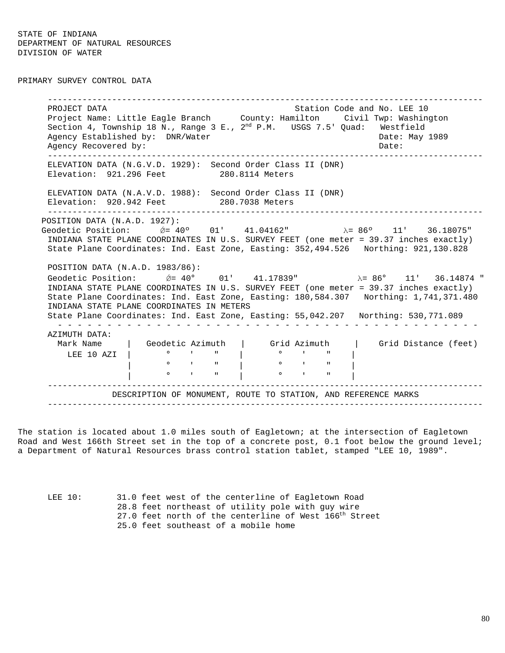PRIMARY SURVEY CONTROL DATA

----------------------------------------------------------------------------------------PROJECT DATA Station Code and No. LEE 10 Project Name: Little Eagle Branch County: Hamilton Civil Twp: Washington Section 4, Township 18 N., Range 3 E., 2<sup>nd</sup> P.M. USGS 7.5' Quad: Westfield Agency Established by: DNR/Water Case Communication of the Date: May 1989 Agency Recovered by:  $\Box$ ----------------------------------------------------------------------------------------ELEVATION DATA (N.G.V.D. 1929): Second Order Class II (DNR) Elevation: 921.296 Feet 280.8114 Meters ELEVATION DATA (N.A.V.D. 1988): Second Order Class II (DNR) Elevation: 920.942 Feet 280.7038 Meters ----------------------------------------------------------------------------------------POSITION DATA (N.A.D. 1927): Geodetic Position:  $\&= 40°$  01' 41.04162" λ= 86° 11' 36.18075" INDIANA STATE PLANE COORDINATES IN U.S. SURVEY FEET (one meter = 39.37 inches exactly) State Plane Coordinates: Ind. East Zone, Easting: 352,494.526 Northing: 921,130.828 POSITION DATA (N.A.D. 1983/86): Geodetic Position:  $\acute{\theta} = 40^{\circ}$  01' 41.17839"  $\lambda = 86^{\circ}$  11' 36.14874 " INDIANA STATE PLANE COORDINATES IN U.S. SURVEY FEET (one meter = 39.37 inches exactly) State Plane Coordinates: Ind. East Zone, Easting: 180,584.307 Northing: 1,741,371.480 INDIANA STATE PLANE COORDINATES IN METERS State Plane Coordinates: Ind. East Zone, Easting: 55,042.207 Northing: 530,771.089 - - - - - - - - - - - - - - - - - - - - - - - - - - - - - - - - - - - - - - - - - - -AZIMUTH DATA: Mark Name | Geodetic Azimuth | Grid Azimuth | Grid Distance (feet) LEE 10 AZI | ° ' " | ° ' " | | ° ' " | ° ' " | | ° ' " | ° ' " | ----------------------------------------------------------------------------------------DESCRIPTION OF MONUMENT, ROUTE TO STATION, AND REFERENCE MARKS ----------------------------------------------------------------------------------------

The station is located about 1.0 miles south of Eagletown; at the intersection of Eagletown Road and West 166th Street set in the top of a concrete post, 0.1 foot below the ground level; a Department of Natural Resources brass control station tablet, stamped "LEE 10, 1989".

LEE 10: 31.0 feet west of the centerline of Eagletown Road 28.8 feet northeast of utility pole with guy wire 27.0 feet north of the centerline of West 166<sup>th</sup> Street 25.0 feet southeast of a mobile home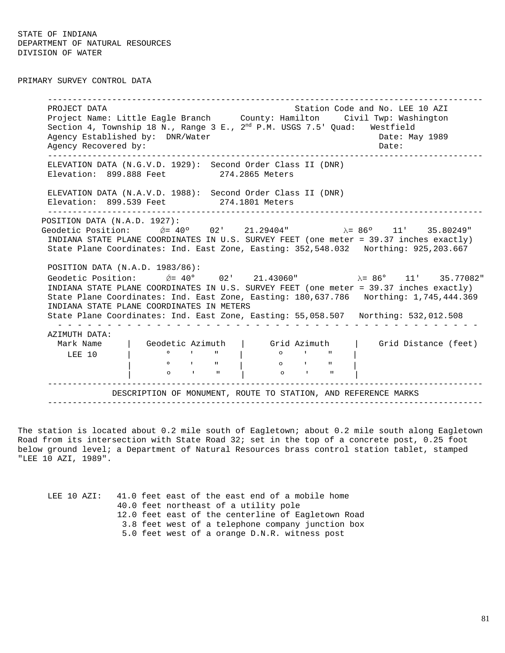PRIMARY SURVEY CONTROL DATA

----------------------------------------------------------------------------------------PROJECT DATA STATION COLLECT DATA STATION COLLECT DATA STATION COLLECT DATA STATION OF STATION COLLECT OF A ST Project Name: Little Eagle Branch County: Hamilton Civil Twp: Washington Section 4, Township 18 N., Range 3 E.,  $2^{nd}$  P.M. USGS 7.5' Quad: Westfield Agency Established by: DNR/Water Case Communication of the Date: May 1989 Agency Recovered by:  $\Box$ ----------------------------------------------------------------------------------------ELEVATION DATA (N.G.V.D. 1929): Second Order Class II (DNR) Elevation: 899.888 Feet 274.2865 Meters ELEVATION DATA (N.A.V.D. 1988): Second Order Class II (DNR) Elevation: 899.539 Feet 274.1801 Meters ----------------------------------------------------------------------------------------POSITION DATA (N.A.D. 1927): Geodetic Position:  $\acute{Q}$  = 40° 02' 21.29404" λ = 86° 11' 35.80249" INDIANA STATE PLANE COORDINATES IN U.S. SURVEY FEET (one meter = 39.37 inches exactly) State Plane Coordinates: Ind. East Zone, Easting: 352,548.032 Northing: 925,203.667 POSITION DATA (N.A.D. 1983/86): Geodetic Position:  $\acute{\theta} = 40^{\circ}$  02' 21.43060"  $\lambda = 86^{\circ}$  11' 35.77082" INDIANA STATE PLANE COORDINATES IN U.S. SURVEY FEET (one meter = 39.37 inches exactly) State Plane Coordinates: Ind. East Zone, Easting: 180,637.786 Northing: 1,745,444.369 INDIANA STATE PLANE COORDINATES IN METERS State Plane Coordinates: Ind. East Zone, Easting: 55,058.507 Northing: 532,012.508 - - - - - - - - - - - - - - - - - - - - - - - - - - - - - - - - - - - - - - - - - - -AZIMUTH DATA: | Geodetic Azimuth | Grid Azimuth | Grid Distance (feet) LEE 10 | ° ' " | º ' " | | <sup>0</sup> ' " | 0 ' " | | º ' " | º ' " | ----------------------------------------------------------------------------------------DESCRIPTION OF MONUMENT, ROUTE TO STATION, AND REFERENCE MARKS ----------------------------------------------------------------------------------------

The station is located about 0.2 mile south of Eagletown; about 0.2 mile south along Eagletown Road from its intersection with State Road 32; set in the top of a concrete post, 0.25 foot below ground level; a Department of Natural Resources brass control station tablet, stamped "LEE 10 AZI, 1989".

LEE 10 AZI: 41.0 feet east of the east end of a mobile home 40.0 feet northeast of a utility pole 12.0 feet east of the centerline of Eagletown Road 3.8 feet west of a telephone company junction box 5.0 feet west of a orange D.N.R. witness post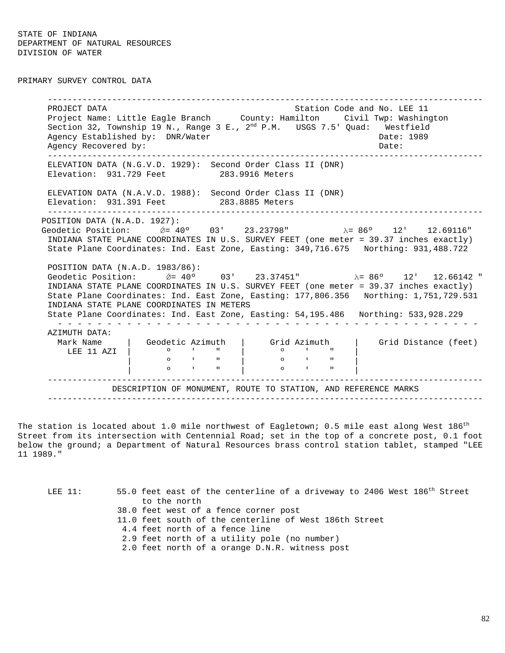PRIMARY SURVEY CONTROL DATA

----------------------------------------------------------------------------------------PROJECT DATA Station Code and No. LEE 11 Project Name: Little Eagle Branch County: Hamilton Civil Twp: Washington Section 32, Township 19 N., Range 3 E.,  $2^{nd}$  P.M. USGS 7.5' Quad: Westfield Agency Established by: DNR/Water Case Communication of the Date: 1989 Agency Recovered by:  $\Box$  Date:  $\Box$  Date:  $\Box$ ----------------------------------------------------------------------------------------ELEVATION DATA (N.G.V.D. 1929): Second Order Class II (DNR) Elevation: 931.729 Feet 283.9916 Meters ELEVATION DATA (N.A.V.D. 1988): Second Order Class II (DNR) Elevation: 931.391 Feet 283.8885 Meters ----------------------------------------------------------------------------------------POSITION DATA (N.A.D. 1927): Geodetic Position:  $\acute{Q}$  = 40° 03' 23.23798" λ = 86° 12' 12.69116" INDIANA STATE PLANE COORDINATES IN U.S. SURVEY FEET (one meter = 39.37 inches exactly) State Plane Coordinates: Ind. East Zone, Easting: 349,716.675 Northing: 931,488.722 POSITION DATA (N.A.D. 1983/86): Geodetic Position:  $\acute{\theta}$  = 40° 03' 23.37451" λ = 86° 12' 12.66142 " INDIANA STATE PLANE COORDINATES IN U.S. SURVEY FEET (one meter = 39.37 inches exactly) State Plane Coordinates: Ind. East Zone, Easting: 177,806.356 Northing: 1,751,729.531 INDIANA STATE PLANE COORDINATES IN METERS State Plane Coordinates: Ind. East Zone, Easting: 54,195.486 Northing: 533,928.229 - - - - - - - - - - - - - - - - - - - - - - - - - - - - - - - - - - - - - - - - - - -AZIMUTH DATA: Mark Name | Geodetic Azimuth | Grid Azimuth | Grid Distance (feet)<br>LEE 11 AZI | 0 ' " | 0 ' " |  $\begin{bmatrix} 0 & 1 & 1 \\ 0 & 1 & 1 \\ 0 & 0 & 1 \end{bmatrix}$   $\begin{bmatrix} 0 & 1 & 1 \\ 0 & 1 & 1 \\ 0 & 1 & 1 \end{bmatrix}$ | º ' " | º ' " | | º ' " | º ' " | ----------------------------------------------------------------------------------------DESCRIPTION OF MONUMENT, ROUTE TO STATION, AND REFERENCE MARKS ----------------------------------------------------------------------------------------

The station is located about 1.0 mile northwest of Eagletown; 0.5 mile east along West  $186^{\rm th}$ Street from its intersection with Centennial Road; set in the top of a concrete post, 0.1 foot below the ground; a Department of Natural Resources brass control station tablet, stamped "LEE 11 1989."

| $LEE$ 11: | 55.0 feet east of the centerline of a driveway to 2406 West 186 <sup>th</sup> Street |
|-----------|--------------------------------------------------------------------------------------|
|           | to the north                                                                         |
|           | 38.0 feet west of a fence corner post                                                |
|           | 11.0 feet south of the centerline of West 186th Street                               |
|           | 4.4 feet north of a fence line                                                       |
|           | 2.9 feet north of a utility pole (no number)                                         |
|           | 2.0 feet north of a orange D.N.R. witness post                                       |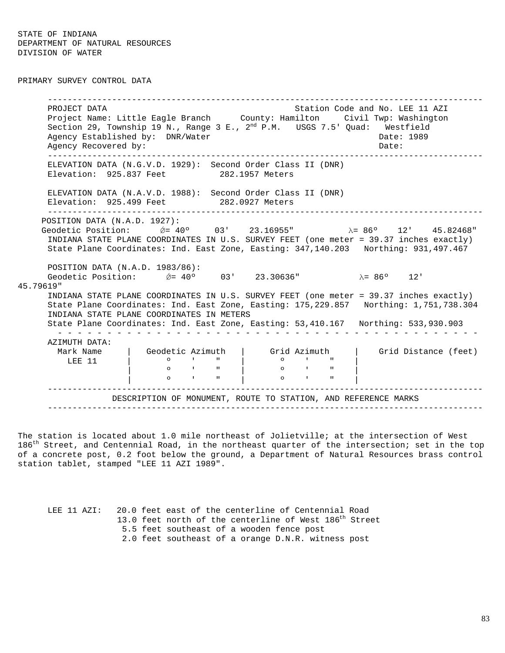PRIMARY SURVEY CONTROL DATA

----------------------------------------------------------------------------------------PROJECT DATA STATION COLLECT DATA STATION COLLECT DATA STATION COLLECT DATA STATION OF STATION COLLECT AND A ST Project Name: Little Eagle Branch County: Hamilton Civil Twp: Washington Section 29, Township 19 N., Range 3 E.,  $2^{nd}$  P.M. USGS 7.5' Quad: Westfield Agency Established by: DNR/Water Case Communication of the Date: 1989 Agency Recovered by:  $\Box$  Date:  $\Box$  Date:  $\Box$ ----------------------------------------------------------------------------------------ELEVATION DATA (N.G.V.D. 1929): Second Order Class II (DNR) Elevation: 925.837 Feet 282.1957 Meters ELEVATION DATA (N.A.V.D. 1988): Second Order Class II (DNR) Elevation: 925.499 Feet 282.0927 Meters ----------------------------------------------------------------------------------------POSITION DATA (N.A.D. 1927): Geodetic Position:  $\acute{\theta} = 40°$  03' 23.16955" λ= 86° 12' 45.82468" INDIANA STATE PLANE COORDINATES IN U.S. SURVEY FEET (one meter = 39.37 inches exactly) State Plane Coordinates: Ind. East Zone, Easting: 347,140.203 Northing: 931,497.467 POSITION DATA (N.A.D. 1983/86): Geodetic Position:  $\acute{\theta}$  = 40° 03' 23.30636" λ= 86° 12' 45.79619" INDIANA STATE PLANE COORDINATES IN U.S. SURVEY FEET (one meter = 39.37 inches exactly) State Plane Coordinates: Ind. East Zone, Easting: 175,229.857 Northing: 1,751,738.304 INDIANA STATE PLANE COORDINATES IN METERS State Plane Coordinates: Ind. East Zone, Easting: 53,410.167 Northing: 533,930.903 - - - - - - - - - - - - - - - - - - - - - - - - - - - - - - - - - - - - - - - - - - -AZIMUTH DATA: Mark Name | Geodetic Azimuth | Grid Azimuth | Grid Distance (feet)<br>LEE 11 | 0 ' " | 0 ' " | LEE 11 | º ' " | º ' " | | º ' " | º ' " | | º ' " | º ' " | ----------------------------------------------------------------------------------------DESCRIPTION OF MONUMENT, ROUTE TO STATION, AND REFERENCE MARKS ----------------------------------------------------------------------------------------

The station is located about 1.0 mile northeast of Jolietville; at the intersection of West  $186^{\text{th}}$  Street, and Centennial Road, in the northeast quarter of the intersection; set in the top of a concrete post, 0.2 foot below the ground, a Department of Natural Resources brass control station tablet, stamped "LEE 11 AZI 1989".

LEE 11 AZI: 20.0 feet east of the centerline of Centennial Road 13.0 feet north of the centerline of West 186<sup>th</sup> Street 5.5 feet southeast of a wooden fence post 2.0 feet southeast of a orange D.N.R. witness post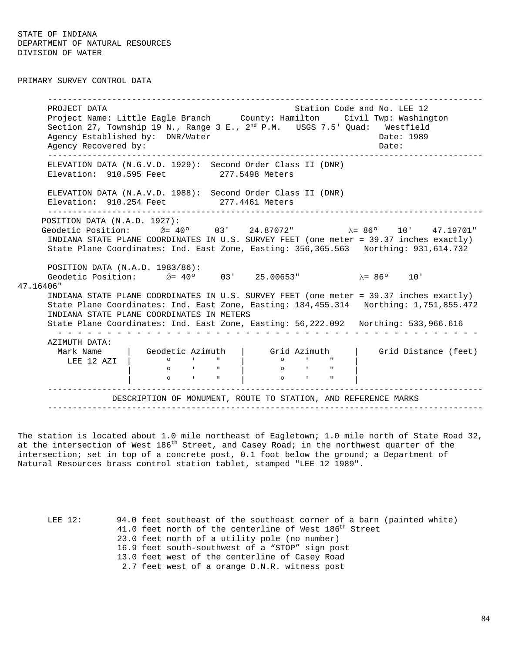PRIMARY SURVEY CONTROL DATA

----------------------------------------------------------------------------------------PROJECT DATA Station Code and No. LEE 12 Project Name: Little Eagle Branch County: Hamilton Civil Twp: Washington Section 27, Township 19 N., Range 3 E.,  $2^{nd}$  P.M.  $\;$  USGS 7.5' Quad:  $\;$  Westfield Agency Established by: DNR/Water Case Communication of the Date: 1989 Agency Recovered by:  $\Box$  Date:  $\Box$  Date:  $\Box$ ----------------------------------------------------------------------------------------ELEVATION DATA (N.G.V.D. 1929): Second Order Class II (DNR) Elevation: 910.595 Feet 277.5498 Meters ELEVATION DATA (N.A.V.D. 1988): Second Order Class II (DNR) Elevation: 910.254 Feet 277.4461 Meters ----------------------------------------------------------------------------------------POSITION DATA (N.A.D. 1927): Geodetic Position:  $\acute{\theta} = 40°$  03' 24.87072" λ= 86° 10' 47.19701" INDIANA STATE PLANE COORDINATES IN U.S. SURVEY FEET (one meter = 39.37 inches exactly) State Plane Coordinates: Ind. East Zone, Easting: 356,365.563 Northing: 931,614.732 POSITION DATA (N.A.D. 1983/86): Geodetic Position:  $\acute{\theta}$  = 40° 03' 25.00653" λ= 86° 10' 47.16406" INDIANA STATE PLANE COORDINATES IN U.S. SURVEY FEET (one meter = 39.37 inches exactly) State Plane Coordinates: Ind. East Zone, Easting: 184,455.314 Northing: 1,751,855.472 INDIANA STATE PLANE COORDINATES IN METERS State Plane Coordinates: Ind. East Zone, Easting: 56,222.092 Northing: 533,966.616 - - - - - - - - - - - - - - - - - - - - - - - - - - - - - - - - - - - - - - - - - - -AZIMUTH DATA:<br>Mark Name | ark Name | Geodetic Azimuth | Grid Azimuth | Grid Distance (feet)<br>LEE 12 AZI | 0 ' " | 0 ' " | LEE 12 AZI | º ' " | º ' " | | º ' " | º ' " | | º ' " | º ' " | ----------------------------------------------------------------------------------------DESCRIPTION OF MONUMENT, ROUTE TO STATION, AND REFERENCE MARKS ----------------------------------------------------------------------------------------

The station is located about 1.0 mile northeast of Eagletown; 1.0 mile north of State Road 32, at the intersection of West  $186<sup>th</sup>$  Street, and Casey Road; in the northwest quarter of the intersection; set in top of a concrete post, 0.1 foot below the ground; a Department of Natural Resources brass control station tablet, stamped "LEE 12 1989".

LEE 12: 94.0 feet southeast of the southeast corner of a barn (painted white) 41.0 feet north of the centerline of West  $186<sup>th</sup>$  Street 23.0 feet north of a utility pole (no number) 16.9 feet south-southwest of a "STOP" sign post 13.0 feet west of the centerline of Casey Road 2.7 feet west of a orange D.N.R. witness post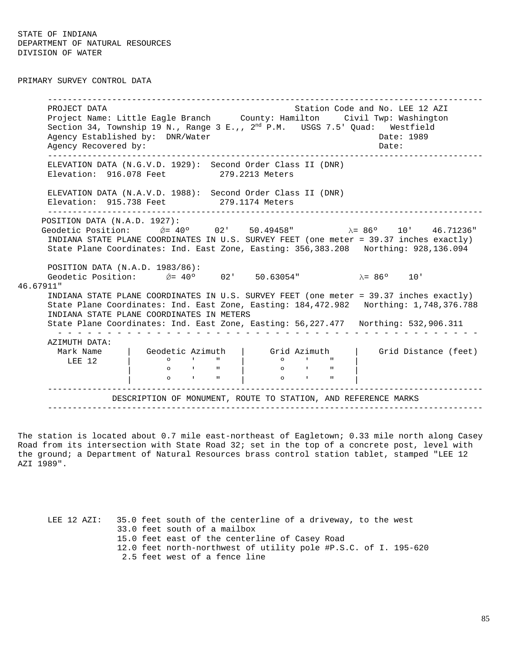PRIMARY SURVEY CONTROL DATA

----------------------------------------------------------------------------------------PROJECT DATA STATION COLLECT DATA STATION COLLECT DATA STATION COLLECT DATA STATION OF STATION COLLECT AND A ST Project Name: Little Eagle Branch County: Hamilton Civil Twp: Washington Section 34, Township 19 N., Range 3 E.,,  $2^{nd}$  P.M. USGS 7.5' Quad: Westfield Agency Established by: DNR/Water Case Communication of the Date: 1989 Agency Recovered by:  $\Box$  Date:  $\Box$  Date:  $\Box$ ----------------------------------------------------------------------------------------ELEVATION DATA (N.G.V.D. 1929): Second Order Class II (DNR) Elevation: 916.078 Feet 279.2213 Meters ELEVATION DATA (N.A.V.D. 1988): Second Order Class II (DNR) Elevation: 915.738 Feet 279.1174 Meters ----------------------------------------------------------------------------------------POSITION DATA (N.A.D. 1927): Geodetic Position:  $\acute{\theta} = 40°$  02' 50.49458" λ= 86° 10' 46.71236" INDIANA STATE PLANE COORDINATES IN U.S. SURVEY FEET (one meter = 39.37 inches exactly) State Plane Coordinates: Ind. East Zone, Easting: 356,383.208 Northing: 928,136.094 POSITION DATA (N.A.D. 1983/86): Geodetic Position:  $\acute{\theta}$  = 40° 02' 50.63054" λ= 86° 10' 46.67911" INDIANA STATE PLANE COORDINATES IN U.S. SURVEY FEET (one meter = 39.37 inches exactly) State Plane Coordinates: Ind. East Zone, Easting: 184,472.982 Northing: 1,748,376.788 INDIANA STATE PLANE COORDINATES IN METERS State Plane Coordinates: Ind. East Zone, Easting: 56,227.477 Northing: 532,906.311 - - - - - - - - - - - - - - - - - - - - - - - - - - - - - - - - - - - - - - - - - - -AZIMUTH DATA: Mark Name | Geodetic Azimuth | Grid Azimuth | Grid Distance (feet)<br>LEE 12 | 0 ' " | 0 ' " | LEE 12 | º ' " | º ' " | | º ' " | º ' " | | º ' " | º ' " | ----------------------------------------------------------------------------------------DESCRIPTION OF MONUMENT, ROUTE TO STATION, AND REFERENCE MARKS ----------------------------------------------------------------------------------------

The station is located about 0.7 mile east-northeast of Eagletown; 0.33 mile north along Casey Road from its intersection with State Road 32; set in the top of a concrete post, level with the ground; a Department of Natural Resources brass control station tablet, stamped "LEE 12 AZI 1989".

LEE 12 AZI: 35.0 feet south of the centerline of a driveway, to the west 33.0 feet south of a mailbox 15.0 feet east of the centerline of Casey Road 12.0 feet north-northwest of utility pole #P.S.C. of I. 195-620 2.5 feet west of a fence line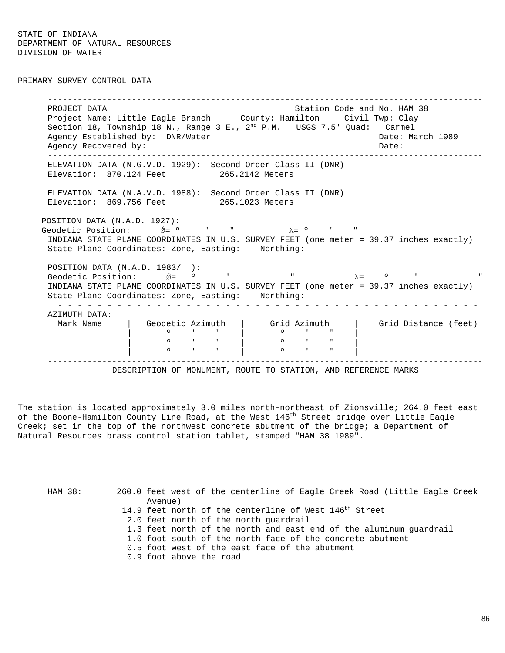PRIMARY SURVEY CONTROL DATA

----------------------------------------------------------------------------------------PROJECT DATA STATION COMPUTER STATION COMPUTER STATION CODE AND A HAM 38 Project Name: Little Eagle Branch County: Hamilton Civil Twp: Clay Section 18, Township 18 N., Range 3 E.,  $2^{nd}$  P.M. USGS 7.5' Quad: Carmel Agency Established by: DNR/Water Cases and Date: March 1989 Agency Recovered by:  $\Box$  Date:  $\Box$  Date:  $\Box$ ----------------------------------------------------------------------------------------ELEVATION DATA (N.G.V.D. 1929): Second Order Class II (DNR) Elevation: 870.124 Feet 265.2142 Meters ELEVATION DATA (N.A.V.D. 1988): Second Order Class II (DNR) Elevation: 869.756 Feet 265.1023 Meters ----------------------------------------------------------------------------------------POSITION DATA (N.A.D. 1927): Geodetic Position:  $\acute{\nabla} = 0$  ' "  $\lambda = 0$  ' INDIANA STATE PLANE COORDINATES IN U.S. SURVEY FEET (one meter = 39.37 inches exactly) State Plane Coordinates: Zone, Easting: Northing: POSITION DATA (N.A.D. 1983/ ): Geodetic Position:  $\acute{\theta} = 0$  ' "  $\lambda = 0$  ' INDIANA STATE PLANE COORDINATES IN U.S. SURVEY FEET (one meter = 39.37 inches exactly) State Plane Coordinates: Zone, Easting: Northing: - - - - - - - - - - - - - - - - - - - - - - - - - - - - - - - - - - - - - - - - - - -AZIMUTH DATA: Mark Name  $\begin{array}{|c|c|c|c|c|c|}\n \hline \text{Mark Name} & \text{Geodetic Azimuth} & \text{Grid Azimuth} & \text{Grid Distance (feet)}\n \hline \end{array}$ | º ' " | º ' " | | **0** ' " | 0 ' " | | º ' " | º ' " | ----------------------------------------------------------------------------------------DESCRIPTION OF MONUMENT, ROUTE TO STATION, AND REFERENCE MARKS ----------------------------------------------------------------------------------------

The station is located approximately 3.0 miles north-northeast of Zionsville; 264.0 feet east of the Boone-Hamilton County Line Road, at the West 146<sup>th</sup> Street bridge over Little Eagle Creek; set in the top of the northwest concrete abutment of the bridge; a Department of Natural Resources brass control station tablet, stamped "HAM 38 1989".

HAM 38: 260.0 feet west of the centerline of Eagle Creek Road (Little Eagle Creek Avenue) 14.9 feet north of the centerline of West 146<sup>th</sup> Street 2.0 feet north of the north guardrail 1.3 feet north of the north and east end of the aluminum guardrail 1.0 foot south of the north face of the concrete abutment 0.5 foot west of the east face of the abutment 0.9 foot above the road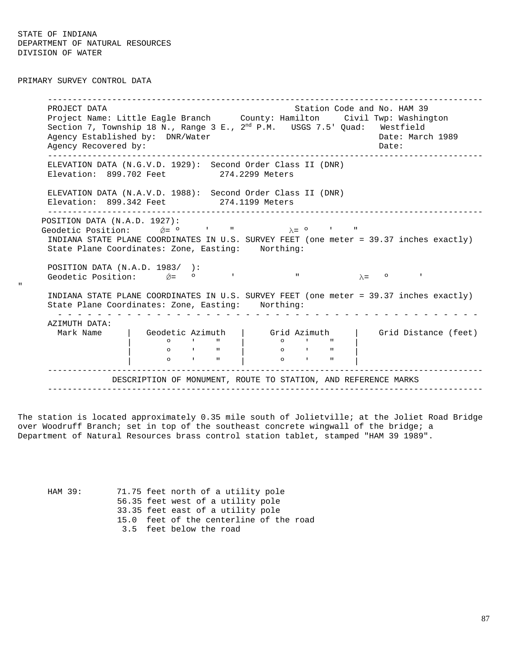PRIMARY SURVEY CONTROL DATA

"

----------------------------------------------------------------------------------------PROJECT DATA Station Code and No. HAM 39 Project Name: Little Eagle Branch County: Hamilton Civil Twp: Washington Section 7, Township 18 N., Range 3 E., 2<sup>nd</sup> P.M. USGS 7.5' Quad: Westfield Agency Established by: DNR/Water Cases and Date: March 1989 Agency Recovered by:  $\Box$  Date:  $\Box$  Date:  $\Box$ ----------------------------------------------------------------------------------------ELEVATION DATA (N.G.V.D. 1929): Second Order Class II (DNR) Elevation: 899.702 Feet 274.2299 Meters ELEVATION DATA (N.A.V.D. 1988): Second Order Class II (DNR) Elevation: 899.342 Feet 274.1199 Meters ----------------------------------------------------------------------------------------POSITION DATA (N.A.D. 1927): Geodetic Position:  $\acute{\nabla}$ =  $\circ$  ' "  $\lambda$ =  $\circ$  ' INDIANA STATE PLANE COORDINATES IN U.S. SURVEY FEET (one meter = 39.37 inches exactly) State Plane Coordinates: Zone, Easting: Northing: POSITION DATA (N.A.D. 1983/ ): Geodetic Position:  $\acute{\nabla}$ =  $\circ$  ' "  $\lambda$ =  $\circ$ INDIANA STATE PLANE COORDINATES IN U.S. SURVEY FEET (one meter = 39.37 inches exactly) State Plane Coordinates: Zone, Easting: Northing: - - - - - - - - - - - - - - - - - - - - - - - - - - - - - - - - - - - - - - - - - - -AZIMUTH DATA: Mark Name | Geodetic Azimuth | Grid Azimuth | Grid Distance (feet) | º ' " | º ' " | | **0** ' " | 0 ' " | | º ' " | º ' " | ----------------------------------------------------------------------------------------DESCRIPTION OF MONUMENT, ROUTE TO STATION, AND REFERENCE MARKS ----------------------------------------------------------------------------------------

The station is located approximately 0.35 mile south of Jolietville; at the Joliet Road Bridge over Woodruff Branch; set in top of the southeast concrete wingwall of the bridge; a Department of Natural Resources brass control station tablet, stamped "HAM 39 1989".

HAM 39: 71.75 feet north of a utility pole 56.35 feet west of a utility pole 33.35 feet east of a utility pole 15.0 feet of the centerline of the road 3.5 feet below the road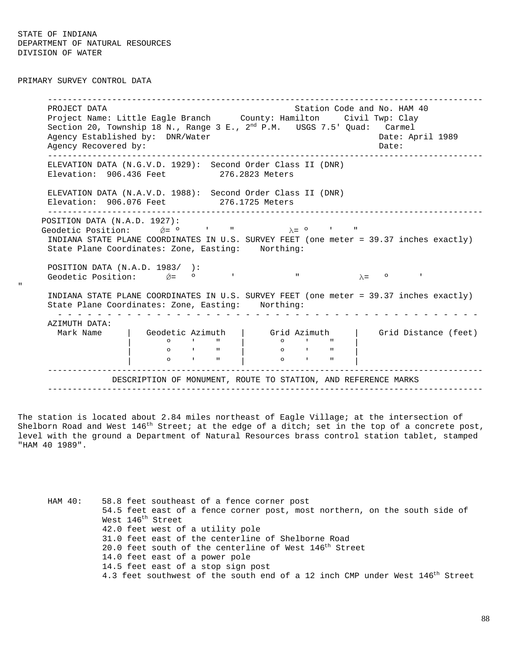PRIMARY SURVEY CONTROL DATA

"

----------------------------------------------------------------------------------------PROJECT DATA STATION COMPUTER STATION COMPANY STATION CODE AND A HAM 40 Project Name: Little Eagle Branch County: Hamilton Civil Twp: Clay Section 20, Township 18 N., Range 3 E.,  $2^{nd}$  P.M. USGS 7.5' Quad: Carmel Agency Established by: DNR/Water Cases and Date: April 1989 Agency Recovered by:  $\Box$  Date:  $\Box$ ----------------------------------------------------------------------------------------ELEVATION DATA (N.G.V.D. 1929): Second Order Class II (DNR) Elevation: 906.436 Feet 276.2823 Meters ELEVATION DATA (N.A.V.D. 1988): Second Order Class II (DNR) Elevation: 906.076 Feet 276.1725 Meters ----------------------------------------------------------------------------------------POSITION DATA (N.A.D. 1927): Geodetic Position:  $\acute{\nabla}$ =  $\circ$  ' "  $\lambda$ =  $\circ$  ' INDIANA STATE PLANE COORDINATES IN U.S. SURVEY FEET (one meter = 39.37 inches exactly) State Plane Coordinates: Zone, Easting: Northing: POSITION DATA (N.A.D. 1983/ ): Geodetic Position:  $\acute{\theta} = 0$  ' "  $\lambda = 0$  ' INDIANA STATE PLANE COORDINATES IN U.S. SURVEY FEET (one meter = 39.37 inches exactly) State Plane Coordinates: Zone, Easting: Northing: - - - - - - - - - - - - - - - - - - - - - - - - - - - - - - - - - - - - - - - - - - -AZIMUTH DATA: Mark Name | Geodetic Azimuth | Grid Azimuth | Grid Distance (feet) | º ' " | º ' " | | **0** ' " | 0 ' " | | º ' " | º ' " | ----------------------------------------------------------------------------------------DESCRIPTION OF MONUMENT, ROUTE TO STATION, AND REFERENCE MARKS ----------------------------------------------------------------------------------------

The station is located about 2.84 miles northeast of Eagle Village; at the intersection of Shelborn Road and West  $146<sup>th</sup>$  Street; at the edge of a ditch; set in the top of a concrete post, level with the ground a Department of Natural Resources brass control station tablet, stamped "HAM 40 1989".

HAM 40: 58.8 feet southeast of a fence corner post 54.5 feet east of a fence corner post, most northern, on the south side of West 146<sup>th</sup> Street 42.0 feet west of a utility pole 31.0 feet east of the centerline of Shelborne Road 20.0 feet south of the centerline of West 146<sup>th</sup> Street 14.0 feet east of a power pole 14.5 feet east of a stop sign post 4.3 feet southwest of the south end of a 12 inch CMP under West 146<sup>th</sup> Street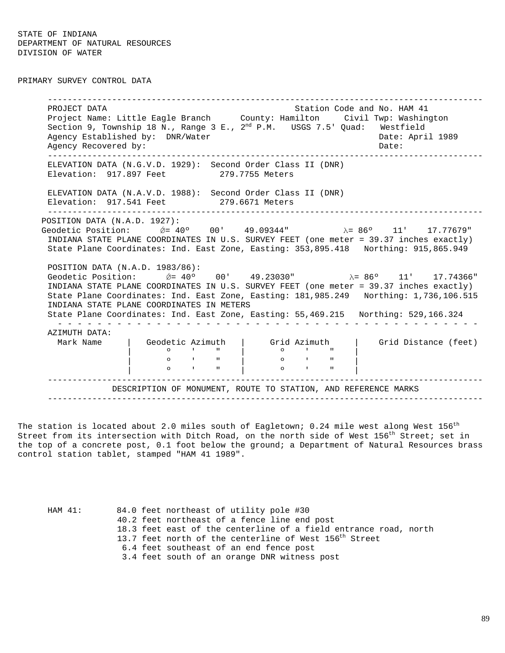PRIMARY SURVEY CONTROL DATA

----------------------------------------------------------------------------------------PROJECT DATA Station Code and No. HAM 41 Project Name: Little Eagle Branch County: Hamilton Civil Twp: Washington Section 9, Township 18 N., Range 3 E., 2<sup>nd</sup> P.M. USGS 7.5' Quad: Westfield Agency Established by: DNR/Water Cases and Date: April 1989 Agency Recovered by:  $\Box$  Date:  $\Box$  Date:  $\Box$ ----------------------------------------------------------------------------------------ELEVATION DATA (N.G.V.D. 1929): Second Order Class II (DNR) Elevation: 917.897 Feet 279.7755 Meters ELEVATION DATA (N.A.V.D. 1988): Second Order Class II (DNR) Elevation: 917.541 Feet 279.6671 Meters ----------------------------------------------------------------------------------------POSITION DATA (N.A.D. 1927): Geodetic Position:  $\&= 40°$  00' 49.09344" λ= 86° 11' 17.77679" INDIANA STATE PLANE COORDINATES IN U.S. SURVEY FEET (one meter = 39.37 inches exactly) State Plane Coordinates: Ind. East Zone, Easting: 353,895.418 Northing: 915,865.949 POSITION DATA (N.A.D. 1983/86): Geodetic Position:  $\acute{\theta}$  = 40° 00' 49.23030" λ = 86° 11' 17.74366" INDIANA STATE PLANE COORDINATES IN U.S. SURVEY FEET (one meter = 39.37 inches exactly) State Plane Coordinates: Ind. East Zone, Easting: 181,985.249 Northing: 1,736,106.515 INDIANA STATE PLANE COORDINATES IN METERS State Plane Coordinates: Ind. East Zone, Easting: 55,469.215 Northing: 529,166.324 - - - - - - - - - - - - - - - - - - - - - - - - - - - - - - - - - - - - - - - - - - -AZIMUTH DATA: Mark Name  $\begin{array}{|c|c|c|c|c|c|}\n\hline\n\end{array}$  Geodetic Azimuth  $\begin{array}{|c|c|c|c|c|}\n\hline\n\end{array}$  Grid Distance (feet) | º ' " | º ' " | | º ' " | º ' " | | º ' " | º ' " | ----------------------------------------------------------------------------------------DESCRIPTION OF MONUMENT, ROUTE TO STATION, AND REFERENCE MARKS ----------------------------------------------------------------------------------------

The station is located about 2.0 miles south of Eagletown; 0.24 mile west along West  $156^{\rm th}$ Street from its intersection with Ditch Road, on the north side of West 156<sup>th</sup> Street; set in the top of a concrete post, 0.1 foot below the ground; a Department of Natural Resources brass control station tablet, stamped "HAM 41 1989".

| HAM 41: | 84.0 feet northeast of utility pole #30                            |
|---------|--------------------------------------------------------------------|
|         | 40.2 feet northeast of a fence line end post                       |
|         | 18.3 feet east of the centerline of a field entrance road, north   |
|         | 13.7 feet north of the centerline of West 156 <sup>th</sup> Street |
|         | 6.4 feet southeast of an end fence post                            |
|         | 3.4 feet south of an orange DNR witness post                       |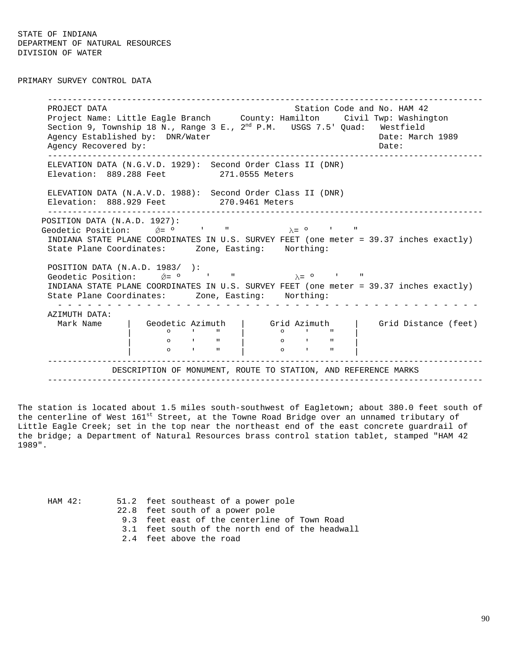PRIMARY SURVEY CONTROL DATA

----------------------------------------------------------------------------------------PROJECT DATA Station Code and No. HAM 42 Project Name: Little Eagle Branch County: Hamilton Civil Twp: Washington Section 9, Township 18 N., Range 3 E.,  $2^{nd}$  P.M. USGS 7.5' Quad: Westfield Agency Established by: DNR/Water Cases and Date: March 1989 Agency Recovered by:  $\Box$  Date:  $\Box$  Date:  $\Box$ ----------------------------------------------------------------------------------------ELEVATION DATA (N.G.V.D. 1929): Second Order Class II (DNR) Elevation: 889.288 Feet 271.0555 Meters ELEVATION DATA (N.A.V.D. 1988): Second Order Class II (DNR) Elevation: 888.929 Feet 270.9461 Meters ----------------------------------------------------------------------------------------POSITION DATA (N.A.D. 1927): Geodetic Position:  $\acute{\nabla}$ =  $\circ$  ' "  $\lambda$ =  $\circ$  ' INDIANA STATE PLANE COORDINATES IN U.S. SURVEY FEET (one meter = 39.37 inches exactly) State Plane Coordinates: Zone, Easting: Northing: POSITION DATA (N.A.D. 1983/ ): Geodetic Position:  $\acute{\n}$   $\acute{\n}$   $\acute{\n}$   $\acute{\n}$   $\acute{\n}$   $\acute{\n}$   $\acute{\n}$   $\acute{\n}$   $\acute{\n}$   $\acute{\n}$   $\acute{\n}$   $\acute{\n}$   $\acute{\n}$   $\acute{\n}$   $\acute{\n}$   $\acute{\n}$   $\acute{\n}$   $\acute{\n}$   $\acute{\n}$   $\acute{\n}$   $\acute{\n}$   $\acute{\n}$   $\acute{\n}$   $\acute{\n}$   $\acute{\n}$   $\$ INDIANA STATE PLANE COORDINATES IN U.S. SURVEY FEET (one meter = 39.37 inches exactly) State Plane Coordinates: Zone, Easting: Northing: - - - - - - - - - - - - - - - - - - - - - - - - - - - - - - - - - - - - - - - - - - -AZIMUTH DATA: Mark Name | Geodetic Azimuth | Grid Azimuth | Grid Distance (feet) | º ' " | º ' " | | **0** ' " | 0 ' " | | **0** ' " | 0 ' " | ----------------------------------------------------------------------------------------DESCRIPTION OF MONUMENT, ROUTE TO STATION, AND REFERENCE MARKS ----------------------------------------------------------------------------------------

The station is located about 1.5 miles south-southwest of Eagletown; about 380.0 feet south of the centerline of West 161st Street, at the Towne Road Bridge over an unnamed tributary of Little Eagle Creek; set in the top near the northeast end of the east concrete guardrail of the bridge; a Department of Natural Resources brass control station tablet, stamped "HAM 42 1989".

| HAM 42: | 51.2 feet southeast of a power pole             |
|---------|-------------------------------------------------|
|         | 22.8 feet south of a power pole                 |
|         | 9.3 feet east of the centerline of Town Road    |
|         | 3.1 feet south of the north end of the headwall |
|         | 2.4 feet above the road                         |
|         |                                                 |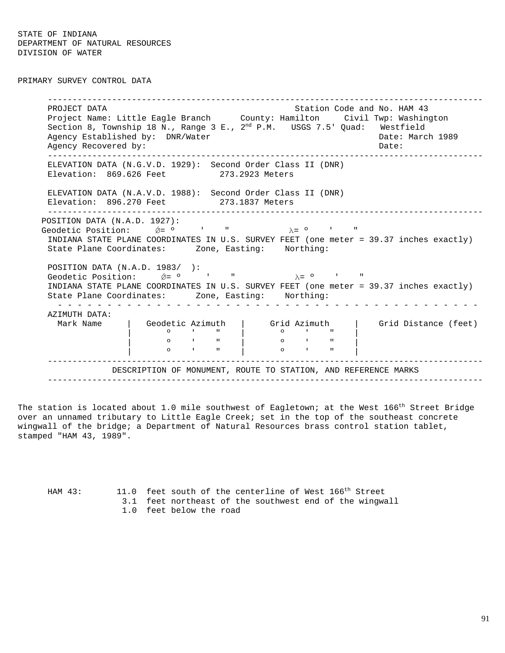PRIMARY SURVEY CONTROL DATA

----------------------------------------------------------------------------------------PROJECT DATA Station Code and No. HAM 43 Project Name: Little Eagle Branch County: Hamilton Civil Twp: Washington Section 8, Township 18 N., Range 3 E.,  $2^{nd}$  P.M. USGS 7.5' Quad: Westfield Agency Established by: DNR/Water Cases and Date: March 1989 Agency Recovered by:  $\Box$  Date:  $\Box$  Date:  $\Box$ ----------------------------------------------------------------------------------------ELEVATION DATA (N.G.V.D. 1929): Second Order Class II (DNR) Elevation: 869.626 Feet 273.2923 Meters ELEVATION DATA (N.A.V.D. 1988): Second Order Class II (DNR) Elevation: 896.270 Feet 273.1837 Meters ----------------------------------------------------------------------------------------POSITION DATA (N.A.D. 1927): Geodetic Position:  $\acute{\mathcal{Q}} = 0$  ' "  $\lambda = 0$  ' INDIANA STATE PLANE COORDINATES IN U.S. SURVEY FEET (one meter = 39.37 inches exactly) State Plane Coordinates: Zone, Easting: Northing: POSITION DATA (N.A.D. 1983/ ): Geodetic Position:  $\acute{e}$  =  $\circ$  ' "  $\lambda$  =  $\circ$  ' INDIANA STATE PLANE COORDINATES IN U.S. SURVEY FEET (one meter = 39.37 inches exactly) State Plane Coordinates: Zone, Easting: Northing: - - - - - - - - - - - - - - - - - - - - - - - - - - - - - - - - - - - - - - - - - - -AZIMUTH DATA: Mark Name  $|$  Geodetic Azimuth  $|$  Grid Azimuth  $|$  Grid Distance (feet) | º ' " | º ' " | | **0** ' " | 0 ' " | | **0** ' " | 0 ' " | ----------------------------------------------------------------------------------------DESCRIPTION OF MONUMENT, ROUTE TO STATION, AND REFERENCE MARKS ----------------------------------------------------------------------------------------

The station is located about 1.0 mile southwest of Eagletown; at the West 166<sup>th</sup> Street Bridge over an unnamed tributary to Little Eagle Creek; set in the top of the southeast concrete wingwall of the bridge; a Department of Natural Resources brass control station tablet, stamped "HAM 43, 1989".

HAM 43: 11.0 feet south of the centerline of West 166<sup>th</sup> Street 3.1 feet northeast of the southwest end of the wingwall 1.0 feet below the road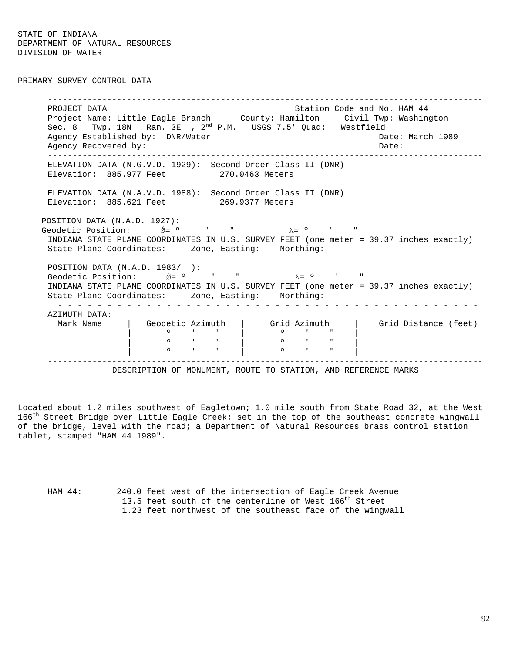PRIMARY SURVEY CONTROL DATA

----------------------------------------------------------------------------------------PROJECT DATA Station Code and No. HAM 44 Project Name: Little Eagle Branch County: Hamilton Civil Twp: Washington Sec. 8 Twp. 18N Ran. 3E ,  $2^{nd}$  P.M. USGS 7.5' Quad: Westfield Agency Established by: DNR/Water Cases and Date: March 1989 Agency Recovered by:  $\Box$  Date:  $\Box$  Date:  $\Box$ ----------------------------------------------------------------------------------------ELEVATION DATA (N.G.V.D. 1929): Second Order Class II (DNR) Elevation: 885.977 Feet 270.0463 Meters ELEVATION DATA (N.A.V.D. 1988): Second Order Class II (DNR) Elevation: 885.621 Feet 269.9377 Meters ----------------------------------------------------------------------------------------POSITION DATA (N.A.D. 1927): Geodetic Position:  $\acute{\theta} = 0$  ' "  $\lambda = 0$  ' " INDIANA STATE PLANE COORDINATES IN U.S. SURVEY FEET (one meter = 39.37 inches exactly) State Plane Coordinates: Zone, Easting: Northing: POSITION DATA (N.A.D. 1983/ ): Geodetic Position:  $\acute{\theta} = 0$  ' "  $\lambda = 0$  ' " INDIANA STATE PLANE COORDINATES IN U.S. SURVEY FEET (one meter = 39.37 inches exactly) State Plane Coordinates: Zone, Easting: Northing: - - - - - - - - - - - - - - - - - - - - - - - - - - - - - - - - - - - - - - - - - - -AZIMUTH DATA: Mark Name | Geodetic Azimuth | Grid Azimuth | Grid Distance (feet) | º ' " | º ' " | | **0** ' " | 0 ' " | | º ' " | º ' " | ----------------------------------------------------------------------------------------DESCRIPTION OF MONUMENT, ROUTE TO STATION, AND REFERENCE MARKS ----------------------------------------------------------------------------------------

Located about 1.2 miles southwest of Eagletown; 1.0 mile south from State Road 32, at the West 166<sup>th</sup> Street Bridge over Little Eagle Creek; set in the top of the southeast concrete wingwall of the bridge, level with the road; a Department of Natural Resources brass control station tablet, stamped "HAM 44 1989".

HAM 44: 240.0 feet west of the intersection of Eagle Creek Avenue 13.5 feet south of the centerline of West 166<sup>th</sup> Street 1.23 feet northwest of the southeast face of the wingwall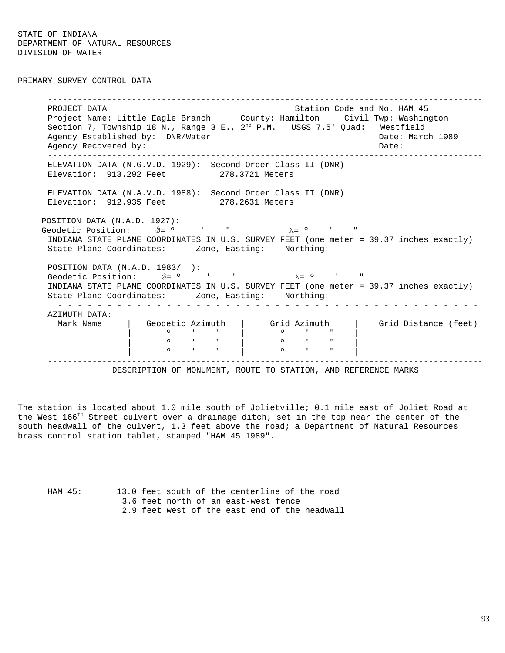PRIMARY SURVEY CONTROL DATA

----------------------------------------------------------------------------------------PROJECT DATA Station Code and No. HAM 45 Project Name: Little Eagle Branch County: Hamilton Civil Twp: Washington Section 7, Township 18 N., Range 3 E.,  $2^{nd}$  P.M. USGS 7.5' Quad: Westfield Agency Established by: DNR/Water Cases and Date: March 1989 Agency Recovered by:  $\Box$  Date:  $\Box$  Date:  $\Box$ ----------------------------------------------------------------------------------------ELEVATION DATA (N.G.V.D. 1929): Second Order Class II (DNR) Elevation: 913.292 Feet 278.3721 Meters ELEVATION DATA (N.A.V.D. 1988): Second Order Class II (DNR) Elevation: 912.935 Feet 278.2631 Meters ----------------------------------------------------------------------------------------POSITION DATA (N.A.D. 1927): Geodetic Position:  $\acute{\nabla}$ =  $\circ$  ' "  $\lambda$ =  $\circ$  ' INDIANA STATE PLANE COORDINATES IN U.S. SURVEY FEET (one meter = 39.37 inches exactly) State Plane Coordinates: Zone, Easting: Northing: POSITION DATA (N.A.D. 1983/ ): Geodetic Position:  $\acute{\theta} = 0$  ' "  $\lambda = 0$  ' INDIANA STATE PLANE COORDINATES IN U.S. SURVEY FEET (one meter = 39.37 inches exactly) State Plane Coordinates: Zone, Easting: Northing: - - - - - - - - - - - - - - - - - - - - - - - - - - - - - - - - - - - - - - - - - - -AZIMUTH DATA: Mark Name | Geodetic Azimuth | Grid Azimuth | Grid Distance (feet) | º ' " | º ' " | | **0** ' " | 0 ' " | | **0** ' " | 0 ' " | ----------------------------------------------------------------------------------------DESCRIPTION OF MONUMENT, ROUTE TO STATION, AND REFERENCE MARKS ----------------------------------------------------------------------------------------

The station is located about 1.0 mile south of Jolietville; 0.1 mile east of Joliet Road at the West  $166^{th}$  Street culvert over a drainage ditch; set in the top near the center of the south headwall of the culvert, 1.3 feet above the road; a Department of Natural Resources brass control station tablet, stamped "HAM 45 1989".

HAM 45: 13.0 feet south of the centerline of the road 3.6 feet north of an east-west fence 2.9 feet west of the east end of the headwall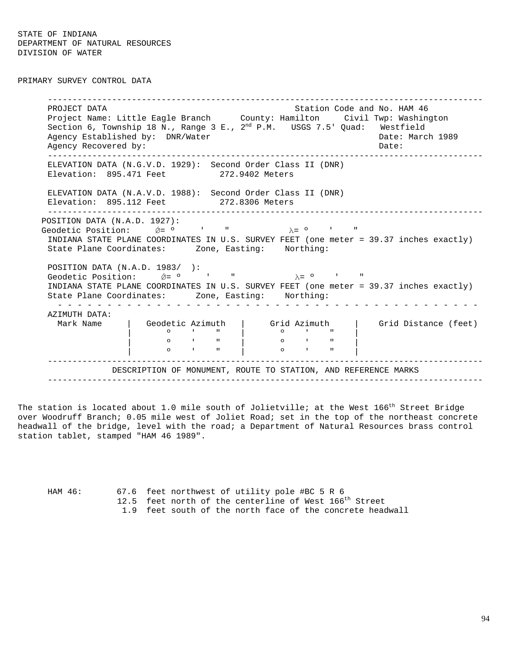PRIMARY SURVEY CONTROL DATA

----------------------------------------------------------------------------------------PROJECT DATA Station Code and No. HAM 46 Project Name: Little Eagle Branch County: Hamilton Civil Twp: Washington Section 6, Township 18 N., Range 3 E.,  $2^{nd}$  P.M. USGS 7.5' Quad: Westfield Agency Established by: DNR/Water Cases and Date: March 1989 Agency Recovered by:  $\Box$  Date:  $\Box$  Date:  $\Box$ ----------------------------------------------------------------------------------------ELEVATION DATA (N.G.V.D. 1929): Second Order Class II (DNR) Elevation: 895.471 Feet 272.9402 Meters ELEVATION DATA (N.A.V.D. 1988): Second Order Class II (DNR) Elevation: 895.112 Feet 272.8306 Meters ----------------------------------------------------------------------------------------POSITION DATA (N.A.D. 1927): Geodetic Position:  $\acute{\nabla}$ =  $\circ$  ' "  $\lambda$ =  $\circ$  ' INDIANA STATE PLANE COORDINATES IN U.S. SURVEY FEET (one meter = 39.37 inches exactly) State Plane Coordinates: Zone, Easting: Northing: POSITION DATA (N.A.D. 1983/ ): Geodetic Position:  $\acute{\n}$   $\acute{\n}$   $\acute{\n}$   $\acute{\n}$   $\acute{\n}$   $\acute{\n}$   $\acute{\n}$   $\acute{\n}$   $\acute{\n}$   $\acute{\n}$   $\acute{\n}$   $\acute{\n}$   $\acute{\n}$   $\acute{\n}$   $\acute{\n}$   $\acute{\n}$   $\acute{\n}$   $\acute{\n}$   $\acute{\n}$   $\acute{\n}$   $\acute{\n}$   $\acute{\n}$   $\acute{\n}$   $\acute{\n}$   $\acute{\n}$   $\$ INDIANA STATE PLANE COORDINATES IN U.S. SURVEY FEET (one meter = 39.37 inches exactly) State Plane Coordinates: Zone, Easting: Northing: - - - - - - - - - - - - - - - - - - - - - - - - - - - - - - - - - - - - - - - - - - -AZIMUTH DATA: Mark Name | Geodetic Azimuth | Grid Azimuth | Grid Distance (feet) | º ' " | º ' " | | **0** ' " | 0 ' " | | **0** ' " | 0 ' " | ----------------------------------------------------------------------------------------DESCRIPTION OF MONUMENT, ROUTE TO STATION, AND REFERENCE MARKS ----------------------------------------------------------------------------------------

The station is located about 1.0 mile south of Jolietville; at the West  $166^{th}$  Street Bridge over Woodruff Branch; 0.05 mile west of Joliet Road; set in the top of the northeast concrete headwall of the bridge, level with the road; a Department of Natural Resources brass control station tablet, stamped "HAM 46 1989".

HAM 46: 67.6 feet northwest of utility pole #BC 5 R 6 12.5 feet north of the centerline of West 166<sup>th</sup> Street 1.9 feet south of the north face of the concrete headwall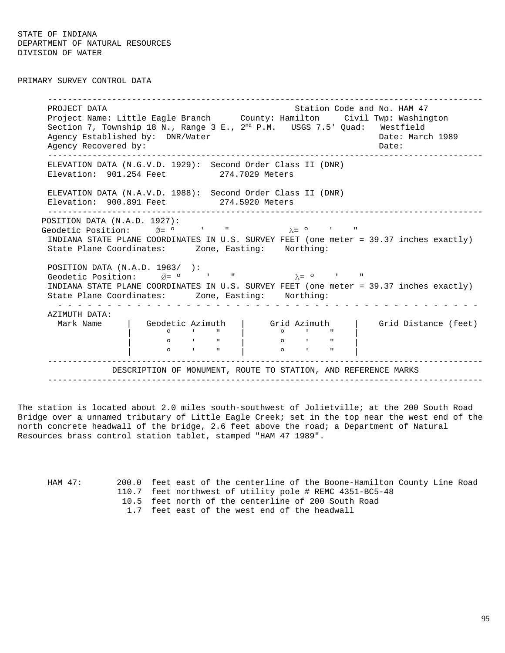PRIMARY SURVEY CONTROL DATA

----------------------------------------------------------------------------------------PROJECT DATA Station Code and No. HAM 47 Project Name: Little Eagle Branch County: Hamilton Civil Twp: Washington Section 7, Township 18 N., Range 3 E.,  $2^{nd}$  P.M. USGS 7.5' Quad: Westfield Agency Established by: DNR/Water Cases and Date: March 1989 Agency Recovered by:  $\Box$  Date:  $\Box$  Date:  $\Box$ ----------------------------------------------------------------------------------------ELEVATION DATA (N.G.V.D. 1929): Second Order Class II (DNR) Elevation: 901.254 Feet 274.7029 Meters ELEVATION DATA (N.A.V.D. 1988): Second Order Class II (DNR) Elevation: 900.891 Feet 274.5920 Meters ----------------------------------------------------------------------------------------POSITION DATA (N.A.D. 1927): Geodetic Position:  $\acute{p}$  =  $\circ$  ' "  $\lambda$  =  $\circ$  ' " INDIANA STATE PLANE COORDINATES IN U.S. SURVEY FEET (one meter = 39.37 inches exactly) State Plane Coordinates: Zone, Easting: Northing: POSITION DATA (N.A.D. 1983/ ): Geodetic Position:  $\acute{\theta} = 0$  ' "  $\lambda = 0$  ' " INDIANA STATE PLANE COORDINATES IN U.S. SURVEY FEET (one meter = 39.37 inches exactly) State Plane Coordinates: Zone, Easting: Northing: - - - - - - - - - - - - - - - - - - - - - - - - - - - - - - - - - - - - - - - - - - -AZIMUTH DATA: Mark Name | Geodetic Azimuth | Grid Azimuth | Grid Distance (feet) | º ' " | º ' " | | **0** ' " | 0 ' " | | **0** ' " | 0 ' " | ----------------------------------------------------------------------------------------DESCRIPTION OF MONUMENT, ROUTE TO STATION, AND REFERENCE MARKS ----------------------------------------------------------------------------------------

The station is located about 2.0 miles south-southwest of Jolietville; at the 200 South Road Bridge over a unnamed tributary of Little Eagle Creek; set in the top near the west end of the north concrete headwall of the bridge, 2.6 feet above the road; a Department of Natural Resources brass control station tablet, stamped "HAM 47 1989".

HAM 47: 200.0 feet east of the centerline of the Boone-Hamilton County Line Road 110.7 feet northwest of utility pole # REMC 4351-BC5-48

- 10.5 feet north of the centerline of 200 South Road
- 1.7 feet east of the west end of the headwall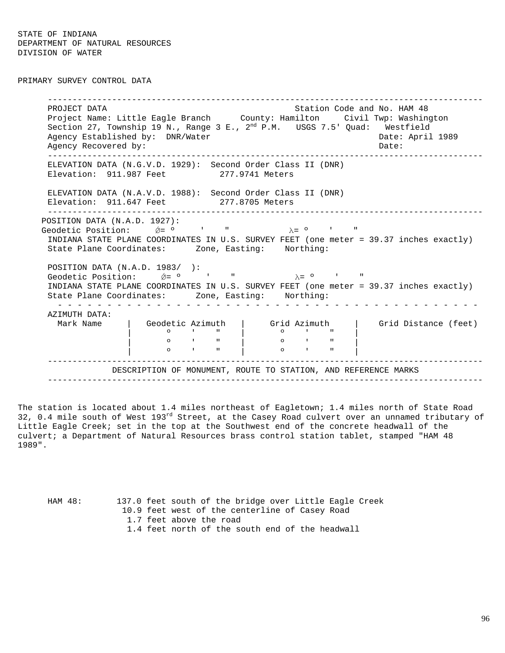PRIMARY SURVEY CONTROL DATA

----------------------------------------------------------------------------------------PROJECT DATA Station Code and No. HAM 48 Project Name: Little Eagle Branch County: Hamilton Civil Twp: Washington Section 27, Township 19 N., Range 3 E.,  $2^{nd}$  P.M. USGS 7.5' Quad: Westfield Agency Established by: DNR/Water Cases and Date: April 1989 Agency Recovered by:  $\Box$  Date:  $\Box$  Date:  $\Box$ ----------------------------------------------------------------------------------------ELEVATION DATA (N.G.V.D. 1929): Second Order Class II (DNR) Elevation: 911.987 Feet 277.9741 Meters ELEVATION DATA (N.A.V.D. 1988): Second Order Class II (DNR) Elevation: 911.647 Feet 277.8705 Meters ----------------------------------------------------------------------------------------POSITION DATA (N.A.D. 1927): Geodetic Position:  $\acute{\nabla}$ =  $\circ$  ' "  $\lambda$ =  $\circ$  ' INDIANA STATE PLANE COORDINATES IN U.S. SURVEY FEET (one meter = 39.37 inches exactly) State Plane Coordinates: Zone, Easting: Northing: POSITION DATA (N.A.D. 1983/ ): Geodetic Position:  $\acute{\theta} = 0$  ' "  $\lambda = 0$  ' " INDIANA STATE PLANE COORDINATES IN U.S. SURVEY FEET (one meter = 39.37 inches exactly) State Plane Coordinates: Zone, Easting: Northing: - - - - - - - - - - - - - - - - - - - - - - - - - - - - - - - - - - - - - - - - - - -AZIMUTH DATA: Mark Name | Geodetic Azimuth | Grid Azimuth | Grid Distance (feet) | º ' " | º ' " | | **0** ' " | 0 ' " | | **0** ' " | 0 ' " | ----------------------------------------------------------------------------------------DESCRIPTION OF MONUMENT, ROUTE TO STATION, AND REFERENCE MARKS ----------------------------------------------------------------------------------------

The station is located about 1.4 miles northeast of Eagletown; 1.4 miles north of State Road 32, 0.4 mile south of West 193rd Street, at the Casey Road culvert over an unnamed tributary of Little Eagle Creek; set in the top at the Southwest end of the concrete headwall of the culvert; a Department of Natural Resources brass control station tablet, stamped "HAM 48 1989".

HAM 48: 137.0 feet south of the bridge over Little Eagle Creek 10.9 feet west of the centerline of Casey Road 1.7 feet above the road 1.4 feet north of the south end of the headwall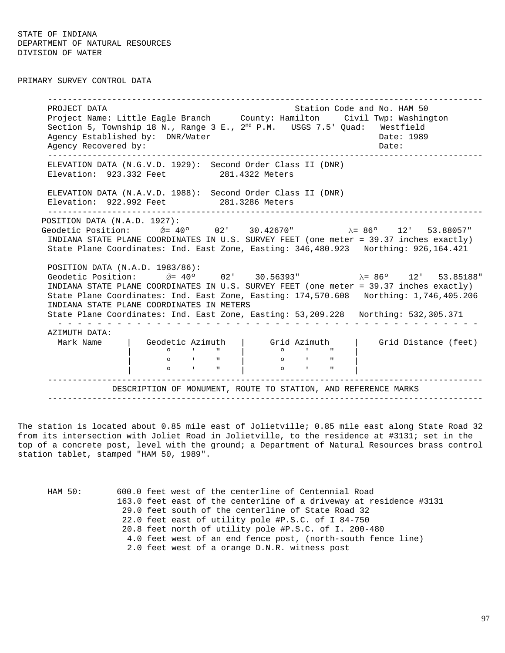PRIMARY SURVEY CONTROL DATA

----------------------------------------------------------------------------------------PROJECT DATA Station Code and No. HAM 50 Project Name: Little Eagle Branch County: Hamilton Civil Twp: Washington Section 5, Township 18 N., Range 3 E., 2<sup>nd</sup> P.M. USGS 7.5' Quad: Westfield Agency Established by: DNR/Water Case Communication of the Date: 1989 Agency Recovered by:  $\Box$  Date:  $\Box$  Date:  $\Box$ ----------------------------------------------------------------------------------------ELEVATION DATA (N.G.V.D. 1929): Second Order Class II (DNR) Elevation: 923.332 Feet 281.4322 Meters ELEVATION DATA (N.A.V.D. 1988): Second Order Class II (DNR) Elevation: 922.992 Feet 281.3286 Meters ----------------------------------------------------------------------------------------POSITION DATA (N.A.D. 1927): Geodetic Position:  $\acute{\theta} = 40^{\circ}$  02' 30.42670" λ= 86° 12' 53.88057" INDIANA STATE PLANE COORDINATES IN U.S. SURVEY FEET (one meter = 39.37 inches exactly) State Plane Coordinates: Ind. East Zone, Easting: 346,480.923 Northing: 926,164.421 POSITION DATA (N.A.D. 1983/86): Geodetic Position:  $\acute{\theta}$  = 40° 02' 30.56393" λ= 86° 12' 53.85188" INDIANA STATE PLANE COORDINATES IN U.S. SURVEY FEET (one meter = 39.37 inches exactly) State Plane Coordinates: Ind. East Zone, Easting: 174,570.608 Northing: 1,746,405.206 INDIANA STATE PLANE COORDINATES IN METERS State Plane Coordinates: Ind. East Zone, Easting: 53,209.228 Northing: 532,305.371 - - - - - - - - - - - - - - - - - - - - - - - - - - - - - - - - - - - - - - - - - - -AZIMUTH DATA: Mark Name  $\begin{array}{|c|c|c|c|c|c|}\n\hline\n\end{array}$  Geodetic Azimuth  $\begin{array}{|c|c|c|c|c|}\n\hline\n\end{array}$  Grid Distance (feet) | º ' " | º ' " | | º ' " | º ' " | | º ' " | º ' " | ----------------------------------------------------------------------------------------DESCRIPTION OF MONUMENT, ROUTE TO STATION, AND REFERENCE MARKS ----------------------------------------------------------------------------------------

The station is located about 0.85 mile east of Jolietville; 0.85 mile east along State Road 32 from its intersection with Joliet Road in Jolietville, to the residence at #3131; set in the top of a concrete post, level with the ground; a Department of Natural Resources brass control station tablet, stamped "HAM 50, 1989".

| HAM 50: | 600.0 feet west of the centerline of Centennial Road               |
|---------|--------------------------------------------------------------------|
|         | 163.0 feet east of the centerline of a driveway at residence #3131 |
|         | 29.0 feet south of the centerline of State Road 32                 |
|         | 22.0 feet east of utility pole #P.S.C. of I 84-750                 |
|         | 20.8 feet north of utility pole #P.S.C. of I. 200-480              |
|         | 4.0 feet west of an end fence post, (north-south fence line)       |
|         | 2.0 feet west of a orange D.N.R. witness post                      |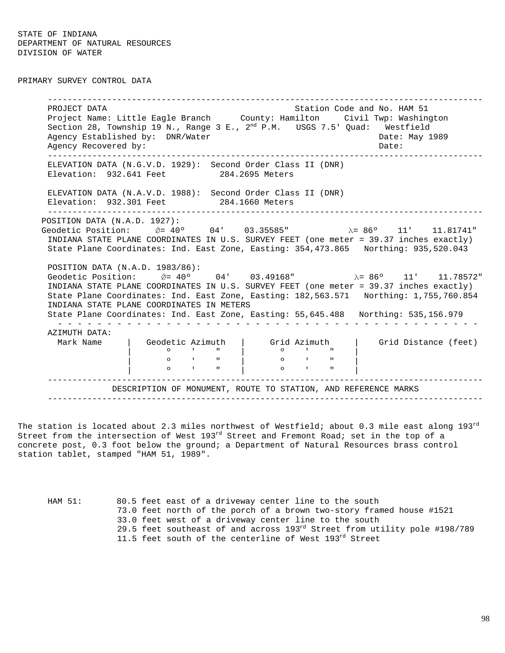PRIMARY SURVEY CONTROL DATA

----------------------------------------------------------------------------------------PROJECT DATA Station Code and No. HAM 51 Project Name: Little Eagle Branch County: Hamilton Civil Twp: Washington Section 28, Township 19 N., Range 3 E.,  $2^{nd}$  P.M. USGS 7.5' Quad: Westfield Agency Established by: DNR/Water Case Communication of the Date: May 1989 Agency Recovered by:  $\Box$  Date:  $\Box$  Date:  $\Box$ ----------------------------------------------------------------------------------------ELEVATION DATA (N.G.V.D. 1929): Second Order Class II (DNR) Elevation: 932.641 Feet 284.2695 Meters ELEVATION DATA (N.A.V.D. 1988): Second Order Class II (DNR) Elevation: 932.301 Feet 284.1660 Meters ----------------------------------------------------------------------------------------POSITION DATA (N.A.D. 1927): Geodetic Position:  $\acute{Q}$  = 40° 04' 03.35585" λ= 86° 11' 11.81741" INDIANA STATE PLANE COORDINATES IN U.S. SURVEY FEET (one meter = 39.37 inches exactly) State Plane Coordinates: Ind. East Zone, Easting: 354,473.865 Northing: 935,520.043 POSITION DATA (N.A.D. 1983/86): Geodetic Position: *ΰ*= 40° 04' 03.49168"  $λ = 86°$  11' 11.78572" INDIANA STATE PLANE COORDINATES IN U.S. SURVEY FEET (one meter = 39.37 inches exactly) State Plane Coordinates: Ind. East Zone, Easting: 182,563.571 Northing: 1,755,760.854 INDIANA STATE PLANE COORDINATES IN METERS State Plane Coordinates: Ind. East Zone, Easting: 55,645.488 Northing: 535,156.979 - - - - - - - - - - - - - - - - - - - - - - - - - - - - - - - - - - - - - - - - - - -AZIMUTH DATA: Mark Name  $\begin{array}{|c|c|c|c|c|c|}\n\hline\n\end{array}$  Geodetic Azimuth  $\begin{array}{|c|c|c|c|c|}\n\hline\n\end{array}$  Grid Distance (feet) | º ' " | º ' " | | º ' " | º ' " | | º ' " | º ' " | ----------------------------------------------------------------------------------------DESCRIPTION OF MONUMENT, ROUTE TO STATION, AND REFERENCE MARKS ----------------------------------------------------------------------------------------

The station is located about 2.3 miles northwest of Westfield; about 0.3 mile east along  $193^{\rm rd}$ Street from the intersection of West 193<sup>rd</sup> Street and Fremont Road; set in the top of a concrete post, 0.3 foot below the ground; a Department of Natural Resources brass control station tablet, stamped "HAM 51, 1989".

HAM 51: 80.5 feet east of a driveway center line to the south 73.0 feet north of the porch of a brown two-story framed house #1521 33.0 feet west of a driveway center line to the south 29.5 feet southeast of and across  $193<sup>rd</sup>$  Street from utility pole #198/789 11.5 feet south of the centerline of West 193rd Street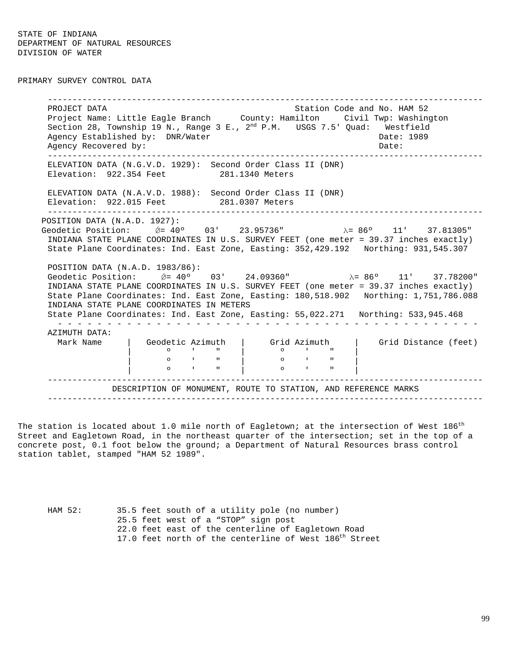PRIMARY SURVEY CONTROL DATA

----------------------------------------------------------------------------------------PROJECT DATA Station Code and No. HAM 52 Project Name: Little Eagle Branch County: Hamilton Civil Twp: Washington Section 28, Township 19 N., Range 3 E.,  $2^{nd}$  P.M. USGS 7.5' Quad: Westfield Agency Established by: DNR/Water Case Communication of the Date: 1989 Agency Recovered by:  $\Box$  Date:  $\Box$  Date:  $\Box$ ----------------------------------------------------------------------------------------ELEVATION DATA (N.G.V.D. 1929): Second Order Class II (DNR) Elevation: 922.354 Feet 281.1340 Meters ELEVATION DATA (N.A.V.D. 1988): Second Order Class II (DNR) Elevation: 922.015 Feet 281.0307 Meters ----------------------------------------------------------------------------------------POSITION DATA (N.A.D. 1927): Geodetic Position:  $\acute{Q}$  = 40° 03' 23.95736" λ= 86° 11' 37.81305" INDIANA STATE PLANE COORDINATES IN U.S. SURVEY FEET (one meter = 39.37 inches exactly) State Plane Coordinates: Ind. East Zone, Easting: 352,429.192 Northing: 931,545.307 POSITION DATA (N.A.D. 1983/86): Geodetic Position: *ΰ*= 40° 03' 24.09360" λ= 86° 11' 37.78200" INDIANA STATE PLANE COORDINATES IN U.S. SURVEY FEET (one meter = 39.37 inches exactly) State Plane Coordinates: Ind. East Zone, Easting: 180,518.902 Northing: 1,751,786.088 INDIANA STATE PLANE COORDINATES IN METERS State Plane Coordinates: Ind. East Zone, Easting: 55,022.271 Northing: 533,945.468 - - - - - - - - - - - - - - - - - - - - - - - - - - - - - - - - - - - - - - - - - - -AZIMUTH DATA: Mark Name  $\begin{array}{|c|c|c|c|c|c|}\n\hline\n\end{array}$  Geodetic Azimuth  $\begin{array}{|c|c|c|c|c|}\n\hline\n\end{array}$  Grid Distance (feet) | CHE CONSIDER A CHANGE CONTROLLED A CHANGE CONTROL CONTROL CONTROL CONTROL CONTROLLED MANAGEMENT CONTROLLED M<br>| O CHANGE CONTROLLED MANAGEMENT CONTROLLED MANAGEMENT CONTROLLED MANAGEMENT CONTROLLED MANAGEMENT CONTROLLED M | º ' " | º ' " | | º ' " | º ' " | ----------------------------------------------------------------------------------------DESCRIPTION OF MONUMENT, ROUTE TO STATION, AND REFERENCE MARKS ----------------------------------------------------------------------------------------

The station is located about 1.0 mile north of Eagletown; at the intersection of West  $186^{\rm th}$ Street and Eagletown Road, in the northeast quarter of the intersection; set in the top of a concrete post, 0.1 foot below the ground; a Department of Natural Resources brass control station tablet, stamped "HAM 52 1989".

HAM 52: 35.5 feet south of a utility pole (no number) 25.5 feet west of a "STOP" sign post 22.0 feet east of the centerline of Eagletown Road 17.0 feet north of the centerline of West 186<sup>th</sup> Street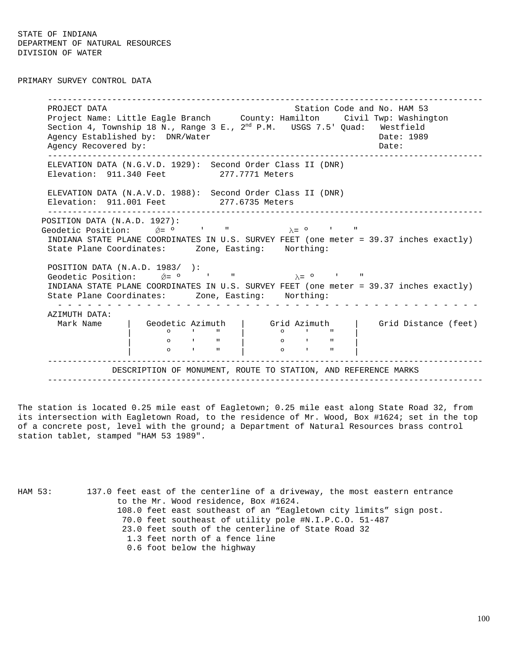PRIMARY SURVEY CONTROL DATA

----------------------------------------------------------------------------------------PROJECT DATA Station Code and No. HAM 53 Project Name: Little Eagle Branch County: Hamilton Civil Twp: Washington Section 4, Township 18 N., Range 3 E., 2<sup>nd</sup> P.M. USGS 7.5' Quad: Westfield Agency Established by: DNR/Water Case Communication of the Date: 1989 Agency Recovered by:  $\Box$  Date:  $\Box$  Date:  $\Box$ ----------------------------------------------------------------------------------------ELEVATION DATA (N.G.V.D. 1929): Second Order Class II (DNR) Elevation: 911.340 Feet 277.7771 Meters ELEVATION DATA (N.A.V.D. 1988): Second Order Class II (DNR) Elevation: 911.001 Feet 277.6735 Meters ----------------------------------------------------------------------------------------POSITION DATA (N.A.D. 1927): Geodetic Position:  $\acute{\nabla}$ =  $\circ$  ' "  $\lambda$ =  $\circ$  ' INDIANA STATE PLANE COORDINATES IN U.S. SURVEY FEET (one meter = 39.37 inches exactly) State Plane Coordinates: Zone, Easting: Northing: POSITION DATA (N.A.D. 1983/ ): Geodetic Position:  $\acute{\theta} = 0$  ' "  $\lambda = 0$  ' " INDIANA STATE PLANE COORDINATES IN U.S. SURVEY FEET (one meter = 39.37 inches exactly) State Plane Coordinates: Zone, Easting: Northing: - - - - - - - - - - - - - - - - - - - - - - - - - - - - - - - - - - - - - - - - - - -AZIMUTH DATA: Mark Name | Geodetic Azimuth | Grid Azimuth | Grid Distance (feet) | º ' " | º ' " | | **0** ' " | 0 ' " | | **0** ' " | 0 ' " | ----------------------------------------------------------------------------------------DESCRIPTION OF MONUMENT, ROUTE TO STATION, AND REFERENCE MARKS ----------------------------------------------------------------------------------------

The station is located 0.25 mile east of Eagletown; 0.25 mile east along State Road 32, from its intersection with Eagletown Road, to the residence of Mr. Wood, Box #1624; set in the top of a concrete post, level with the ground; a Department of Natural Resources brass control station tablet, stamped "HAM 53 1989".

HAM 53: 137.0 feet east of the centerline of a driveway, the most eastern entrance to the Mr. Wood residence, Box #1624. 108.0 feet east southeast of an "Eagletown city limits" sign post. 70.0 feet southeast of utility pole #N.I.P.C.O. 51-487 23.0 feet south of the centerline of State Road 32 1.3 feet north of a fence line 0.6 foot below the highway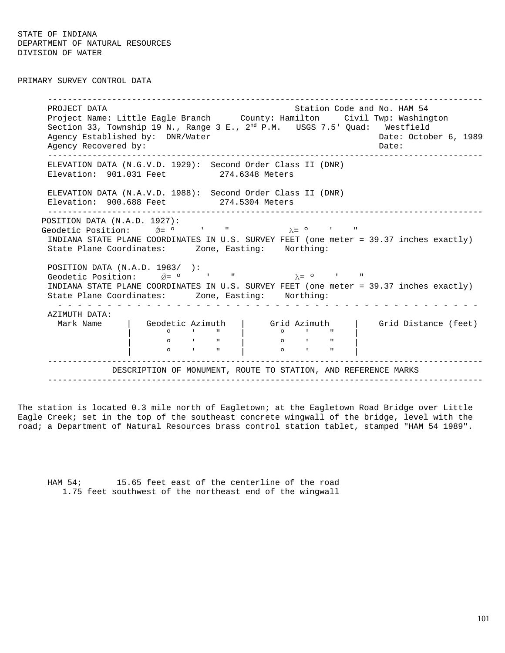PRIMARY SURVEY CONTROL DATA

----------------------------------------------------------------------------------------PROJECT DATA Station Code and No. HAM 54 Project Name: Little Eagle Branch County: Hamilton Civil Twp: Washington Section 33, Township 19 N., Range 3 E.,  $2^{nd}$  P.M. USGS 7.5' Quad: Westfield Agency Established by: DNR/Water Cases and Date: October 6, 1989 Agency Recovered by:  $\Box$  Date:  $\Box$  Date:  $\Box$ ----------------------------------------------------------------------------------------ELEVATION DATA (N.G.V.D. 1929): Second Order Class II (DNR) Elevation: 901.031 Feet 274.6348 Meters ELEVATION DATA (N.A.V.D. 1988): Second Order Class II (DNR) Elevation: 900.688 Feet 274.5304 Meters ----------------------------------------------------------------------------------------POSITION DATA (N.A.D. 1927): Geodetic Position:  $\acute{\nabla}$ =  $\circ$  ' "  $\lambda$ =  $\circ$  ' INDIANA STATE PLANE COORDINATES IN U.S. SURVEY FEET (one meter = 39.37 inches exactly) State Plane Coordinates: Zone, Easting: Northing: POSITION DATA (N.A.D. 1983/ ): Geodetic Position:  $\acute{\theta} = 0$  ' "  $\lambda = 0$  ' INDIANA STATE PLANE COORDINATES IN U.S. SURVEY FEET (one meter = 39.37 inches exactly) State Plane Coordinates: Zone, Easting: Northing: - - - - - - - - - - - - - - - - - - - - - - - - - - - - - - - - - - - - - - - - - - -AZIMUTH DATA: Mark Name | Geodetic Azimuth | Grid Azimuth | Grid Distance (feet) | º ' " | º ' " | | **0** ' " | 0 ' " | | **0** ' " | 0 ' " | ----------------------------------------------------------------------------------------DESCRIPTION OF MONUMENT, ROUTE TO STATION, AND REFERENCE MARKS ----------------------------------------------------------------------------------------

The station is located 0.3 mile north of Eagletown; at the Eagletown Road Bridge over Little Eagle Creek; set in the top of the southeast concrete wingwall of the bridge, level with the road; a Department of Natural Resources brass control station tablet, stamped "HAM 54 1989".

HAM 54; 15.65 feet east of the centerline of the road 1.75 feet southwest of the northeast end of the wingwall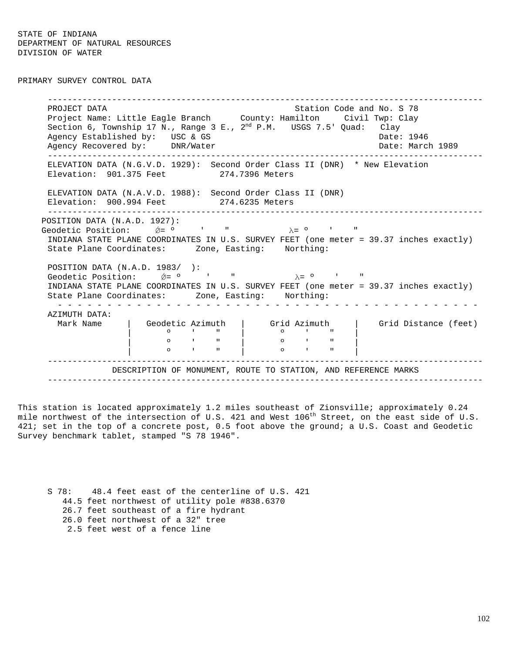PRIMARY SURVEY CONTROL DATA

----------------------------------------------------------------------------------------PROJECT DATA STATION COLLECT DATA STATION COLLECT DATA STATION STATION STATION STATION OF STATIONAL STATION OF STATION STATION STATION OF STATION STATION STATION STATION STATION STATION STATION STATION STATION STATION STAT Project Name: Little Eagle Branch County: Hamilton Civil Twp: Clay Section 6, Township 17 N., Range 3 E.,  $2^{nd}$  P.M.  $USGS$  7.5' Quad:  $Clay$ Agency Established by: USC & GS Date: 1946 Agency Recovered by: DNR/Water Date: March 1989 ----------------------------------------------------------------------------------------ELEVATION DATA (N.G.V.D. 1929): Second Order Class II (DNR) \* New Elevation Elevation: 901.375 Feet 274.7396 Meters ELEVATION DATA (N.A.V.D. 1988): Second Order Class II (DNR) Elevation: 900.994 Feet 274.6235 Meters ----------------------------------------------------------------------------------------POSITION DATA (N.A.D. 1927): Geodetic Position:  $\acute{p}$  =  $\circ$  ' "  $\lambda$  =  $\circ$  ' " INDIANA STATE PLANE COORDINATES IN U.S. SURVEY FEET (one meter = 39.37 inches exactly) State Plane Coordinates: Zone, Easting: Northing: POSITION DATA (N.A.D. 1983/ ): Geodetic Position:  $\acute{\theta} = 0$  ' "  $\lambda = 0$  ' " INDIANA STATE PLANE COORDINATES IN U.S. SURVEY FEET (one meter = 39.37 inches exactly) State Plane Coordinates: Zone, Easting: Northing: - - - - - - - - - - - - - - - - - - - - - - - - - - - - - - - - - - - - - - - - - - -AZIMUTH DATA: Mark Name | Geodetic Azimuth | Grid Azimuth | Grid Distance (feet) | º ' " | º ' " | | **0** ' " | 0 ' " | | º ' " | º ' " | ----------------------------------------------------------------------------------------DESCRIPTION OF MONUMENT, ROUTE TO STATION, AND REFERENCE MARKS ----------------------------------------------------------------------------------------

This station is located approximately 1.2 miles southeast of Zionsville; approximately 0.24 mile northwest of the intersection of U.S. 421 and West 106<sup>th</sup> Street, on the east side of U.S. 421; set in the top of a concrete post, 0.5 foot above the ground; a U.S. Coast and Geodetic Survey benchmark tablet, stamped "S 78 1946".

S 78: 48.4 feet east of the centerline of U.S. 421 44.5 feet northwest of utility pole #838.6370 26.7 feet southeast of a fire hydrant 26.0 feet northwest of a 32" tree 2.5 feet west of a fence line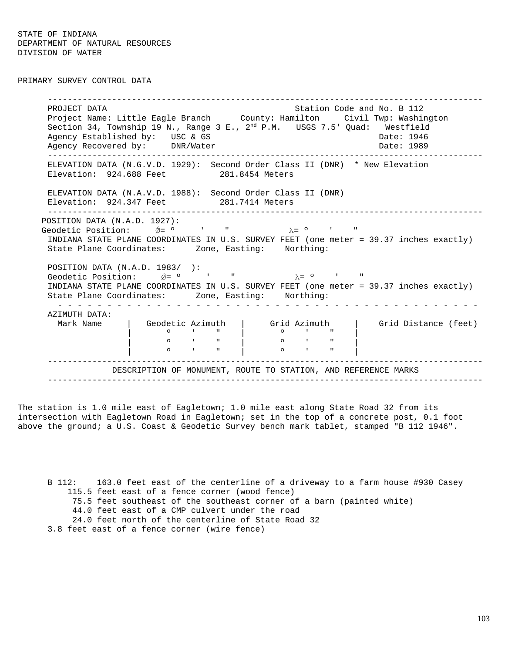PRIMARY SURVEY CONTROL DATA

----------------------------------------------------------------------------------------PROJECT DATA Station Code and No. B 112 Project Name: Little Eagle Branch County: Hamilton Civil Twp: Washington Section 34, Township 19 N., Range 3 E.,  $2^{nd}$  P.M.  $\;$  USGS 7.5' Quad:  $\;$  Westfield Agency Established by: USC & GS Date: 1946 Agency Recovered by: DNR/Water Date: 1989 ----------------------------------------------------------------------------------------ELEVATION DATA (N.G.V.D. 1929): Second Order Class II (DNR) \* New Elevation Elevation: 924.688 Feet 281.8454 Meters ELEVATION DATA (N.A.V.D. 1988): Second Order Class II (DNR) Elevation: 924.347 Feet 281.7414 Meters ----------------------------------------------------------------------------------------POSITION DATA (N.A.D. 1927): Geodetic Position:  $\acute{\nabla}$ =  $\circ$  ' "  $\lambda$ =  $\circ$  ' INDIANA STATE PLANE COORDINATES IN U.S. SURVEY FEET (one meter = 39.37 inches exactly) State Plane Coordinates: Zone, Easting: Northing: POSITION DATA (N.A.D. 1983/ ): Geodetic Position:  $\acute{\theta} = 0$  ' "  $\lambda = 0$  ' " INDIANA STATE PLANE COORDINATES IN U.S. SURVEY FEET (one meter = 39.37 inches exactly) State Plane Coordinates: Zone, Easting: Northing: - - - - - - - - - - - - - - - - - - - - - - - - - - - - - - - - - - - - - - - - - - -AZIMUTH DATA: Mark Name | Geodetic Azimuth | Grid Azimuth | Grid Distance (feet) | º ' " | º ' " | | **0** ' " | 0 ' " | | **0** ' " | 0 ' " | ----------------------------------------------------------------------------------------DESCRIPTION OF MONUMENT, ROUTE TO STATION, AND REFERENCE MARKS ----------------------------------------------------------------------------------------

The station is 1.0 mile east of Eagletown; 1.0 mile east along State Road 32 from its intersection with Eagletown Road in Eagletown; set in the top of a concrete post, 0.1 foot above the ground; a U.S. Coast & Geodetic Survey bench mark tablet, stamped "B 112 1946".

B 112: 163.0 feet east of the centerline of a driveway to a farm house #930 Casey 115.5 feet east of a fence corner (wood fence) 75.5 feet southeast of the southeast corner of a barn (painted white) 44.0 feet east of a CMP culvert under the road 24.0 feet north of the centerline of State Road 32 3.8 feet east of a fence corner (wire fence)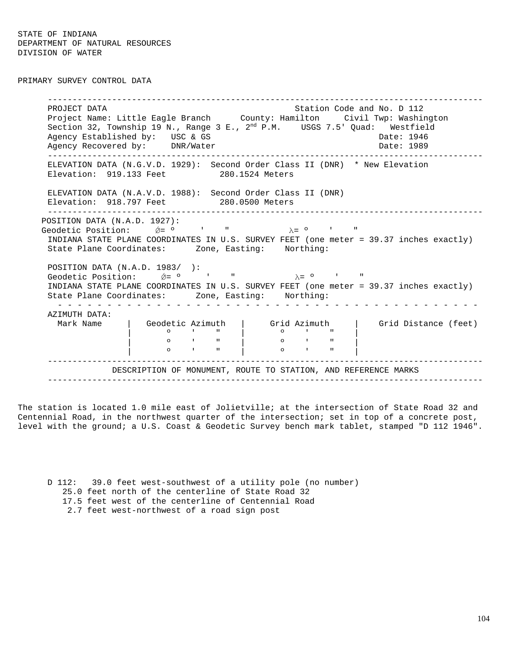PRIMARY SURVEY CONTROL DATA

----------------------------------------------------------------------------------------PROJECT DATA Station Code and No. D 112 Project Name: Little Eagle Branch County: Hamilton Civil Twp: Washington Section 32, Township 19 N., Range 3 E., 2<sup>nd</sup> P.M. USGS 7.5' Quad: Westfield Agency Established by: USC & GS Date: 1946 Agency Recovered by: DNR/Water Date: 1989 ----------------------------------------------------------------------------------------ELEVATION DATA (N.G.V.D. 1929): Second Order Class II (DNR) \* New Elevation Elevation: 919.133 Feet 280.1524 Meters ELEVATION DATA (N.A.V.D. 1988): Second Order Class II (DNR) Elevation: 918.797 Feet 280.0500 Meters ----------------------------------------------------------------------------------------POSITION DATA (N.A.D. 1927): Geodetic Position:  $\acute{\nabla}$ =  $\circ$  ' "  $\lambda$ =  $\circ$  ' INDIANA STATE PLANE COORDINATES IN U.S. SURVEY FEET (one meter = 39.37 inches exactly) State Plane Coordinates: Zone, Easting: Northing: POSITION DATA (N.A.D. 1983/ ): Geodetic Position:  $\acute{\n}$   $\acute{\n}$   $\acute{\n}$   $\acute{\n}$   $\acute{\n}$   $\acute{\n}$   $\acute{\n}$   $\acute{\n}$   $\acute{\n}$   $\acute{\n}$   $\acute{\n}$   $\acute{\n}$   $\acute{\n}$   $\acute{\n}$   $\acute{\n}$   $\acute{\n}$   $\acute{\n}$   $\acute{\n}$   $\acute{\n}$   $\acute{\n}$   $\acute{\n}$   $\acute{\n}$   $\acute{\n}$   $\acute{\n}$   $\acute{\n}$   $\$ INDIANA STATE PLANE COORDINATES IN U.S. SURVEY FEET (one meter = 39.37 inches exactly) State Plane Coordinates: Zone, Easting: Northing: - - - - - - - - - - - - - - - - - - - - - - - - - - - - - - - - - - - - - - - - - - -AZIMUTH DATA: Mark Name | Geodetic Azimuth | Grid Azimuth | Grid Distance (feet) | º ' " | º ' " | | **0** ' " | 0 ' " | | **0** ' " | 0 ' " | ----------------------------------------------------------------------------------------DESCRIPTION OF MONUMENT, ROUTE TO STATION, AND REFERENCE MARKS ----------------------------------------------------------------------------------------

The station is located 1.0 mile east of Jolietville; at the intersection of State Road 32 and Centennial Road, in the northwest quarter of the intersection; set in top of a concrete post, level with the ground; a U.S. Coast & Geodetic Survey bench mark tablet, stamped "D 112 1946".

D 112: 39.0 feet west-southwest of a utility pole (no number) 25.0 feet north of the centerline of State Road 32 17.5 feet west of the centerline of Centennial Road 2.7 feet west-northwest of a road sign post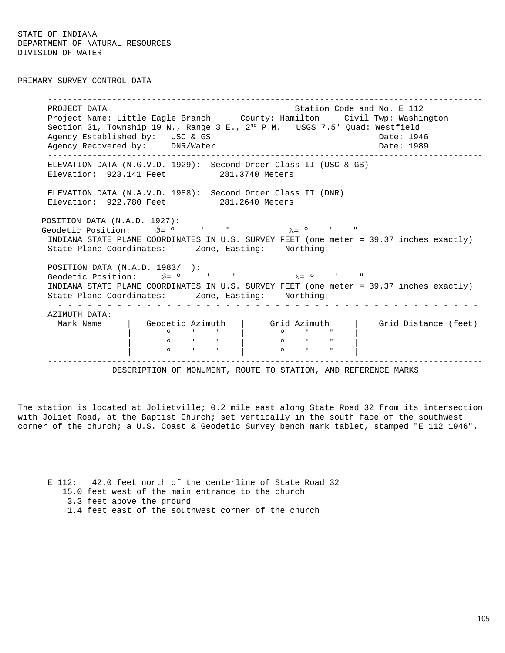PRIMARY SURVEY CONTROL DATA

----------------------------------------------------------------------------------------PROJECT DATA Station Code and No. E 112 Project Name: Little Eagle Branch County: Hamilton Civil Twp: Washington Section 31, Township 19 N., Range 3 E.,  $2^{nd}$  P.M.  $\;$  USGS 7.5' Quad: Westfield Agency Established by: USC & GS Date: 1946 Agency Recovered by: DNR/Water Date: 1989 ----------------------------------------------------------------------------------------ELEVATION DATA (N.G.V.D. 1929): Second Order Class II (USC & GS) Elevation: 923.141 Feet 281.3740 Meters ELEVATION DATA (N.A.V.D. 1988): Second Order Class II (DNR) Elevation: 922.780 Feet 281.2640 Meters ----------------------------------------------------------------------------------------POSITION DATA (N.A.D. 1927): Geodetic Position:  $\acute{\nabla}$ =  $\circ$  ' "  $\lambda$ =  $\circ$  ' INDIANA STATE PLANE COORDINATES IN U.S. SURVEY FEET (one meter = 39.37 inches exactly) State Plane Coordinates: Zone, Easting: Northing: POSITION DATA (N.A.D. 1983/ ): Geodetic Position:  $\acute{\theta} = 0$  ' "  $\lambda = 0$  ' " INDIANA STATE PLANE COORDINATES IN U.S. SURVEY FEET (one meter = 39.37 inches exactly) State Plane Coordinates: Zone, Easting: Northing: - - - - - - - - - - - - - - - - - - - - - - - - - - - - - - - - - - - - - - - - - - -AZIMUTH DATA: Mark Name | Geodetic Azimuth | Grid Azimuth | Grid Distance (feet) | º ' " | º ' " | | **0** ' " | 0 ' " | | **0** ' " | 0 ' " | ----------------------------------------------------------------------------------------DESCRIPTION OF MONUMENT, ROUTE TO STATION, AND REFERENCE MARKS ----------------------------------------------------------------------------------------

The station is located at Jolietville; 0.2 mile east along State Road 32 from its intersection with Joliet Road, at the Baptist Church; set vertically in the south face of the southwest corner of the church; a U.S. Coast & Geodetic Survey bench mark tablet, stamped "E 112 1946".

E 112: 42.0 feet north of the centerline of State Road 32 15.0 feet west of the main entrance to the church 3.3 feet above the ground 1.4 feet east of the southwest corner of the church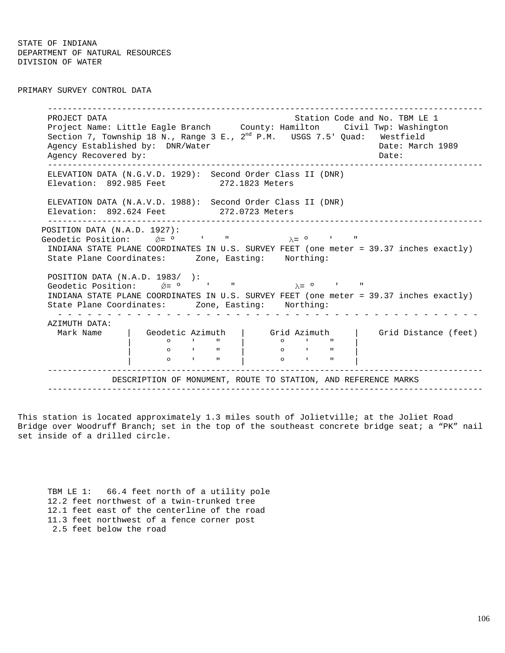## PRIMARY SURVEY CONTROL DATA

----------------------------------------------------------------------------------------PROJECT DATA Station Code and No. TBM LE 1 Project Name: Little Eagle Branch County: Hamilton Civil Twp: Washington Section 7, Township 18 N., Range 3 E., 2<sup>nd</sup> P.M. USGS 7.5' Quad: Westfield Agency Established by: DNR/Water Cases and Date: March 1989 Agency Recovered by:  $\Box$  Date:  $\Box$  Date:  $\Box$ ----------------------------------------------------------------------------------------ELEVATION DATA (N.G.V.D. 1929): Second Order Class II (DNR) Elevation: 892.985 Feet 272.1823 Meters ELEVATION DATA (N.A.V.D. 1988): Second Order Class II (DNR) Elevation: 892.624 Feet 272.0723 Meters ----------------------------------------------------------------------------------------POSITION DATA (N.A.D. 1927): Geodetic Position:  $\acute{\nabla} = 0$  ' "  $\lambda = 0$  ' INDIANA STATE PLANE COORDINATES IN U.S. SURVEY FEET (one meter = 39.37 inches exactly) State Plane Coordinates: Zone, Easting: Northing: POSITION DATA (N.A.D. 1983/ ): Geodetic Position:  $\acute{\nabla} = 0$  ' "  $\lambda = 0$  ' INDIANA STATE PLANE COORDINATES IN U.S. SURVEY FEET (one meter = 39.37 inches exactly) State Plane Coordinates: Zone, Easting: Northing: - - - - - - - - - - - - - - - - - - - - - - - - - - - - - - - - - - - - - - - - - - -AZIMUTH DATA: Mark Name | Geodetic Azimuth | Grid Azimuth | Grid Distance (feet) | º ' " | º ' " | | **0** ' " | 0 ' " | | º ' " | º ' " | ----------------------------------------------------------------------------------------DESCRIPTION OF MONUMENT, ROUTE TO STATION, AND REFERENCE MARKS ----------------------------------------------------------------------------------------

This station is located approximately 1.3 miles south of Jolietville; at the Joliet Road Bridge over Woodruff Branch; set in the top of the southeast concrete bridge seat; a "PK" nail set inside of a drilled circle.

TBM LE 1: 66.4 feet north of a utility pole 12.2 feet northwest of a twin-trunked tree 12.1 feet east of the centerline of the road 11.3 feet northwest of a fence corner post 2.5 feet below the road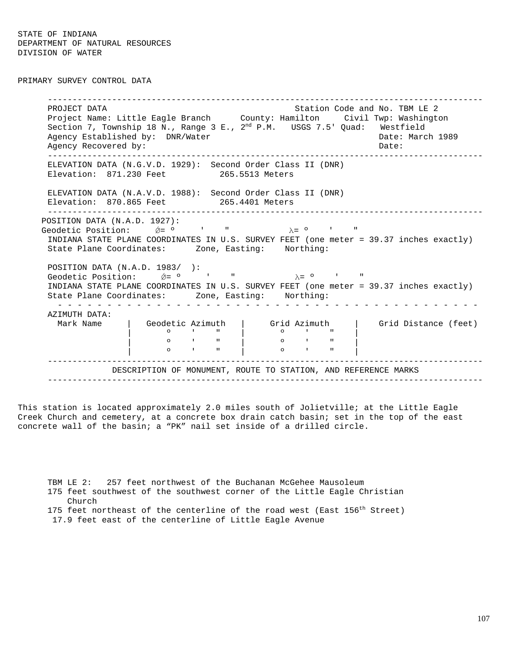PRIMARY SURVEY CONTROL DATA

----------------------------------------------------------------------------------------PROJECT DATA Station Code and No. TBM LE 2 Project Name: Little Eagle Branch County: Hamilton Civil Twp: Washington Section 7, Township 18 N., Range 3 E.,  $2^{nd}$  P.M. USGS 7.5' Quad: Westfield Agency Established by: DNR/Water Cases and Date: March 1989 Agency Recovered by:  $\Box$  Date:  $\Box$  Date:  $\Box$ ----------------------------------------------------------------------------------------ELEVATION DATA (N.G.V.D. 1929): Second Order Class II (DNR) Elevation: 871.230 Feet 265.5513 Meters ELEVATION DATA (N.A.V.D. 1988): Second Order Class II (DNR) Elevation: 870.865 Feet 265.4401 Meters ----------------------------------------------------------------------------------------POSITION DATA (N.A.D. 1927): Geodetic Position:  $\acute{\nabla}$ =  $\circ$  ' "  $\lambda$ =  $\circ$  ' INDIANA STATE PLANE COORDINATES IN U.S. SURVEY FEET (one meter = 39.37 inches exactly) State Plane Coordinates: Zone, Easting: Northing: POSITION DATA (N.A.D. 1983/ ): Geodetic Position:  $\acute{\n}$   $\acute{\n}$   $\acute{\n}$   $\acute{\n}$   $\acute{\n}$   $\acute{\n}$   $\acute{\n}$   $\acute{\n}$   $\acute{\n}$   $\acute{\n}$   $\acute{\n}$   $\acute{\n}$   $\acute{\n}$   $\acute{\n}$   $\acute{\n}$   $\acute{\n}$   $\acute{\n}$   $\acute{\n}$   $\acute{\n}$   $\acute{\n}$   $\acute{\n}$   $\acute{\n}$   $\acute{\n}$   $\acute{\n}$   $\acute{\n}$   $\$ INDIANA STATE PLANE COORDINATES IN U.S. SURVEY FEET (one meter = 39.37 inches exactly) State Plane Coordinates: Zone, Easting: Northing: - - - - - - - - - - - - - - - - - - - - - - - - - - - - - - - - - - - - - - - - - - -AZIMUTH DATA: Mark Name | Geodetic Azimuth | Grid Azimuth | Grid Distance (feet) | º ' " | º ' " | | **0** ' " | 0 ' " | | **0** ' " | 0 ' " | ----------------------------------------------------------------------------------------DESCRIPTION OF MONUMENT, ROUTE TO STATION, AND REFERENCE MARKS ----------------------------------------------------------------------------------------

This station is located approximately 2.0 miles south of Jolietville; at the Little Eagle Creek Church and cemetery, at a concrete box drain catch basin; set in the top of the east concrete wall of the basin; a "PK" nail set inside of a drilled circle.

TBM LE 2: 257 feet northwest of the Buchanan McGehee Mausoleum 175 feet southwest of the southwest corner of the Little Eagle Christian Church 175 feet northeast of the centerline of the road west (East  $156^{\text{th}}$  Street) 17.9 feet east of the centerline of Little Eagle Avenue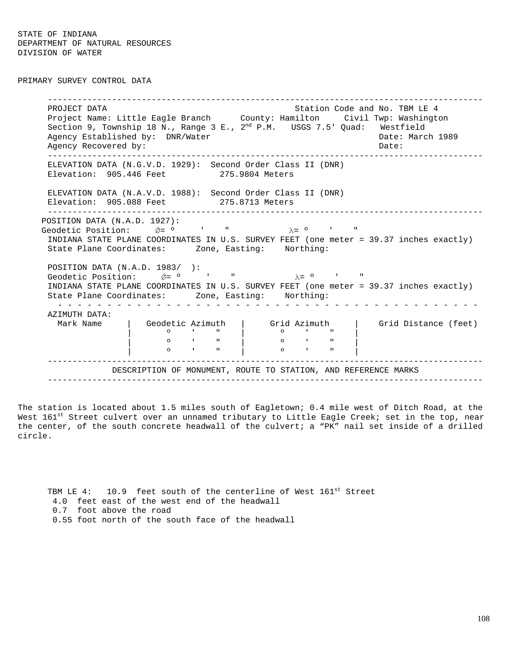PRIMARY SURVEY CONTROL DATA

----------------------------------------------------------------------------------------PROJECT DATA Station Code and No. TBM LE 4 Project Name: Little Eagle Branch County: Hamilton Civil Twp: Washington Section 9, Township 18 N., Range 3 E.,  $2^{nd}$  P.M. USGS 7.5' Quad: Westfield Agency Established by: DNR/Water Cases and Date: March 1989 Agency Recovered by:  $\Box$  Date:  $\Box$  Date:  $\Box$ ----------------------------------------------------------------------------------------ELEVATION DATA (N.G.V.D. 1929): Second Order Class II (DNR) Elevation: 905.446 Feet 275.9804 Meters ELEVATION DATA (N.A.V.D. 1988): Second Order Class II (DNR) Elevation: 905.088 Feet 275.8713 Meters ----------------------------------------------------------------------------------------POSITION DATA (N.A.D. 1927): Geodetic Position:  $\acute{p}$  =  $\circ$  ' "  $\lambda$  =  $\circ$  ' " INDIANA STATE PLANE COORDINATES IN U.S. SURVEY FEET (one meter = 39.37 inches exactly) State Plane Coordinates: Zone, Easting: Northing: POSITION DATA (N.A.D. 1983/ ): Geodetic Position:  $\acute{\theta} = 0$  ' "  $\lambda = 0$  ' " INDIANA STATE PLANE COORDINATES IN U.S. SURVEY FEET (one meter = 39.37 inches exactly) State Plane Coordinates: Zone, Easting: Northing: - - - - - - - - - - - - - - - - - - - - - - - - - - - - - - - - - - - - - - - - - - -AZIMUTH DATA: Mark Name | Geodetic Azimuth | Grid Azimuth | Grid Distance (feet) | º ' " | º ' " | | **0** ' " | 0 ' " | | **0** ' " | 0 ' " | ----------------------------------------------------------------------------------------DESCRIPTION OF MONUMENT, ROUTE TO STATION, AND REFERENCE MARKS ----------------------------------------------------------------------------------------

The station is located about 1.5 miles south of Eagletown; 0.4 mile west of Ditch Road, at the West 161<sup>st</sup> Street culvert over an unnamed tributary to Little Eagle Creek; set in the top, near the center, of the south concrete headwall of the culvert; a "PK" nail set inside of a drilled circle.

TBM LE  $4: 10.9$  feet south of the centerline of West  $161<sup>st</sup>$  Street 4.0 feet east of the west end of the headwall 0.7 foot above the road 0.55 foot north of the south face of the headwall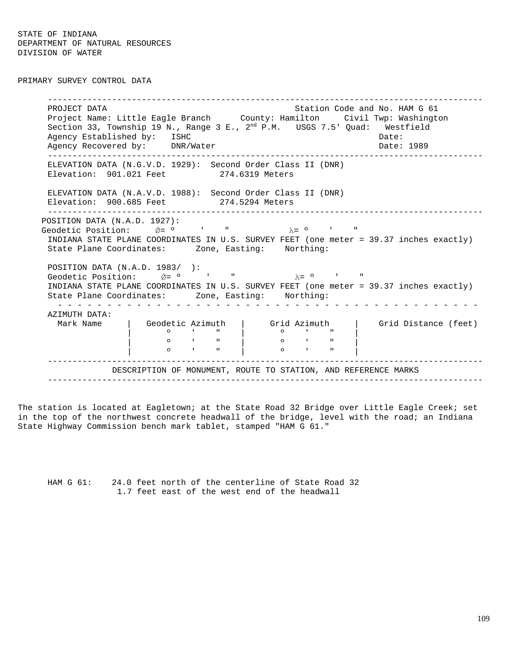STATE OF INDIANA DEPARTMENT OF NATURAL RESOURCES DIVISION OF WATER

PRIMARY SURVEY CONTROL DATA

----------------------------------------------------------------------------------------PROJECT DATA Station Code and No. HAM G 61 Project Name: Little Eagle Branch County: Hamilton Civil Twp: Washington Section 33, Township 19 N., Range 3 E.,  $2^{nd}$  P.M. USGS 7.5' Quad: Westfield Agency Established by: ISHC Date: Date: Date: Agency Recovered by: DNR/Water Date: 1989 ----------------------------------------------------------------------------------------ELEVATION DATA (N.G.V.D. 1929): Second Order Class II (DNR) Elevation: 901.021 Feet 274.6319 Meters ELEVATION DATA (N.A.V.D. 1988): Second Order Class II (DNR) Elevation: 900.685 Feet 274.5294 Meters ----------------------------------------------------------------------------------------POSITION DATA (N.A.D. 1927): Geodetic Position:  $\acute{\nabla}$  =  $\circ$  ' "  $\lambda$  =  $\circ$  ' INDIANA STATE PLANE COORDINATES IN U.S. SURVEY FEET (one meter = 39.37 inches exactly) State Plane Coordinates: Zone, Easting: Northing: POSITION DATA (N.A.D. 1983/ ): Geodetic Position:  $\acute{\theta} = 0$  ' "  $\lambda = 0$  ' " INDIANA STATE PLANE COORDINATES IN U.S. SURVEY FEET (one meter = 39.37 inches exactly) State Plane Coordinates: Zone, Easting: Northing: - - - - - - - - - - - - - - - - - - - - - - - - - - - - - - - - - - - - - - - - - - -AZIMUTH DATA: Mark Name | Geodetic Azimuth | Grid Azimuth | Grid Distance (feet) | º ' " | º ' " | | **0** ' " | 0 ' " | | **0** ' " | 0 ' " | ----------------------------------------------------------------------------------------DESCRIPTION OF MONUMENT, ROUTE TO STATION, AND REFERENCE MARKS ----------------------------------------------------------------------------------------

The station is located at Eagletown; at the State Road 32 Bridge over Little Eagle Creek; set in the top of the northwest concrete headwall of the bridge, level with the road; an Indiana State Highway Commission bench mark tablet, stamped "HAM G 61."

HAM G 61: 24.0 feet north of the centerline of State Road 32 1.7 feet east of the west end of the headwall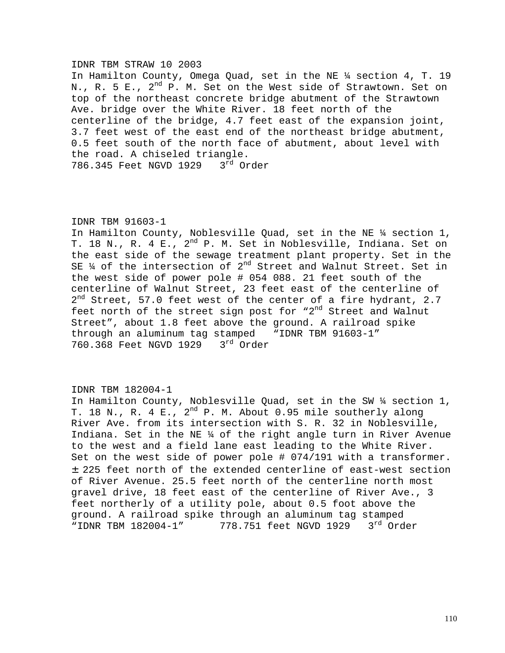#### IDNR TBM STRAW 10 2003

In Hamilton County, Omega Quad, set in the NE ¼ section 4, T. 19 N., R. 5 E., 2<sup>nd</sup> P. M. Set on the West side of Strawtown. Set on top of the northeast concrete bridge abutment of the Strawtown Ave. bridge over the White River. 18 feet north of the centerline of the bridge, 4.7 feet east of the expansion joint, 3.7 feet west of the east end of the northeast bridge abutment, 0.5 feet south of the north face of abutment, about level with the road. A chiseled triangle. 786.345 Feet NGVD 1929 3rd Order

### IDNR TBM 91603-1

In Hamilton County, Noblesville Quad, set in the NE ¼ section 1, T. 18 N., R. 4 E.,  $2^{nd}$  P. M. Set in Noblesville, Indiana. Set on the east side of the sewage treatment plant property. Set in the SE  $\frac{1}{4}$  of the intersection of  $2^{nd}$  Street and Walnut Street. Set in the west side of power pole # 054 088. 21 feet south of the centerline of Walnut Street, 23 feet east of the centerline of 2<sup>nd</sup> Street, 57.0 feet west of the center of a fire hydrant, 2.7 feet north of the street sign post for " $2^{nd}$  Street and Walnut Street", about 1.8 feet above the ground. A railroad spike through an aluminum tag stamped "IDNR TBM 91603-1" 760.368 Feet NGVD 1929 3rd Order

## IDNR TBM 182004-1

In Hamilton County, Noblesville Quad, set in the SW ¼ section 1, T. 18 N., R. 4 E.,  $2^{nd}$  P. M. About 0.95 mile southerly along River Ave. from its intersection with S. R. 32 in Noblesville, Indiana. Set in the NE ¼ of the right angle turn in River Avenue to the west and a field lane east leading to the White River. Set on the west side of power pole # 074/191 with a transformer. ± 225 feet north of the extended centerline of east-west section of River Avenue. 25.5 feet north of the centerline north most gravel drive, 18 feet east of the centerline of River Ave., 3 feet northerly of a utility pole, about 0.5 foot above the ground. A railroad spike through an aluminum tag stamped "IDNR TBM 182004-1" 778.751 feet NGVD 1929 3<sup>rd</sup> Order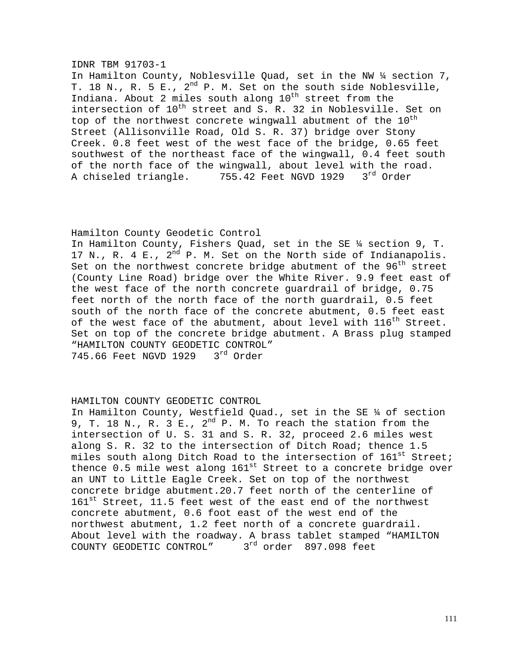### IDNR TBM 91703-1

In Hamilton County, Noblesville Quad, set in the NW ¼ section 7, T. 18 N., R. 5 E.,  $2^{nd}$  P. M. Set on the south side Noblesville, Indiana. About 2 miles south along  $10^{th}$  street from the intersection of  $10^{th}$  street and S. R. 32 in Noblesville. Set on top of the northwest concrete wingwall abutment of the  $10^{\text{th}}$ Street (Allisonville Road, Old S. R. 37) bridge over Stony Creek. 0.8 feet west of the west face of the bridge, 0.65 feet southwest of the northeast face of the wingwall, 0.4 feet south of the north face of the wingwall, about level with the road. A chiseled triangle. 755.42 Feet NGVD 1929 3rd Order

## Hamilton County Geodetic Control

In Hamilton County, Fishers Quad, set in the SE ¼ section 9, T. 17 N., R. 4 E.,  $2^{\overline{nd}}$  P. M. Set on the North side of Indianapolis. Set on the northwest concrete bridge abutment of the  $96<sup>th</sup>$  street (County Line Road) bridge over the White River. 9.9 feet east of the west face of the north concrete guardrail of bridge, 0.75 feet north of the north face of the north guardrail, 0.5 feet south of the north face of the concrete abutment, 0.5 feet east of the west face of the abutment, about level with  $116^{th}$  Street. Set on top of the concrete bridge abutment. A Brass plug stamped "HAMILTON COUNTY GEODETIC CONTROL" 745.66 Feet NGVD 1929 3rd Order

## HAMILTON COUNTY GEODETIC CONTROL

In Hamilton County, Westfield Quad., set in the SE ¼ of section 9, T. 18 N., R. 3 E.,  $2^{nd}$  P. M. To reach the station from the intersection of U. S. 31 and S. R. 32, proceed 2.6 miles west along S. R. 32 to the intersection of Ditch Road; thence 1.5 miles south along Ditch Road to the intersection of  $161^{st}$  Street; thence 0.5 mile west along  $161<sup>st</sup>$  Street to a concrete bridge over an UNT to Little Eagle Creek. Set on top of the northwest concrete bridge abutment.20.7 feet north of the centerline of 161<sup>st</sup> Street, 11.5 feet west of the east end of the northwest concrete abutment, 0.6 foot east of the west end of the northwest abutment, 1.2 feet north of a concrete guardrail. About level with the roadway. A brass tablet stamped "HAMILTON COUNTY GEODETIC CONTROL" 3<sup>rd</sup> order 897.098 feet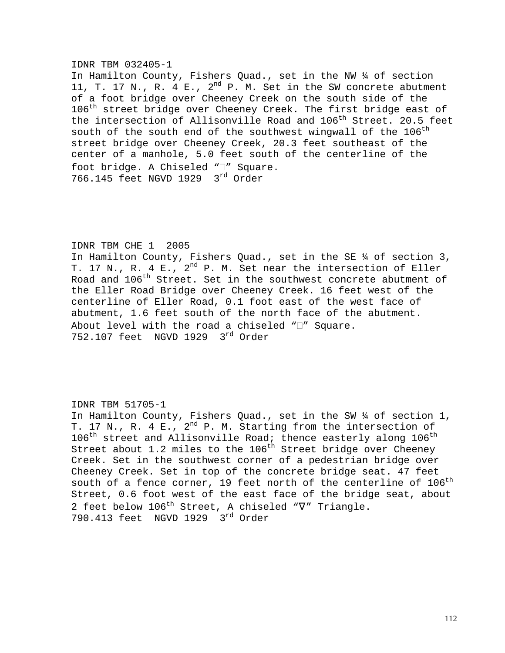#### IDNR TBM 032405-1

In Hamilton County, Fishers Quad., set in the NW ¼ of section 11, T. 17 N., R. 4 E.,  $2^{nd}$  P. M. Set in the SW concrete abutment of a foot bridge over Cheeney Creek on the south side of the 106<sup>th</sup> street bridge over Cheeney Creek. The first bridge east of the intersection of Allisonville Road and 106<sup>th</sup> Street. 20.5 feet south of the south end of the southwest wingwall of the  $106^{\text{th}}$ street bridge over Cheeney Creek, 20.3 feet southeast of the center of a manhole, 5.0 feet south of the centerline of the foot bridge. A Chiseled "I" Square. 766.145 feet NGVD 1929 3rd Order

### IDNR TBM CHE 1 2005

In Hamilton County, Fishers Quad., set in the SE ¼ of section 3, T. 17 N., R. 4 E., 2<sup>nd</sup> P. M. Set near the intersection of Eller Road and 106<sup>th</sup> Street. Set in the southwest concrete abutment of the Eller Road Bridge over Cheeney Creek. 16 feet west of the centerline of Eller Road, 0.1 foot east of the west face of abutment, 1.6 feet south of the north face of the abutment. About level with the road a chiseled  $\Pi''$  Square. 752.107 feet NGVD 1929 3rd Order

### IDNR TBM 51705-1

In Hamilton County, Fishers Quad., set in the SW ¼ of section 1, T. 17 N., R. 4 E., 2<sup>nd</sup> P. M. Starting from the intersection of  $106^{\text{th}}$  street and Allisonville Road; thence easterly along  $106^{\text{th}}$ Street about 1.2 miles to the  $106<sup>th</sup>$  Street bridge over Cheeney Creek. Set in the southwest corner of a pedestrian bridge over Cheeney Creek. Set in top of the concrete bridge seat. 47 feet south of a fence corner, 19 feet north of the centerline of  $106^{\rm th}$ Street, 0.6 foot west of the east face of the bridge seat, about 2 feet below 106<sup>th</sup> Street, A chiseled "V" Triangle. 790.413 feet NGVD 1929 3rd Order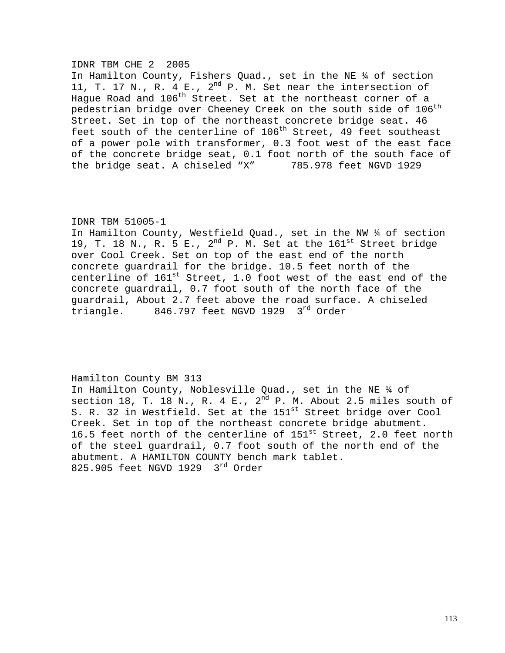### IDNR TBM CHE 2 2005

In Hamilton County, Fishers Quad., set in the NE ¼ of section 11, T. 17 N., R. 4 E.,  $2^{nd}$  P. M. Set near the intersection of Hague Road and  $106^{\text{th}}$  Street. Set at the northeast corner of a pedestrian bridge over Cheeney Creek on the south side of  $106^{\rm th}$ Street. Set in top of the northeast concrete bridge seat. 46 feet south of the centerline of  $106<sup>th</sup>$  Street, 49 feet southeast of a power pole with transformer, 0.3 foot west of the east face of the concrete bridge seat, 0.1 foot north of the south face of the bridge seat. A chiseled "X" 785.978 feet NGVD 1929

## IDNR TBM 51005-1

In Hamilton County, Westfield Quad., set in the NW ¼ of section 19, T. 18 N., R.  $5$  E.,  $2^{nd}$  P. M. Set at the  $161^{st}$  Street bridge over Cool Creek. Set on top of the east end of the north concrete guardrail for the bridge. 10.5 feet north of the centerline of  $161^{st}$  Street, 1.0 foot west of the east end of the concrete guardrail, 0.7 foot south of the north face of the guardrail, About 2.7 feet above the road surface. A chiseled triangle. 846.797 feet NGVD 1929 3rd Order

## Hamilton County BM 313

In Hamilton County, Noblesville Quad., set in the NE ¼ of section 18, T. 18 N., R. 4 E.,  $2^{nd}$  P. M. About 2.5 miles south of S. R. 32 in Westfield. Set at the 151<sup>st</sup> Street bridge over Cool Creek. Set in top of the northeast concrete bridge abutment. 16.5 feet north of the centerline of 151<sup>st</sup> Street, 2.0 feet north of the steel guardrail, 0.7 foot south of the north end of the abutment. A HAMILTON COUNTY bench mark tablet. 825.905 feet NGVD 1929 3<sup>rd</sup> Order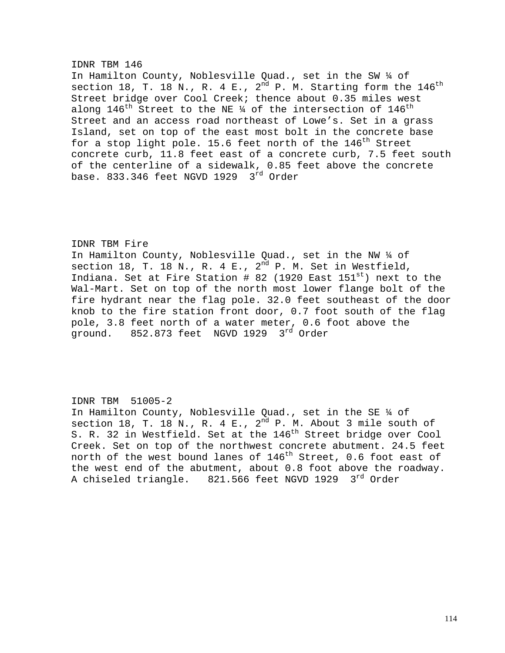# IDNR TBM 146 In Hamilton County, Noblesville Quad., set in the SW ¼ of section 18, T. 18 N., R. 4 E.,  $2^{nd}$  P. M. Starting form the  $146^{th}$ Street bridge over Cool Creek; thence about 0.35 miles west along  $146^{\text{th}}$  Street to the NE ¼ of the intersection of  $146^{\text{th}}$ Street and an access road northeast of Lowe's. Set in a grass Island, set on top of the east most bolt in the concrete base for a stop light pole. 15.6 feet north of the  $146<sup>th</sup>$  Street concrete curb, 11.8 feet east of a concrete curb, 7.5 feet south of the centerline of a sidewalk, 0.85 feet above the concrete base. 833.346 feet NGVD 1929  $3<sup>rd</sup>$  Order

### IDNR TBM Fire

In Hamilton County, Noblesville Quad., set in the NW ¼ of section 18, T. 18 N., R. 4 E.,  $2^{nd}$  P. M. Set in Westfield, Indiana. Set at Fire Station # 82 (1920 East  $151^{st}$ ) next to the Wal-Mart. Set on top of the north most lower flange bolt of the fire hydrant near the flag pole. 32.0 feet southeast of the door knob to the fire station front door, 0.7 foot south of the flag pole, 3.8 feet north of a water meter, 0.6 foot above the ground. 852.873 feet NGVD 1929 3<sup>rd</sup> Order

## IDNR TBM 51005-2

In Hamilton County, Noblesville Quad., set in the SE ¼ of section 18, T. 18 N., R. 4 E.,  $2^{nd}$  P. M. About 3 mile south of S. R. 32 in Westfield. Set at the 146<sup>th</sup> Street bridge over Cool Creek. Set on top of the northwest concrete abutment. 24.5 feet north of the west bound lanes of  $146^{th}$  Street, 0.6 foot east of the west end of the abutment, about 0.8 foot above the roadway. A chiseled triangle. 821.566 feet NGVD 1929 3rd Order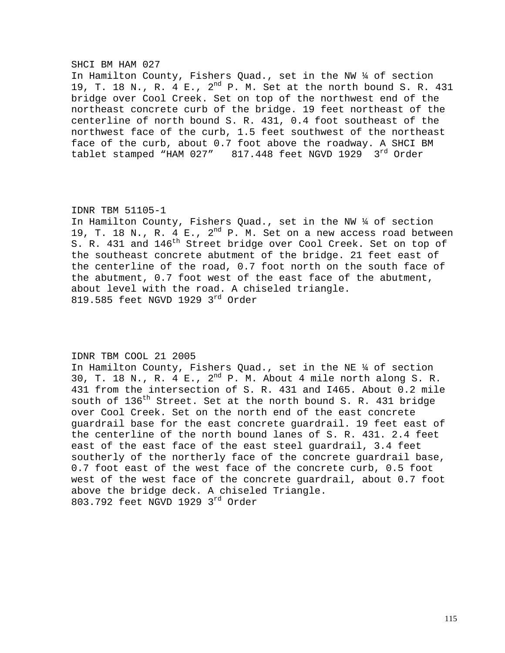#### SHCI BM HAM 027

In Hamilton County, Fishers Quad., set in the NW ¼ of section 19, T. 18 N., R. 4 E., 2nd P. M. Set at the north bound S. R. 431 bridge over Cool Creek. Set on top of the northwest end of the northeast concrete curb of the bridge. 19 feet northeast of the centerline of north bound S. R. 431, 0.4 foot southeast of the northwest face of the curb, 1.5 feet southwest of the northeast face of the curb, about 0.7 foot above the roadway. A SHCI BM tablet stamped "HAM 027" 817.448 feet NGVD 1929 3rd Order

#### IDNR TBM 51105-1

In Hamilton County, Fishers Quad., set in the NW ¼ of section 19, T. 18 N., R. 4 E.,  $2^{nd}$  P. M. Set on a new access road between S. R. 431 and 146<sup>th</sup> Street bridge over Cool Creek. Set on top of the southeast concrete abutment of the bridge. 21 feet east of the centerline of the road, 0.7 foot north on the south face of the abutment, 0.7 foot west of the east face of the abutment, about level with the road. A chiseled triangle. 819.585 feet NGVD 1929 3rd Order

## IDNR TBM COOL 21 2005

In Hamilton County, Fishers Quad., set in the NE ¼ of section 30, T. 18 N., R. 4 E.,  $2^{nd}$  P. M. About 4 mile north along S. R. 431 from the intersection of S. R. 431 and I465. About 0.2 mile south of  $136<sup>th</sup>$  Street. Set at the north bound S. R. 431 bridge over Cool Creek. Set on the north end of the east concrete guardrail base for the east concrete guardrail. 19 feet east of the centerline of the north bound lanes of S. R. 431. 2.4 feet east of the east face of the east steel guardrail, 3.4 feet southerly of the northerly face of the concrete guardrail base, 0.7 foot east of the west face of the concrete curb, 0.5 foot west of the west face of the concrete guardrail, about 0.7 foot above the bridge deck. A chiseled Triangle. 803.792 feet NGVD 1929 3rd Order